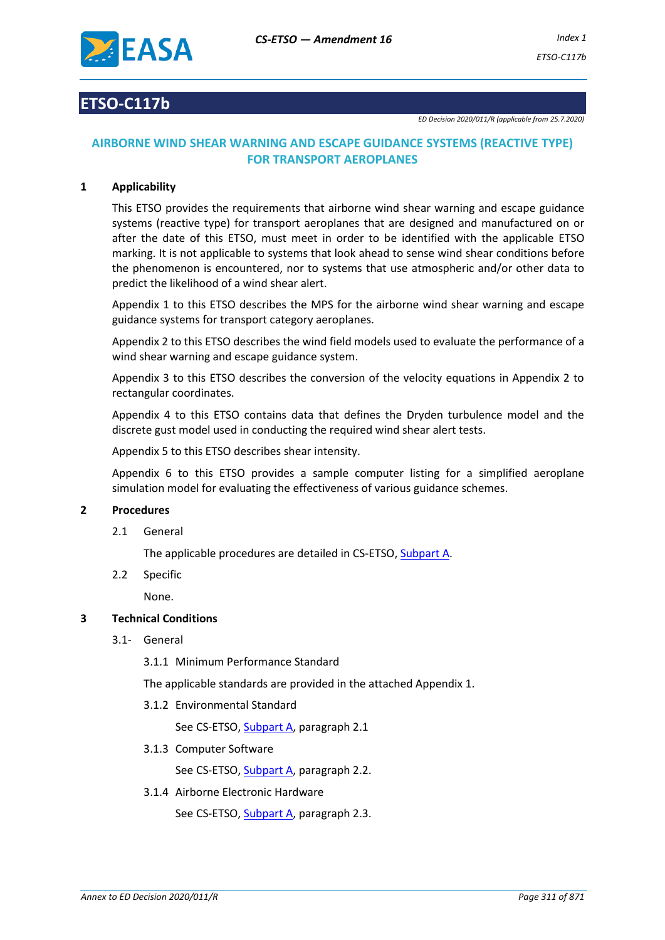

# **ETSO-C117b**

*ED Decision 2020/011/R (applicable from 25.7.2020)*

# **AIRBORNE WIND SHEAR WARNING AND ESCAPE GUIDANCE SYSTEMS (REACTIVE TYPE) FOR TRANSPORT AEROPLANES**

## **1 Applicability**

This ETSO provides the requirements that airborne wind shear warning and escape guidance systems (reactive type) for transport aeroplanes that are designed and manufactured on or after the date of this ETSO, must meet in order to be identified with the applicable ETSO marking. It is not applicable to systems that look ahead to sense wind shear conditions before the phenomenon is encountered, nor to systems that use atmospheric and/or other data to predict the likelihood of a wind shear alert.

Appendix 1 to this ETSO describes the MPS for the airborne wind shear warning and escape guidance systems for transport category aeroplanes.

Appendix 2 to this ETSO describes the wind field models used to evaluate the performance of a wind shear warning and escape guidance system.

Appendix 3 to this ETSO describes the conversion of the velocity equations in Appendix 2 to rectangular coordinates.

Appendix 4 to this ETSO contains data that defines the Dryden turbulence model and the discrete gust model used in conducting the required wind shear alert tests.

Appendix 5 to this ETSO describes shear intensity.

Appendix 6 to this ETSO provides a sample computer listing for a simplified aeroplane simulation model for evaluating the effectiveness of various guidance schemes.

### **2 Procedures**

2.1 General

The applicable procedures are detailed in CS-ETSO, Subpart A.

2.2 Specific

None.

## **3 Technical Conditions**

3.1- General

3.1.1 Minimum Performance Standard

The applicable standards are provided in the attached Appendix 1.

3.1.2 Environmental Standard

See CS-ETSO, Subpart A, paragraph 2.1

3.1.3 Computer Software

See CS-ETSO, Subpart A, paragraph 2.2.

3.1.4 Airborne Electronic Hardware

See CS-ETSO, Subpart A, paragraph 2.3.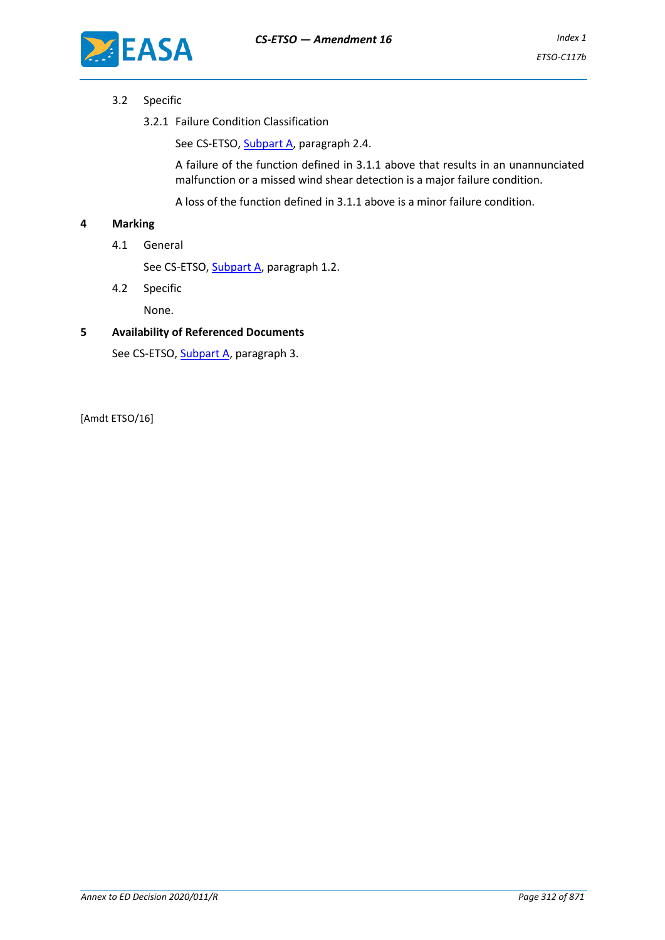

## 3.2 Specific

3.2.1 Failure Condition Classification

See CS-ETSO, Subpart A, paragraph 2.4.

A failure of the function defined in 3.1.1 above that results in an unannunciated malfunction or a missed wind shear detection is a major failure condition.

A loss of the function defined in 3.1.1 above is a minor failure condition.

## **4 Marking**

4.1 General

See CS-ETSO, Subpart A, paragraph 1.2.

4.2 Specific

None.

#### **5 Availability of Referenced Documents**

See CS-ETSO, Subpart A, paragraph 3.

[Amdt ETSO/16]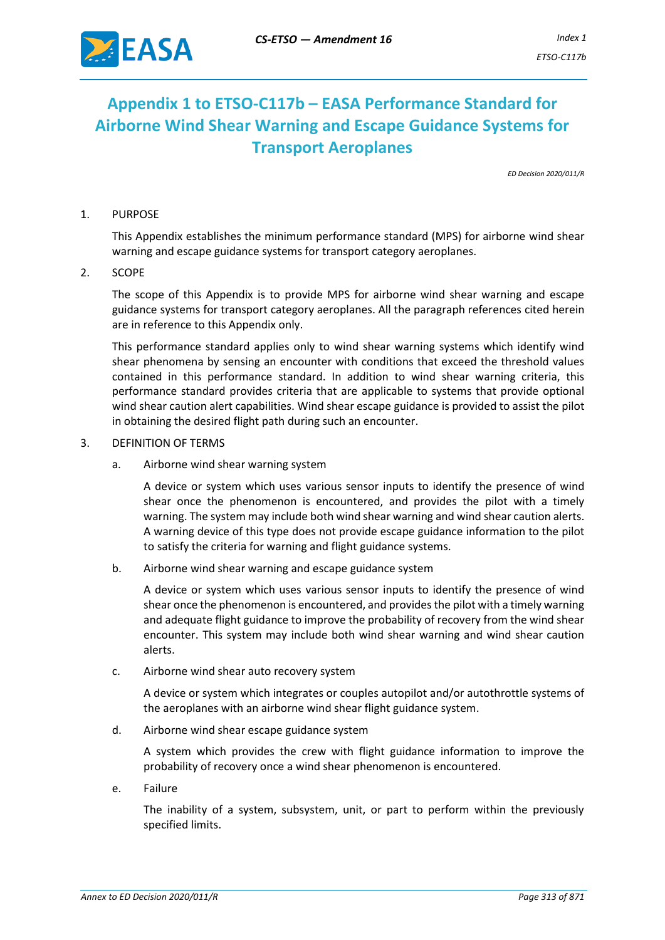

# **Appendix 1 to ETSO-C117b – EASA Performance Standard for Airborne Wind Shear Warning and Escape Guidance Systems for Transport Aeroplanes**

*ED Decision 2020/011/R*

### 1. PURPOSE

This Appendix establishes the minimum performance standard (MPS) for airborne wind shear warning and escape guidance systems for transport category aeroplanes.

2. SCOPE

The scope of this Appendix is to provide MPS for airborne wind shear warning and escape guidance systems for transport category aeroplanes. All the paragraph references cited herein are in reference to this Appendix only.

This performance standard applies only to wind shear warning systems which identify wind shear phenomena by sensing an encounter with conditions that exceed the threshold values contained in this performance standard. In addition to wind shear warning criteria, this performance standard provides criteria that are applicable to systems that provide optional wind shear caution alert capabilities. Wind shear escape guidance is provided to assist the pilot in obtaining the desired flight path during such an encounter.

- 3. DEFINITION OF TERMS
	- a. Airborne wind shear warning system

A device or system which uses various sensor inputs to identify the presence of wind shear once the phenomenon is encountered, and provides the pilot with a timely warning. The system may include both wind shear warning and wind shear caution alerts. A warning device of this type does not provide escape guidance information to the pilot to satisfy the criteria for warning and flight guidance systems.

b. Airborne wind shear warning and escape guidance system

A device or system which uses various sensor inputs to identify the presence of wind shear once the phenomenon is encountered, and provides the pilot with a timely warning and adequate flight guidance to improve the probability of recovery from the wind shear encounter. This system may include both wind shear warning and wind shear caution alerts.

c. Airborne wind shear auto recovery system

A device or system which integrates or couples autopilot and/or autothrottle systems of the aeroplanes with an airborne wind shear flight guidance system.

d. Airborne wind shear escape guidance system

A system which provides the crew with flight guidance information to improve the probability of recovery once a wind shear phenomenon is encountered.

e. Failure

The inability of a system, subsystem, unit, or part to perform within the previously specified limits.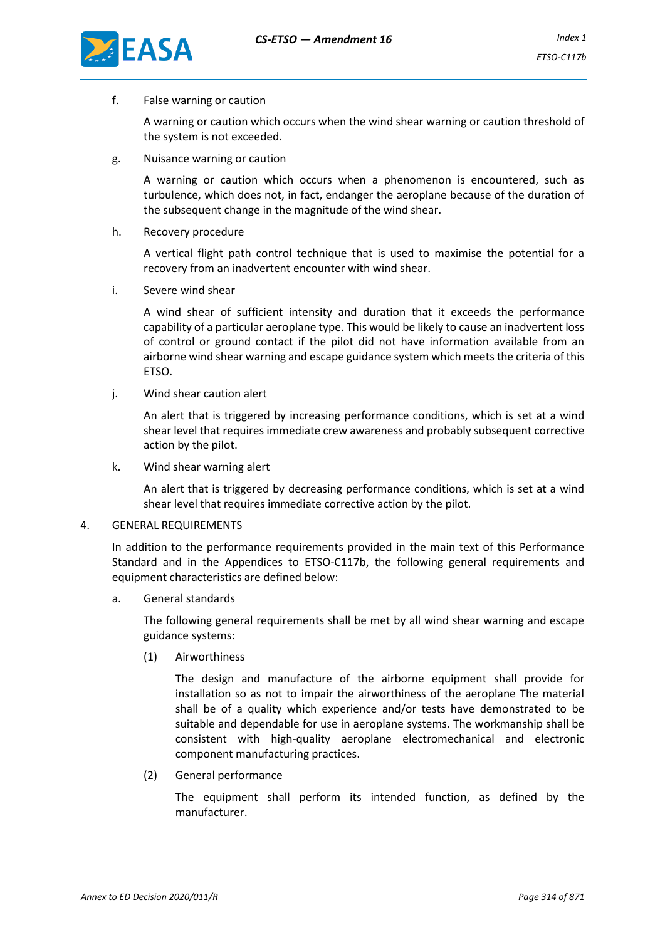

f. False warning or caution

A warning or caution which occurs when the wind shear warning or caution threshold of the system is not exceeded.

g. Nuisance warning or caution

A warning or caution which occurs when a phenomenon is encountered, such as turbulence, which does not, in fact, endanger the aeroplane because of the duration of the subsequent change in the magnitude of the wind shear.

h. Recovery procedure

A vertical flight path control technique that is used to maximise the potential for a recovery from an inadvertent encounter with wind shear.

i. Severe wind shear

A wind shear of sufficient intensity and duration that it exceeds the performance capability of a particular aeroplane type. This would be likely to cause an inadvertent loss of control or ground contact if the pilot did not have information available from an airborne wind shear warning and escape guidance system which meets the criteria of this ETSO.

j. Wind shear caution alert

An alert that is triggered by increasing performance conditions, which is set at a wind shear level that requires immediate crew awareness and probably subsequent corrective action by the pilot.

k. Wind shear warning alert

An alert that is triggered by decreasing performance conditions, which is set at a wind shear level that requires immediate corrective action by the pilot.

#### 4. GENERAL REQUIREMENTS

In addition to the performance requirements provided in the main text of this Performance Standard and in the Appendices to ETSO-C117b, the following general requirements and equipment characteristics are defined below:

a. General standards

The following general requirements shall be met by all wind shear warning and escape guidance systems:

(1) Airworthiness

The design and manufacture of the airborne equipment shall provide for installation so as not to impair the airworthiness of the aeroplane The material shall be of a quality which experience and/or tests have demonstrated to be suitable and dependable for use in aeroplane systems. The workmanship shall be consistent with high-quality aeroplane electromechanical and electronic component manufacturing practices.

(2) General performance

The equipment shall perform its intended function, as defined by the manufacturer.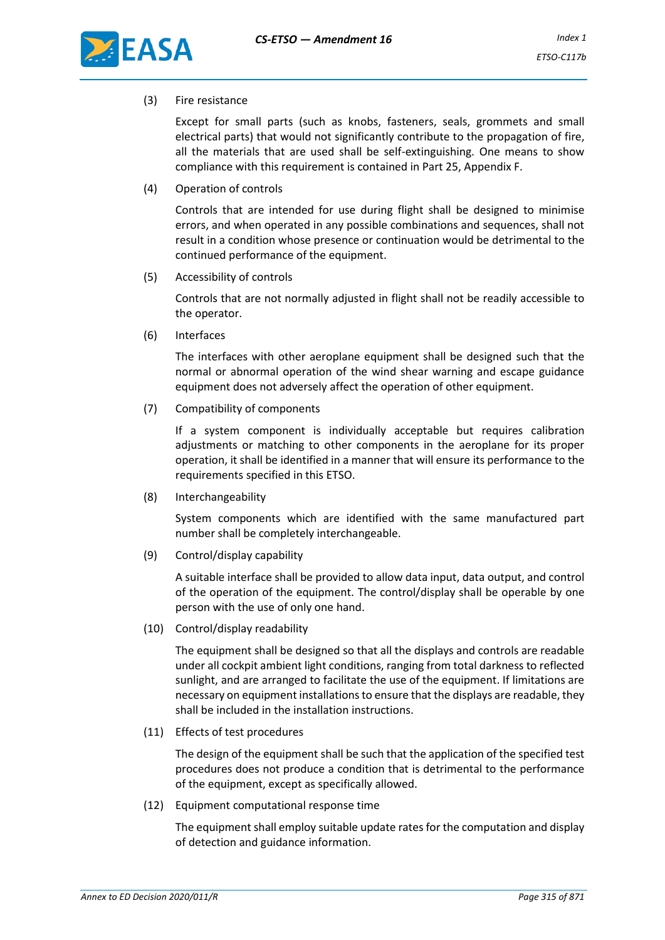

(3) Fire resistance

Except for small parts (such as knobs, fasteners, seals, grommets and small electrical parts) that would not significantly contribute to the propagation of fire, all the materials that are used shall be self-extinguishing. One means to show compliance with this requirement is contained in Part 25, Appendix F.

(4) Operation of controls

Controls that are intended for use during flight shall be designed to minimise errors, and when operated in any possible combinations and sequences, shall not result in a condition whose presence or continuation would be detrimental to the continued performance of the equipment.

(5) Accessibility of controls

Controls that are not normally adjusted in flight shall not be readily accessible to the operator.

(6) Interfaces

The interfaces with other aeroplane equipment shall be designed such that the normal or abnormal operation of the wind shear warning and escape guidance equipment does not adversely affect the operation of other equipment.

(7) Compatibility of components

If a system component is individually acceptable but requires calibration adjustments or matching to other components in the aeroplane for its proper operation, it shall be identified in a manner that will ensure its performance to the requirements specified in this ETSO.

(8) Interchangeability

System components which are identified with the same manufactured part number shall be completely interchangeable.

(9) Control/display capability

A suitable interface shall be provided to allow data input, data output, and control of the operation of the equipment. The control/display shall be operable by one person with the use of only one hand.

(10) Control/display readability

The equipment shall be designed so that all the displays and controls are readable under all cockpit ambient light conditions, ranging from total darkness to reflected sunlight, and are arranged to facilitate the use of the equipment. If limitations are necessary on equipment installations to ensure that the displays are readable, they shall be included in the installation instructions.

(11) Effects of test procedures

The design of the equipment shall be such that the application of the specified test procedures does not produce a condition that is detrimental to the performance of the equipment, except as specifically allowed.

(12) Equipment computational response time

The equipment shall employ suitable update rates for the computation and display of detection and guidance information.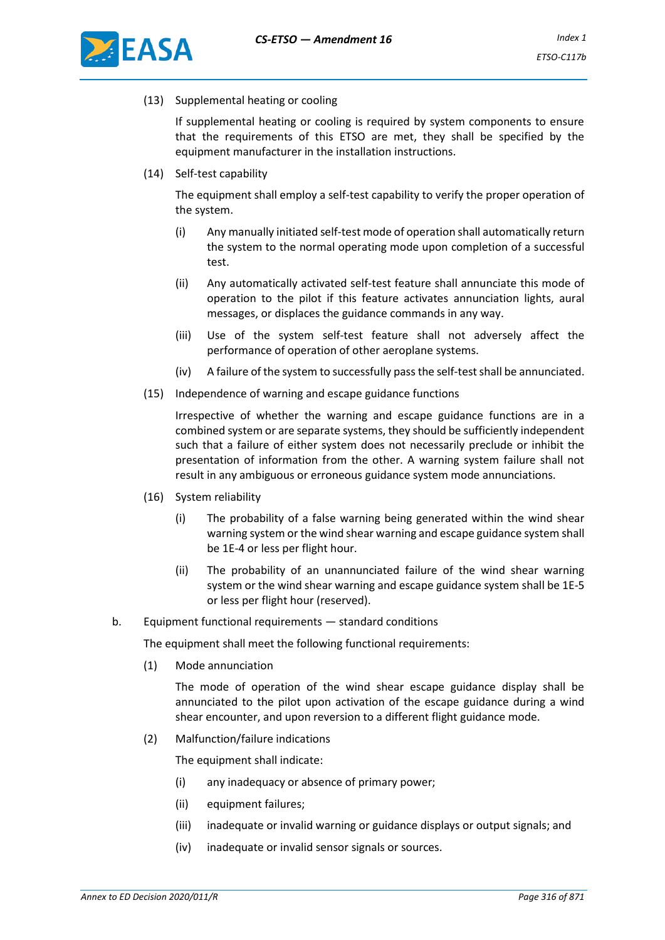



(13) Supplemental heating or cooling

If supplemental heating or cooling is required by system components to ensure that the requirements of this ETSO are met, they shall be specified by the equipment manufacturer in the installation instructions.

(14) Self-test capability

The equipment shall employ a self-test capability to verify the proper operation of the system.

- (i) Any manually initiated self-test mode of operation shall automatically return the system to the normal operating mode upon completion of a successful test.
- (ii) Any automatically activated self-test feature shall annunciate this mode of operation to the pilot if this feature activates annunciation lights, aural messages, or displaces the guidance commands in any way.
- (iii) Use of the system self-test feature shall not adversely affect the performance of operation of other aeroplane systems.
- (iv) A failure of the system to successfully pass the self-test shall be annunciated.
- (15) Independence of warning and escape guidance functions

Irrespective of whether the warning and escape guidance functions are in a combined system or are separate systems, they should be sufficiently independent such that a failure of either system does not necessarily preclude or inhibit the presentation of information from the other. A warning system failure shall not result in any ambiguous or erroneous guidance system mode annunciations.

- (16) System reliability
	- (i) The probability of a false warning being generated within the wind shear warning system or the wind shear warning and escape guidance system shall be 1E-4 or less per flight hour.
	- (ii) The probability of an unannunciated failure of the wind shear warning system or the wind shear warning and escape guidance system shall be 1E-5 or less per flight hour (reserved).
- b. Equipment functional requirements standard conditions

The equipment shall meet the following functional requirements:

(1) Mode annunciation

The mode of operation of the wind shear escape guidance display shall be annunciated to the pilot upon activation of the escape guidance during a wind shear encounter, and upon reversion to a different flight guidance mode.

(2) Malfunction/failure indications

The equipment shall indicate:

- (i) any inadequacy or absence of primary power;
- (ii) equipment failures;
- (iii) inadequate or invalid warning or guidance displays or output signals; and
- (iv) inadequate or invalid sensor signals or sources.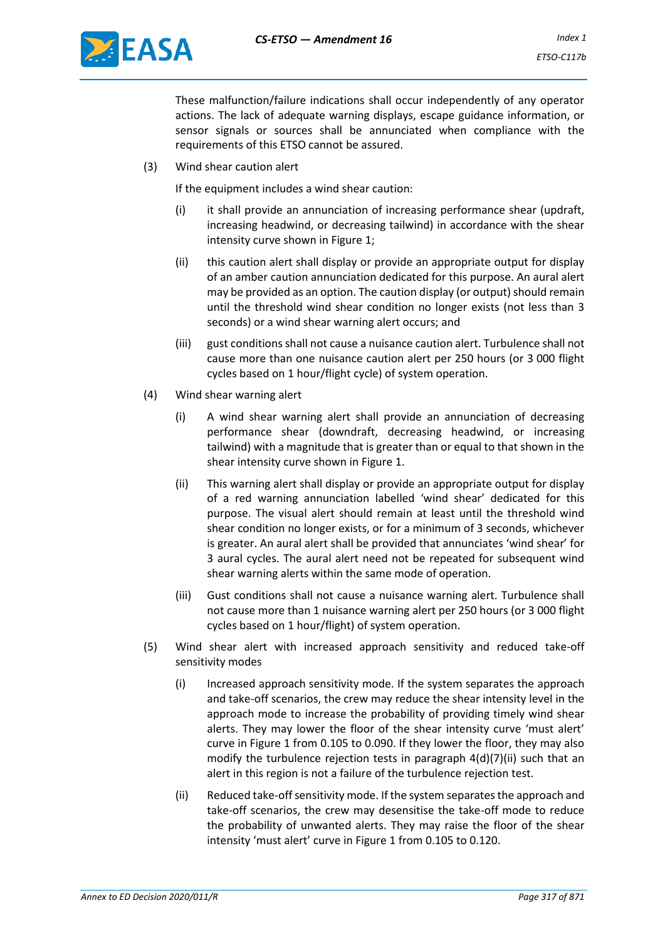

These malfunction/failure indications shall occur independently of any operator actions. The lack of adequate warning displays, escape guidance information, or sensor signals or sources shall be annunciated when compliance with the requirements of this ETSO cannot be assured.

(3) Wind shear caution alert

If the equipment includes a wind shear caution:

- (i) it shall provide an annunciation of increasing performance shear (updraft, increasing headwind, or decreasing tailwind) in accordance with the shear intensity curve shown in Figure 1;
- (ii) this caution alert shall display or provide an appropriate output for display of an amber caution annunciation dedicated for this purpose. An aural alert may be provided as an option. The caution display (or output) should remain until the threshold wind shear condition no longer exists (not less than 3 seconds) or a wind shear warning alert occurs; and
- (iii) gust conditions shall not cause a nuisance caution alert. Turbulence shall not cause more than one nuisance caution alert per 250 hours (or 3 000 flight cycles based on 1 hour/flight cycle) of system operation.
- (4) Wind shear warning alert
	- (i) A wind shear warning alert shall provide an annunciation of decreasing performance shear (downdraft, decreasing headwind, or increasing tailwind) with a magnitude that is greater than or equal to that shown in the shear intensity curve shown in Figure 1.
	- (ii) This warning alert shall display or provide an appropriate output for display of a red warning annunciation labelled 'wind shear' dedicated for this purpose. The visual alert should remain at least until the threshold wind shear condition no longer exists, or for a minimum of 3 seconds, whichever is greater. An aural alert shall be provided that annunciates 'wind shear' for 3 aural cycles. The aural alert need not be repeated for subsequent wind shear warning alerts within the same mode of operation.
	- (iii) Gust conditions shall not cause a nuisance warning alert. Turbulence shall not cause more than 1 nuisance warning alert per 250 hours (or 3 000 flight cycles based on 1 hour/flight) of system operation.
- (5) Wind shear alert with increased approach sensitivity and reduced take-off sensitivity modes
	- (i) Increased approach sensitivity mode. If the system separates the approach and take-off scenarios, the crew may reduce the shear intensity level in the approach mode to increase the probability of providing timely wind shear alerts. They may lower the floor of the shear intensity curve 'must alert' curve in Figure 1 from 0.105 to 0.090. If they lower the floor, they may also modify the turbulence rejection tests in paragraph 4(d)(7)(ii) such that an alert in this region is not a failure of the turbulence rejection test.
	- (ii) Reduced take-off sensitivity mode. If the system separates the approach and take-off scenarios, the crew may desensitise the take-off mode to reduce the probability of unwanted alerts. They may raise the floor of the shear intensity 'must alert' curve in Figure 1 from 0.105 to 0.120.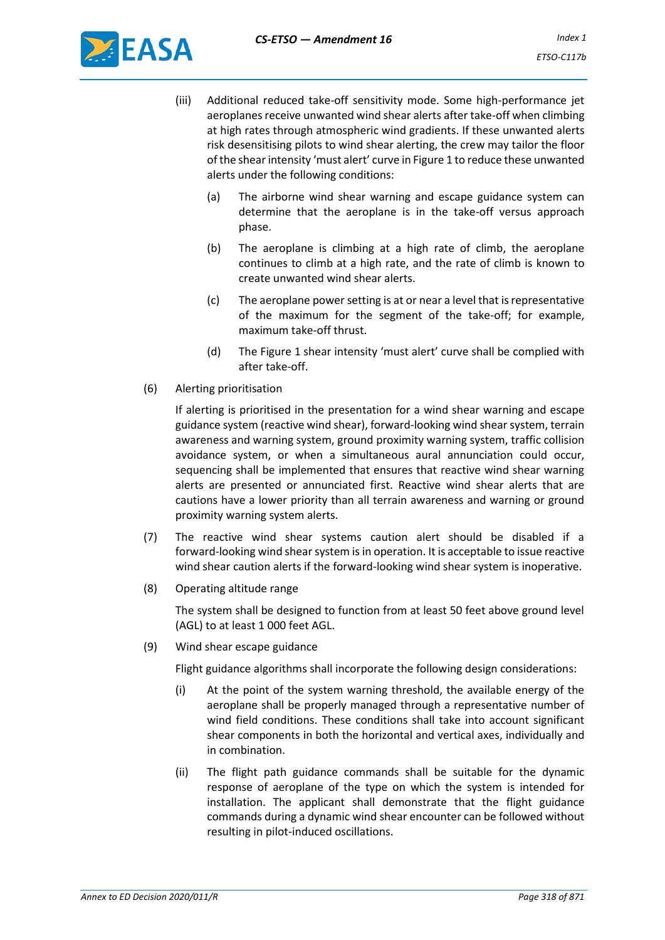

- (iii) Additional reduced take-off sensitivity mode. Some high-performance jet aeroplanes receive unwanted wind shear alerts after take-off when climbing at high rates through atmospheric wind gradients. If these unwanted alerts risk desensitising pilots to wind shear alerting, the crew may tailor the floor of the shear intensity 'must alert' curve in Figure 1 to reduce these unwanted alerts under the following conditions:
	- (a) The airborne wind shear warning and escape guidance system can determine that the aeroplane is in the take-off versus approach phase.
	- (b) The aeroplane is climbing at a high rate of climb, the aeroplane continues to climb at a high rate, and the rate of climb is known to create unwanted wind shear alerts.
	- (c) The aeroplane power setting is at or near a level that is representative of the maximum for the segment of the take-off; for example, maximum take-off thrust.
	- (d) The Figure 1 shear intensity 'must alert' curve shall be complied with after take-off.
- (6) Alerting prioritisation

If alerting is prioritised in the presentation for a wind shear warning and escape guidance system (reactive wind shear), forward-looking wind shear system, terrain awareness and warning system, ground proximity warning system, traffic collision avoidance system, or when a simultaneous aural annunciation could occur, sequencing shall be implemented that ensures that reactive wind shear warning alerts are presented or annunciated first. Reactive wind shear alerts that are cautions have a lower priority than all terrain awareness and warning or ground proximity warning system alerts.

- (7) The reactive wind shear systems caution alert should be disabled if a forward-looking wind shear system is in operation. It is acceptable to issue reactive wind shear caution alerts if the forward-looking wind shear system is inoperative.
- (8) Operating altitude range

The system shall be designed to function from at least 50 feet above ground level (AGL) to at least 1 000 feet AGL.

(9) Wind shear escape guidance

Flight guidance algorithms shall incorporate the following design considerations:

- (i) At the point of the system warning threshold, the available energy of the aeroplane shall be properly managed through a representative number of wind field conditions. These conditions shall take into account significant shear components in both the horizontal and vertical axes, individually and in combination.
- (ii) The flight path guidance commands shall be suitable for the dynamic response of aeroplane of the type on which the system is intended for installation. The applicant shall demonstrate that the flight guidance commands during a dynamic wind shear encounter can be followed without resulting in pilot-induced oscillations.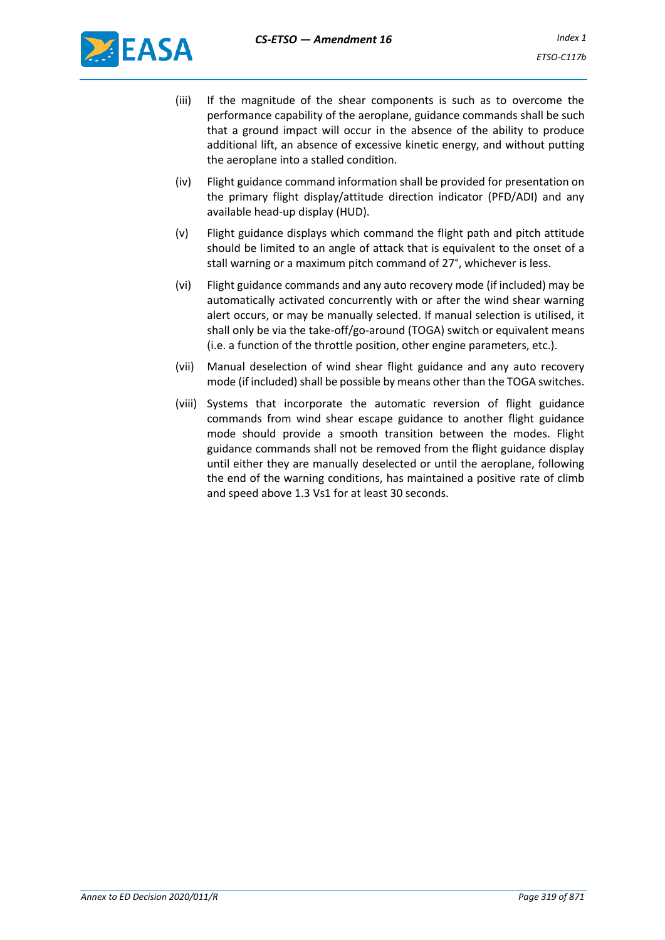

- (iii) If the magnitude of the shear components is such as to overcome the performance capability of the aeroplane, guidance commands shall be such that a ground impact will occur in the absence of the ability to produce additional lift, an absence of excessive kinetic energy, and without putting the aeroplane into a stalled condition.
- (iv) Flight guidance command information shall be provided for presentation on the primary flight display/attitude direction indicator (PFD/ADI) and any available head-up display (HUD).
- (v) Flight guidance displays which command the flight path and pitch attitude should be limited to an angle of attack that is equivalent to the onset of a stall warning or a maximum pitch command of 27°, whichever is less.
- (vi) Flight guidance commands and any auto recovery mode (if included) may be automatically activated concurrently with or after the wind shear warning alert occurs, or may be manually selected. If manual selection is utilised, it shall only be via the take-off/go-around (TOGA) switch or equivalent means (i.e. a function of the throttle position, other engine parameters, etc.).
- (vii) Manual deselection of wind shear flight guidance and any auto recovery mode (if included) shall be possible by means other than the TOGA switches.
- (viii) Systems that incorporate the automatic reversion of flight guidance commands from wind shear escape guidance to another flight guidance mode should provide a smooth transition between the modes. Flight guidance commands shall not be removed from the flight guidance display until either they are manually deselected or until the aeroplane, following the end of the warning conditions, has maintained a positive rate of climb and speed above 1.3 Vs1 for at least 30 seconds.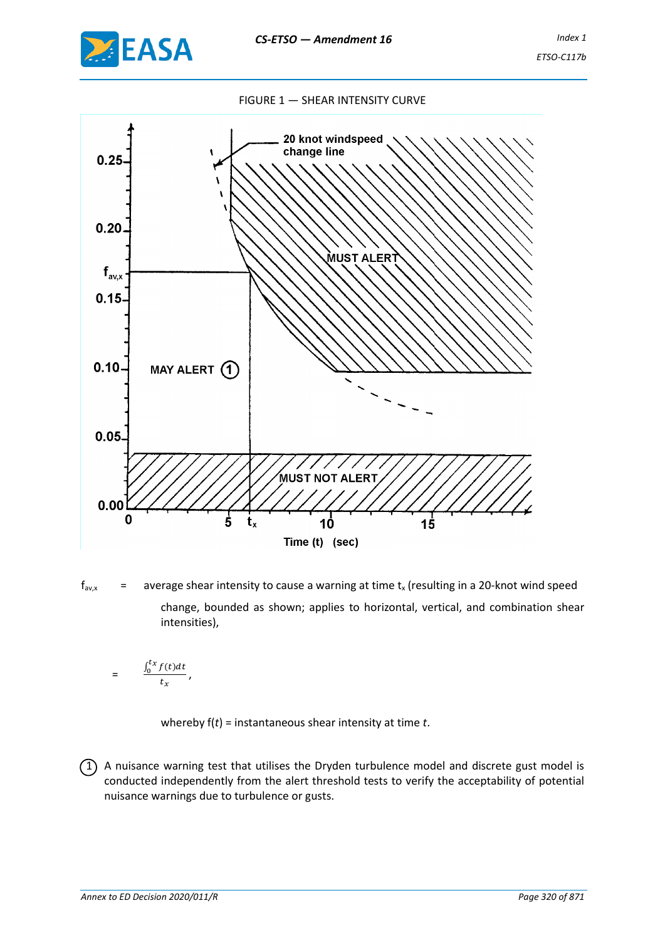

#### FIGURE 1 — SHEAR INTENSITY CURVE



 $f_{\text{av},x}$  = average shear intensity to cause a warning at time  $t_x$  (resulting in a 20-knot wind speed change, bounded as shown; applies to horizontal, vertical, and combination shear intensities),

$$
= \frac{\int_0^{t_X} f(t) dt}{t_X},
$$

whereby f(*t*) = instantaneous shear intensity at time *t*.

 $(1)$  A nuisance warning test that utilises the Dryden turbulence model and discrete gust model is conducted independently from the alert threshold tests to verify the acceptability of potential nuisance warnings due to turbulence or gusts.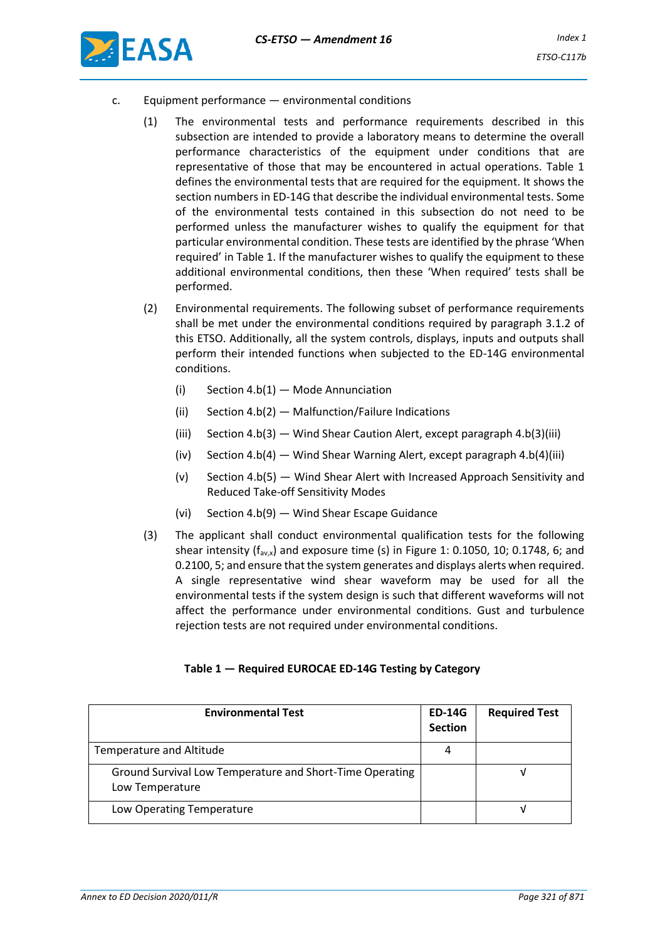

- c. Equipment performance environmental conditions
	- (1) The environmental tests and performance requirements described in this subsection are intended to provide a laboratory means to determine the overall performance characteristics of the equipment under conditions that are representative of those that may be encountered in actual operations. Table 1 defines the environmental tests that are required for the equipment. It shows the section numbers in ED-14G that describe the individual environmental tests. Some of the environmental tests contained in this subsection do not need to be performed unless the manufacturer wishes to qualify the equipment for that particular environmental condition. These tests are identified by the phrase 'When required' in Table 1. If the manufacturer wishes to qualify the equipment to these additional environmental conditions, then these 'When required' tests shall be performed.
	- (2) Environmental requirements. The following subset of performance requirements shall be met under the environmental conditions required by paragraph 3.1.2 of this ETSO. Additionally, all the system controls, displays, inputs and outputs shall perform their intended functions when subjected to the ED-14G environmental conditions.
		- (i) Section 4.b(1) Mode Annunciation
		- (ii) Section 4.b(2) Malfunction/Failure Indications
		- (iii) Section 4.b(3) Wind Shear Caution Alert, except paragraph 4.b(3)(iii)
		- (iv) Section 4.b(4) Wind Shear Warning Alert, except paragraph 4.b(4)(iii)
		- (v) Section 4.b(5) Wind Shear Alert with Increased Approach Sensitivity and Reduced Take-off Sensitivity Modes
		- (vi) Section 4.b(9) Wind Shear Escape Guidance
	- (3) The applicant shall conduct environmental qualification tests for the following shear intensity ( $f_{av,x}$ ) and exposure time (s) in Figure 1: 0.1050, 10; 0.1748, 6; and 0.2100, 5; and ensure that the system generates and displays alerts when required. A single representative wind shear waveform may be used for all the environmental tests if the system design is such that different waveforms will not affect the performance under environmental conditions. Gust and turbulence rejection tests are not required under environmental conditions.

### **Table 1 — Required EUROCAE ED-14G Testing by Category**

| <b>Environmental Test</b>                                                   | <b>ED-14G</b><br><b>Section</b> | <b>Required Test</b> |
|-----------------------------------------------------------------------------|---------------------------------|----------------------|
| <b>Temperature and Altitude</b>                                             | 4                               |                      |
| Ground Survival Low Temperature and Short-Time Operating<br>Low Temperature |                                 |                      |
| Low Operating Temperature                                                   |                                 |                      |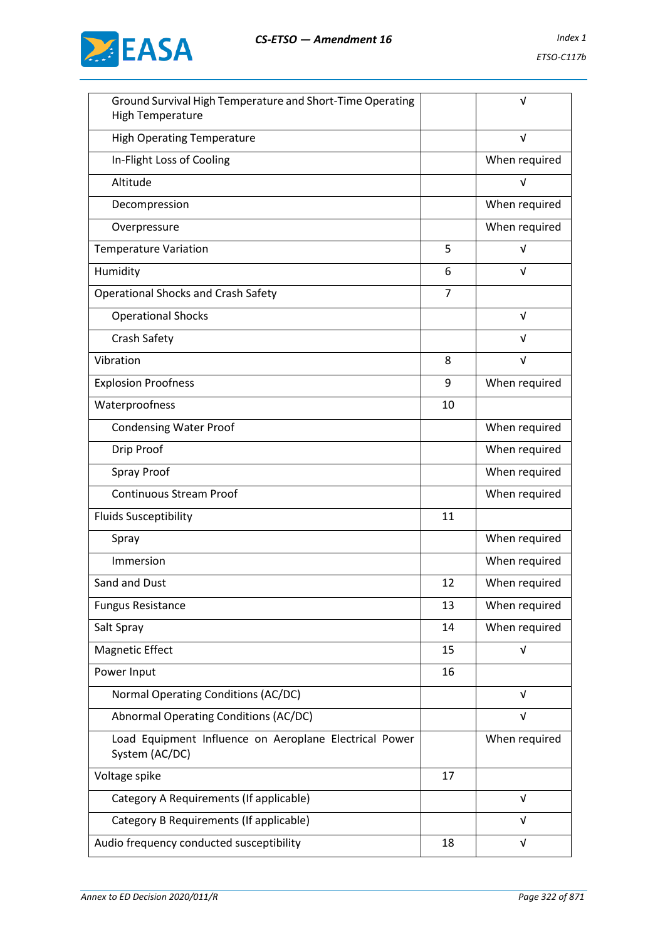

| Ground Survival High Temperature and Short-Time Operating<br><b>High Temperature</b> |                | v             |
|--------------------------------------------------------------------------------------|----------------|---------------|
| <b>High Operating Temperature</b>                                                    |                | $\sqrt{ }$    |
| In-Flight Loss of Cooling                                                            |                | When required |
| Altitude                                                                             |                | $\sqrt{ }$    |
| Decompression                                                                        |                | When required |
| Overpressure                                                                         |                | When required |
| <b>Temperature Variation</b>                                                         | 5              | $\sqrt{ }$    |
| Humidity                                                                             | 6              | V             |
| <b>Operational Shocks and Crash Safety</b>                                           | $\overline{7}$ |               |
| <b>Operational Shocks</b>                                                            |                | $\sqrt{ }$    |
| Crash Safety                                                                         |                | V             |
| Vibration                                                                            | 8              | $\sqrt{ }$    |
| <b>Explosion Proofness</b>                                                           | 9              | When required |
| Waterproofness                                                                       | 10             |               |
| <b>Condensing Water Proof</b>                                                        |                | When required |
| Drip Proof                                                                           |                | When required |
| <b>Spray Proof</b>                                                                   |                | When required |
| <b>Continuous Stream Proof</b>                                                       |                | When required |
| <b>Fluids Susceptibility</b>                                                         | 11             |               |
| Spray                                                                                |                | When required |
| Immersion                                                                            |                | When required |
| Sand and Dust                                                                        | 12             | When required |
| <b>Fungus Resistance</b>                                                             | 13             | When required |
| Salt Spray                                                                           | 14             | When required |
| <b>Magnetic Effect</b>                                                               | 15             | $\sqrt{ }$    |
| Power Input                                                                          | 16             |               |
| Normal Operating Conditions (AC/DC)                                                  |                | $\sqrt{ }$    |
| Abnormal Operating Conditions (AC/DC)                                                |                | $\sqrt{ }$    |
| Load Equipment Influence on Aeroplane Electrical Power<br>System (AC/DC)             |                | When required |
| Voltage spike                                                                        | 17             |               |
| Category A Requirements (If applicable)                                              |                | $\sqrt{ }$    |
| Category B Requirements (If applicable)                                              |                | V             |
| Audio frequency conducted susceptibility                                             | 18             | $\sqrt{ }$    |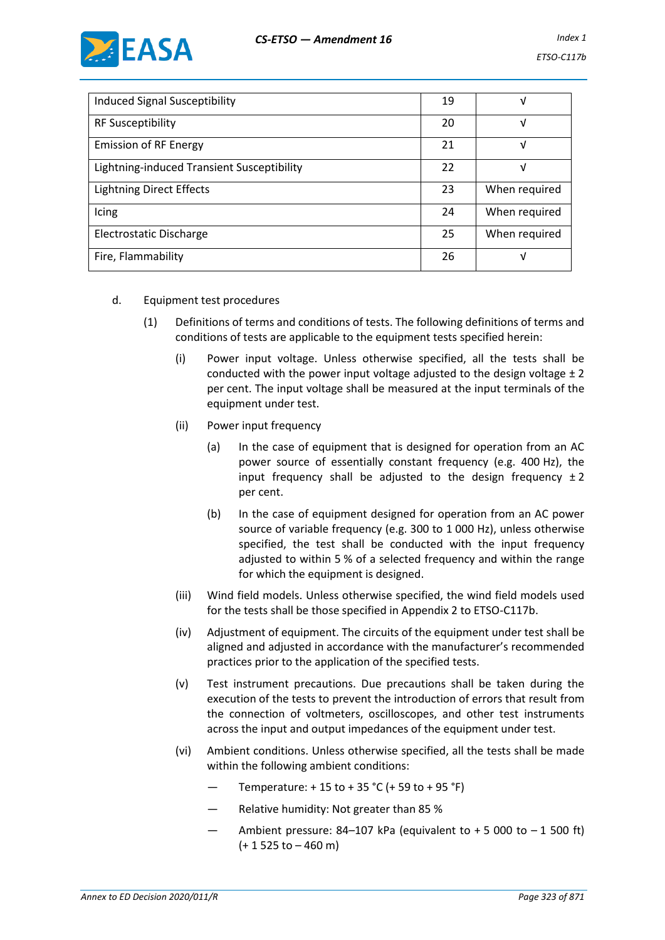

| <b>Induced Signal Susceptibility</b>       | 19 |               |
|--------------------------------------------|----|---------------|
| <b>RF Susceptibility</b>                   | 20 | ν             |
| <b>Emission of RF Energy</b>               | 21 | ν             |
| Lightning-induced Transient Susceptibility | 22 | V             |
| <b>Lightning Direct Effects</b>            | 23 | When required |
| Icing                                      | 24 | When required |
| Electrostatic Discharge                    | 25 | When required |
| Fire, Flammability                         | 26 |               |

## d. Equipment test procedures

- (1) Definitions of terms and conditions of tests. The following definitions of terms and conditions of tests are applicable to the equipment tests specified herein:
	- (i) Power input voltage. Unless otherwise specified, all the tests shall be conducted with the power input voltage adjusted to the design voltage  $\pm 2$ per cent. The input voltage shall be measured at the input terminals of the equipment under test.
	- (ii) Power input frequency
		- (a) In the case of equipment that is designed for operation from an AC power source of essentially constant frequency (e.g. 400 Hz), the input frequency shall be adjusted to the design frequency  $\pm 2$ per cent.
		- (b) In the case of equipment designed for operation from an AC power source of variable frequency (e.g. 300 to 1 000 Hz), unless otherwise specified, the test shall be conducted with the input frequency adjusted to within 5 % of a selected frequency and within the range for which the equipment is designed.
	- (iii) Wind field models. Unless otherwise specified, the wind field models used for the tests shall be those specified in Appendix 2 to ETSO-C117b.
	- (iv) Adjustment of equipment. The circuits of the equipment under test shall be aligned and adjusted in accordance with the manufacturer's recommended practices prior to the application of the specified tests.
	- (v) Test instrument precautions. Due precautions shall be taken during the execution of the tests to prevent the introduction of errors that result from the connection of voltmeters, oscilloscopes, and other test instruments across the input and output impedances of the equipment under test.
	- (vi) Ambient conditions. Unless otherwise specified, all the tests shall be made within the following ambient conditions:
		- Temperature:  $+ 15$  to  $+ 35$  °C ( $+ 59$  to  $+ 95$  °F)
		- Relative humidity: Not greater than 85 %
		- Ambient pressure: 84-107 kPa (equivalent to  $+5000$  to  $-1500$  ft) (+ 1 525 to – 460 m)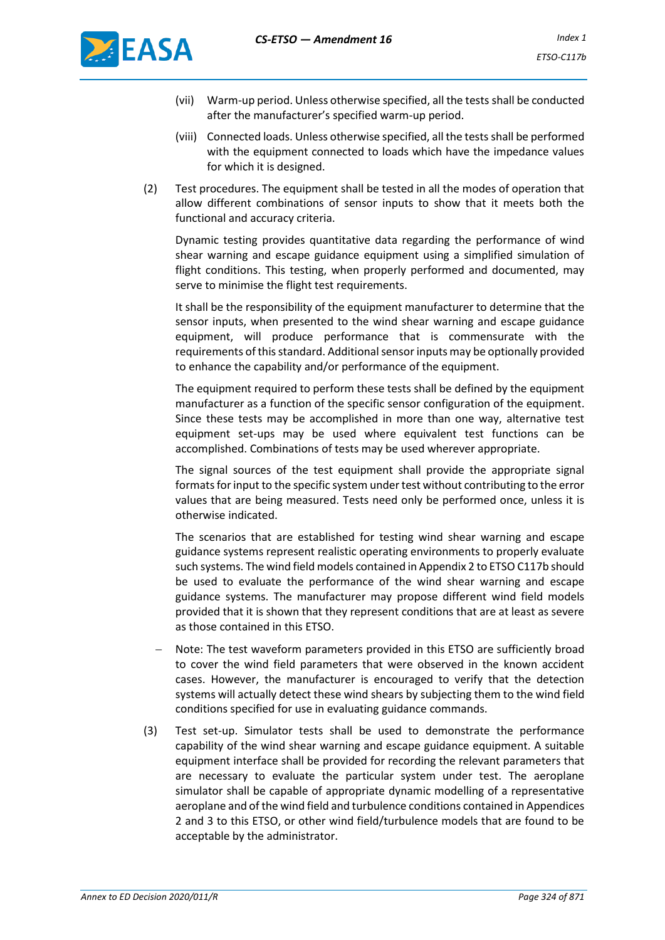

- (vii) Warm-up period. Unless otherwise specified, all the tests shall be conducted after the manufacturer's specified warm-up period.
- (viii) Connected loads. Unless otherwise specified, all the tests shall be performed with the equipment connected to loads which have the impedance values for which it is designed.
- (2) Test procedures. The equipment shall be tested in all the modes of operation that allow different combinations of sensor inputs to show that it meets both the functional and accuracy criteria.

Dynamic testing provides quantitative data regarding the performance of wind shear warning and escape guidance equipment using a simplified simulation of flight conditions. This testing, when properly performed and documented, may serve to minimise the flight test requirements.

It shall be the responsibility of the equipment manufacturer to determine that the sensor inputs, when presented to the wind shear warning and escape guidance equipment, will produce performance that is commensurate with the requirements of this standard. Additional sensor inputs may be optionally provided to enhance the capability and/or performance of the equipment.

The equipment required to perform these tests shall be defined by the equipment manufacturer as a function of the specific sensor configuration of the equipment. Since these tests may be accomplished in more than one way, alternative test equipment set-ups may be used where equivalent test functions can be accomplished. Combinations of tests may be used wherever appropriate.

The signal sources of the test equipment shall provide the appropriate signal formats for input to the specific system under test without contributing to the error values that are being measured. Tests need only be performed once, unless it is otherwise indicated.

The scenarios that are established for testing wind shear warning and escape guidance systems represent realistic operating environments to properly evaluate such systems. The wind field models contained in Appendix 2 to ETSO C117b should be used to evaluate the performance of the wind shear warning and escape guidance systems. The manufacturer may propose different wind field models provided that it is shown that they represent conditions that are at least as severe as those contained in this ETSO.

- − Note: The test waveform parameters provided in this ETSO are sufficiently broad to cover the wind field parameters that were observed in the known accident cases. However, the manufacturer is encouraged to verify that the detection systems will actually detect these wind shears by subjecting them to the wind field conditions specified for use in evaluating guidance commands.
- (3) Test set-up. Simulator tests shall be used to demonstrate the performance capability of the wind shear warning and escape guidance equipment. A suitable equipment interface shall be provided for recording the relevant parameters that are necessary to evaluate the particular system under test. The aeroplane simulator shall be capable of appropriate dynamic modelling of a representative aeroplane and of the wind field and turbulence conditions contained in Appendices 2 and 3 to this ETSO, or other wind field/turbulence models that are found to be acceptable by the administrator.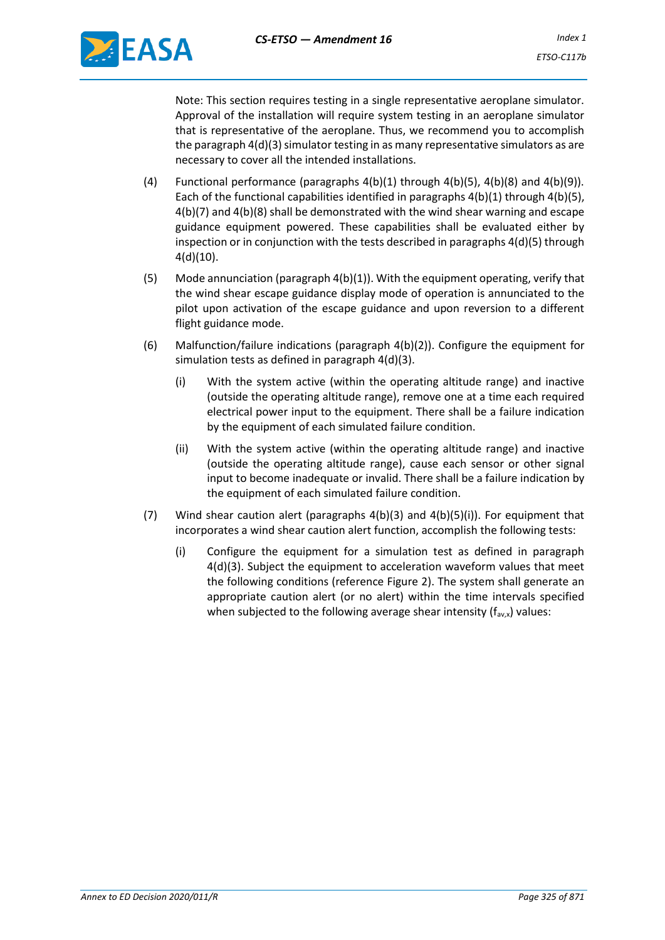

Note: This section requires testing in a single representative aeroplane simulator. Approval of the installation will require system testing in an aeroplane simulator that is representative of the aeroplane. Thus, we recommend you to accomplish the paragraph 4(d)(3) simulator testing in as many representative simulators as are necessary to cover all the intended installations.

- (4) Functional performance (paragraphs  $4(b)(1)$  through  $4(b)(5)$ ,  $4(b)(8)$  and  $4(b)(9)$ ). Each of the functional capabilities identified in paragraphs  $4(b)(1)$  through  $4(b)(5)$ , 4(b)(7) and 4(b)(8) shall be demonstrated with the wind shear warning and escape guidance equipment powered. These capabilities shall be evaluated either by inspection or in conjunction with the tests described in paragraphs 4(d)(5) through 4(d)(10).
- (5) Mode annunciation (paragraph 4(b)(1)). With the equipment operating, verify that the wind shear escape guidance display mode of operation is annunciated to the pilot upon activation of the escape guidance and upon reversion to a different flight guidance mode.
- (6) Malfunction/failure indications (paragraph 4(b)(2)). Configure the equipment for simulation tests as defined in paragraph 4(d)(3).
	- (i) With the system active (within the operating altitude range) and inactive (outside the operating altitude range), remove one at a time each required electrical power input to the equipment. There shall be a failure indication by the equipment of each simulated failure condition.
	- (ii) With the system active (within the operating altitude range) and inactive (outside the operating altitude range), cause each sensor or other signal input to become inadequate or invalid. There shall be a failure indication by the equipment of each simulated failure condition.
- (7) Wind shear caution alert (paragraphs 4(b)(3) and 4(b)(5)(i)). For equipment that incorporates a wind shear caution alert function, accomplish the following tests:
	- (i) Configure the equipment for a simulation test as defined in paragraph 4(d)(3). Subject the equipment to acceleration waveform values that meet the following conditions (reference Figure 2). The system shall generate an appropriate caution alert (or no alert) within the time intervals specified when subjected to the following average shear intensity  $(f_{av,x})$  values: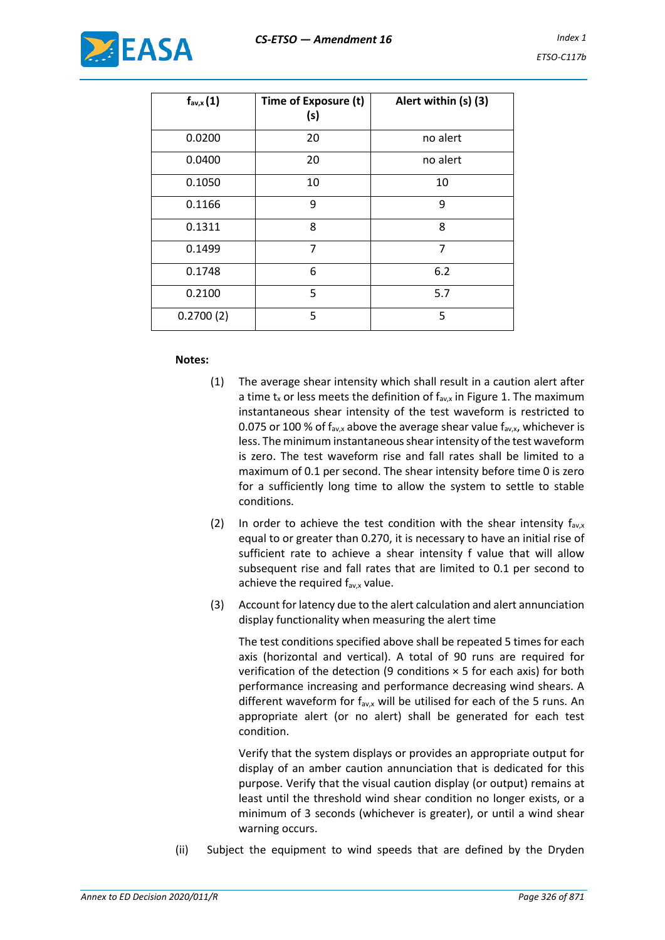

| $f_{\text{av},x}(1)$ | Time of Exposure (t)<br>(s) | Alert within (s) (3) |
|----------------------|-----------------------------|----------------------|
| 0.0200               | 20                          | no alert             |
| 0.0400               | 20                          | no alert             |
| 0.1050               | 10                          | 10                   |
| 0.1166               | 9                           | 9                    |
| 0.1311               | 8                           | 8                    |
| 0.1499               | 7                           | 7                    |
| 0.1748               | 6                           | 6.2                  |
| 0.2100               | 5                           | 5.7                  |
| 0.2700(2)            | 5                           | 5                    |

### **Notes:**

- (1) The average shear intensity which shall result in a caution alert after a time  $t_x$  or less meets the definition of  $f_{av,x}$  in Figure 1. The maximum instantaneous shear intensity of the test waveform is restricted to 0.075 or 100 % of  $f_{\text{av},x}$  above the average shear value  $f_{\text{av},x}$ , whichever is less. The minimum instantaneous shear intensity of the test waveform is zero. The test waveform rise and fall rates shall be limited to a maximum of 0.1 per second. The shear intensity before time 0 is zero for a sufficiently long time to allow the system to settle to stable conditions.
- (2) In order to achieve the test condition with the shear intensity  $f_{av,x}$ equal to or greater than 0.270, it is necessary to have an initial rise of sufficient rate to achieve a shear intensity f value that will allow subsequent rise and fall rates that are limited to 0.1 per second to achieve the required  $f_{\text{av},x}$  value.
- (3) Account for latency due to the alert calculation and alert annunciation display functionality when measuring the alert time

The test conditions specified above shall be repeated 5 times for each axis (horizontal and vertical). A total of 90 runs are required for verification of the detection (9 conditions  $\times$  5 for each axis) for both performance increasing and performance decreasing wind shears. A different waveform for  $f_{av,x}$  will be utilised for each of the 5 runs. An appropriate alert (or no alert) shall be generated for each test condition.

Verify that the system displays or provides an appropriate output for display of an amber caution annunciation that is dedicated for this purpose. Verify that the visual caution display (or output) remains at least until the threshold wind shear condition no longer exists, or a minimum of 3 seconds (whichever is greater), or until a wind shear warning occurs.

(ii) Subject the equipment to wind speeds that are defined by the Dryden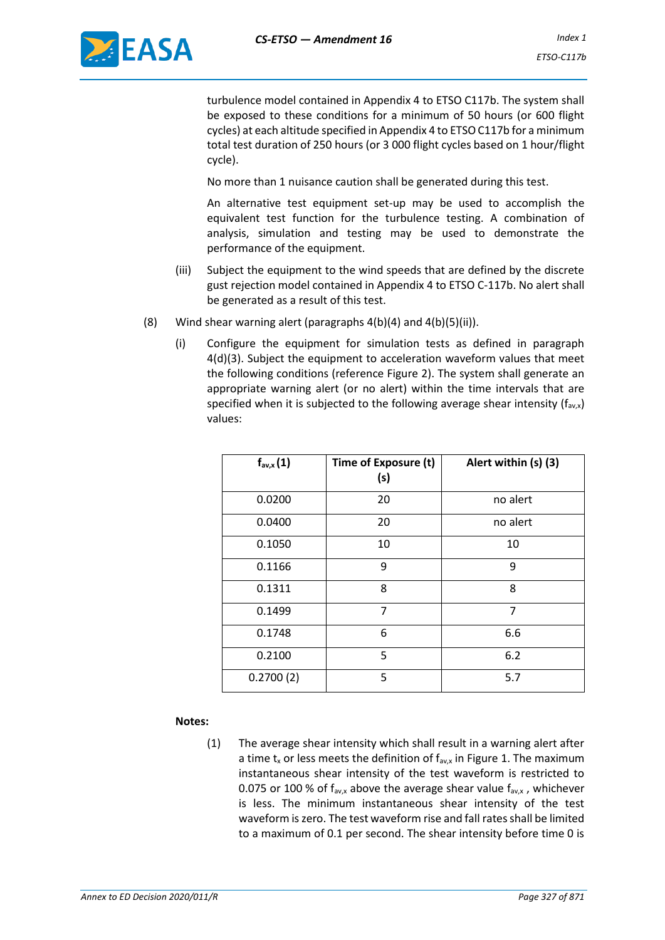

turbulence model contained in Appendix 4 to ETSO C117b. The system shall be exposed to these conditions for a minimum of 50 hours (or 600 flight cycles) at each altitude specified in Appendix 4 to ETSO C117b for a minimum total test duration of 250 hours (or 3 000 flight cycles based on 1 hour/flight cycle).

No more than 1 nuisance caution shall be generated during this test.

An alternative test equipment set-up may be used to accomplish the equivalent test function for the turbulence testing. A combination of analysis, simulation and testing may be used to demonstrate the performance of the equipment.

- (iii) Subject the equipment to the wind speeds that are defined by the discrete gust rejection model contained in Appendix 4 to ETSO C-117b. No alert shall be generated as a result of this test.
- (8) Wind shear warning alert (paragraphs  $4(b)(4)$  and  $4(b)(5)(ii)$ ).
	- (i) Configure the equipment for simulation tests as defined in paragraph 4(d)(3). Subject the equipment to acceleration waveform values that meet the following conditions (reference Figure 2). The system shall generate an appropriate warning alert (or no alert) within the time intervals that are specified when it is subjected to the following average shear intensity  $(f_{av,x})$ values:

| $f_{\text{av},x}(1)$ | Time of Exposure (t)<br>(s) | Alert within (s) (3) |
|----------------------|-----------------------------|----------------------|
| 0.0200               | 20                          | no alert             |
| 0.0400               | 20                          | no alert             |
| 0.1050               | 10                          | 10                   |
| 0.1166               | 9                           | 9                    |
| 0.1311               | 8                           | 8                    |
| 0.1499               | 7                           | 7                    |
| 0.1748               | 6                           | 6.6                  |
| 0.2100               | 5                           | 6.2                  |
| 0.2700(2)            | 5                           | 5.7                  |

### **Notes:**

(1) The average shear intensity which shall result in a warning alert after a time  $t_x$  or less meets the definition of  $f_{av,x}$  in Figure 1. The maximum instantaneous shear intensity of the test waveform is restricted to 0.075 or 100 % of  $f_{av,x}$  above the average shear value  $f_{av,x}$ , whichever is less. The minimum instantaneous shear intensity of the test waveform is zero. The test waveform rise and fall rates shall be limited to a maximum of 0.1 per second. The shear intensity before time 0 is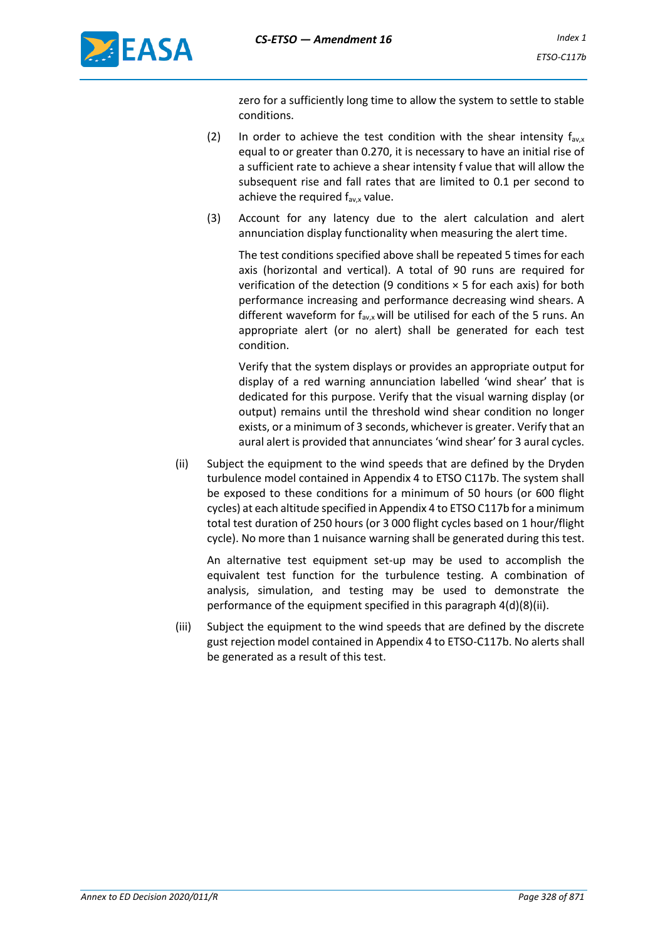

zero for a sufficiently long time to allow the system to settle to stable conditions.

- (2) In order to achieve the test condition with the shear intensity  $f_{avx}$ equal to or greater than 0.270, it is necessary to have an initial rise of a sufficient rate to achieve a shear intensity f value that will allow the subsequent rise and fall rates that are limited to 0.1 per second to achieve the required  $f_{\text{av},x}$  value.
- (3) Account for any latency due to the alert calculation and alert annunciation display functionality when measuring the alert time.

The test conditions specified above shall be repeated 5 times for each axis (horizontal and vertical). A total of 90 runs are required for verification of the detection (9 conditions  $\times$  5 for each axis) for both performance increasing and performance decreasing wind shears. A different waveform for  $f_{av,x}$  will be utilised for each of the 5 runs. An appropriate alert (or no alert) shall be generated for each test condition.

Verify that the system displays or provides an appropriate output for display of a red warning annunciation labelled 'wind shear' that is dedicated for this purpose. Verify that the visual warning display (or output) remains until the threshold wind shear condition no longer exists, or a minimum of 3 seconds, whichever is greater. Verify that an aural alert is provided that annunciates 'wind shear' for 3 aural cycles.

(ii) Subject the equipment to the wind speeds that are defined by the Dryden turbulence model contained in Appendix 4 to ETSO C117b. The system shall be exposed to these conditions for a minimum of 50 hours (or 600 flight cycles) at each altitude specified in Appendix 4 to ETSO C117b for a minimum total test duration of 250 hours (or 3 000 flight cycles based on 1 hour/flight cycle). No more than 1 nuisance warning shall be generated during this test.

An alternative test equipment set-up may be used to accomplish the equivalent test function for the turbulence testing. A combination of analysis, simulation, and testing may be used to demonstrate the performance of the equipment specified in this paragraph 4(d)(8)(ii).

(iii) Subject the equipment to the wind speeds that are defined by the discrete gust rejection model contained in Appendix 4 to ETSO-C117b. No alerts shall be generated as a result of this test.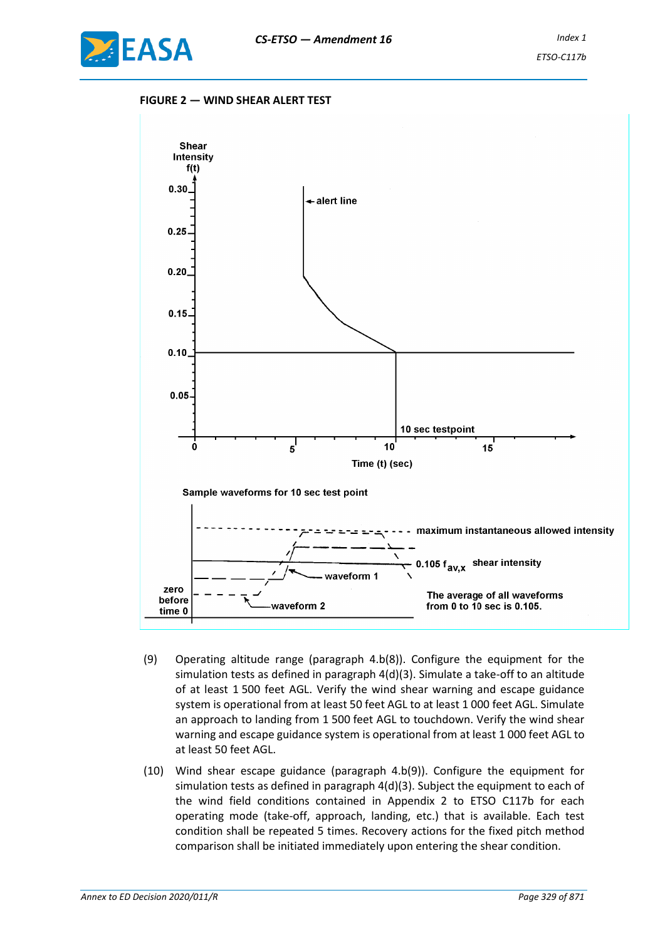

#### **FIGURE 2 — WIND SHEAR ALERT TEST**



- (9) Operating altitude range (paragraph 4.b(8)). Configure the equipment for the simulation tests as defined in paragraph 4(d)(3). Simulate a take-off to an altitude of at least 1 500 feet AGL. Verify the wind shear warning and escape guidance system is operational from at least 50 feet AGL to at least 1 000 feet AGL. Simulate an approach to landing from 1 500 feet AGL to touchdown. Verify the wind shear warning and escape guidance system is operational from at least 1 000 feet AGL to at least 50 feet AGL.
- (10) Wind shear escape guidance (paragraph 4.b(9)). Configure the equipment for simulation tests as defined in paragraph 4(d)(3). Subject the equipment to each of the wind field conditions contained in Appendix 2 to ETSO C117b for each operating mode (take-off, approach, landing, etc.) that is available. Each test condition shall be repeated 5 times. Recovery actions for the fixed pitch method comparison shall be initiated immediately upon entering the shear condition.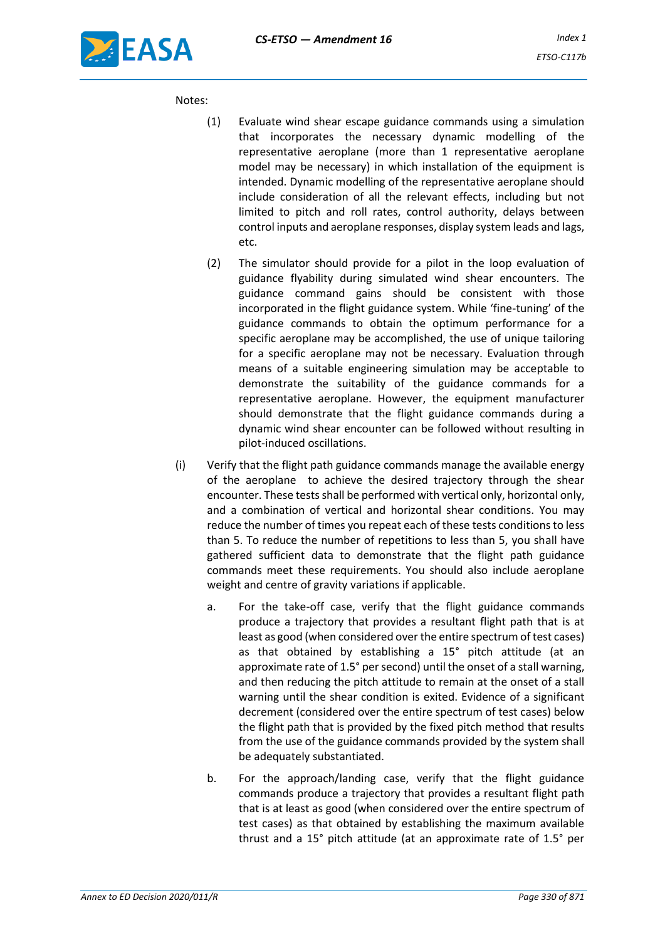#### Notes:

- (1) Evaluate wind shear escape guidance commands using a simulation that incorporates the necessary dynamic modelling of the representative aeroplane (more than 1 representative aeroplane model may be necessary) in which installation of the equipment is intended. Dynamic modelling of the representative aeroplane should include consideration of all the relevant effects, including but not limited to pitch and roll rates, control authority, delays between control inputs and aeroplane responses, display system leads and lags, etc.
- (2) The simulator should provide for a pilot in the loop evaluation of guidance flyability during simulated wind shear encounters. The guidance command gains should be consistent with those incorporated in the flight guidance system. While 'fine-tuning' of the guidance commands to obtain the optimum performance for a specific aeroplane may be accomplished, the use of unique tailoring for a specific aeroplane may not be necessary. Evaluation through means of a suitable engineering simulation may be acceptable to demonstrate the suitability of the guidance commands for a representative aeroplane. However, the equipment manufacturer should demonstrate that the flight guidance commands during a dynamic wind shear encounter can be followed without resulting in pilot-induced oscillations.
- (i) Verify that the flight path guidance commands manage the available energy of the aeroplane to achieve the desired trajectory through the shear encounter. These tests shall be performed with vertical only, horizontal only, and a combination of vertical and horizontal shear conditions. You may reduce the number of times you repeat each of these tests conditions to less than 5. To reduce the number of repetitions to less than 5, you shall have gathered sufficient data to demonstrate that the flight path guidance commands meet these requirements. You should also include aeroplane weight and centre of gravity variations if applicable.
	- a. For the take-off case, verify that the flight guidance commands produce a trajectory that provides a resultant flight path that is at least as good (when considered over the entire spectrum of test cases) as that obtained by establishing a 15° pitch attitude (at an approximate rate of 1.5° per second) until the onset of a stall warning, and then reducing the pitch attitude to remain at the onset of a stall warning until the shear condition is exited. Evidence of a significant decrement (considered over the entire spectrum of test cases) below the flight path that is provided by the fixed pitch method that results from the use of the guidance commands provided by the system shall be adequately substantiated.
	- b. For the approach/landing case, verify that the flight guidance commands produce a trajectory that provides a resultant flight path that is at least as good (when considered over the entire spectrum of test cases) as that obtained by establishing the maximum available thrust and a 15° pitch attitude (at an approximate rate of 1.5° per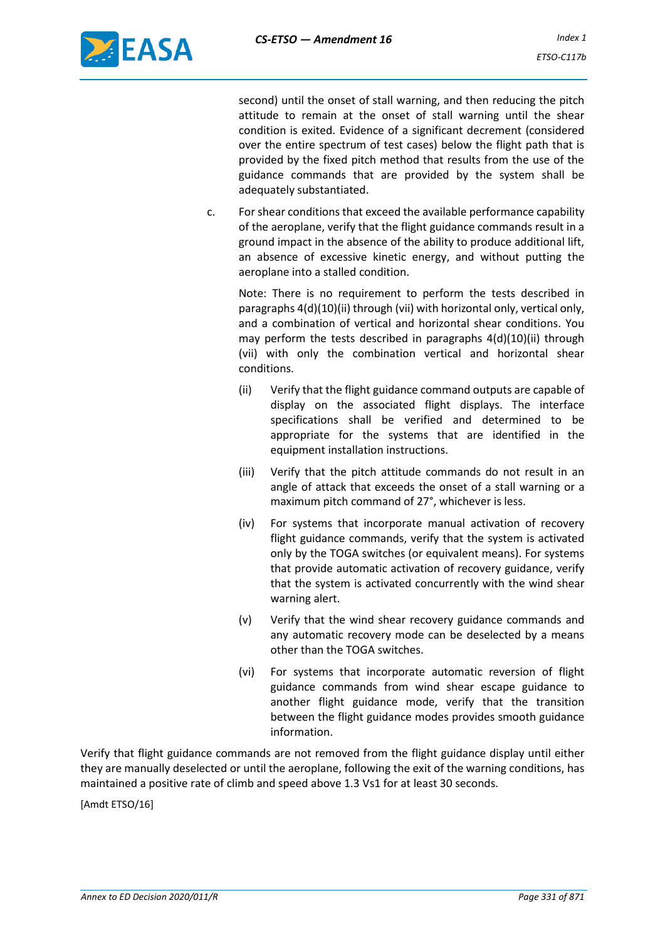

second) until the onset of stall warning, and then reducing the pitch attitude to remain at the onset of stall warning until the shear condition is exited. Evidence of a significant decrement (considered over the entire spectrum of test cases) below the flight path that is provided by the fixed pitch method that results from the use of the guidance commands that are provided by the system shall be adequately substantiated.

c. For shear conditions that exceed the available performance capability of the aeroplane, verify that the flight guidance commands result in a ground impact in the absence of the ability to produce additional lift, an absence of excessive kinetic energy, and without putting the aeroplane into a stalled condition.

Note: There is no requirement to perform the tests described in paragraphs 4(d)(10)(ii) through (vii) with horizontal only, vertical only, and a combination of vertical and horizontal shear conditions. You may perform the tests described in paragraphs 4(d)(10)(ii) through (vii) with only the combination vertical and horizontal shear conditions.

- (ii) Verify that the flight guidance command outputs are capable of display on the associated flight displays. The interface specifications shall be verified and determined to be appropriate for the systems that are identified in the equipment installation instructions.
- (iii) Verify that the pitch attitude commands do not result in an angle of attack that exceeds the onset of a stall warning or a maximum pitch command of 27°, whichever is less.
- (iv) For systems that incorporate manual activation of recovery flight guidance commands, verify that the system is activated only by the TOGA switches (or equivalent means). For systems that provide automatic activation of recovery guidance, verify that the system is activated concurrently with the wind shear warning alert.
- (v) Verify that the wind shear recovery guidance commands and any automatic recovery mode can be deselected by a means other than the TOGA switches.
- (vi) For systems that incorporate automatic reversion of flight guidance commands from wind shear escape guidance to another flight guidance mode, verify that the transition between the flight guidance modes provides smooth guidance information.

Verify that flight guidance commands are not removed from the flight guidance display until either they are manually deselected or until the aeroplane, following the exit of the warning conditions, has maintained a positive rate of climb and speed above 1.3 Vs1 for at least 30 seconds.

[Amdt ETSO/16]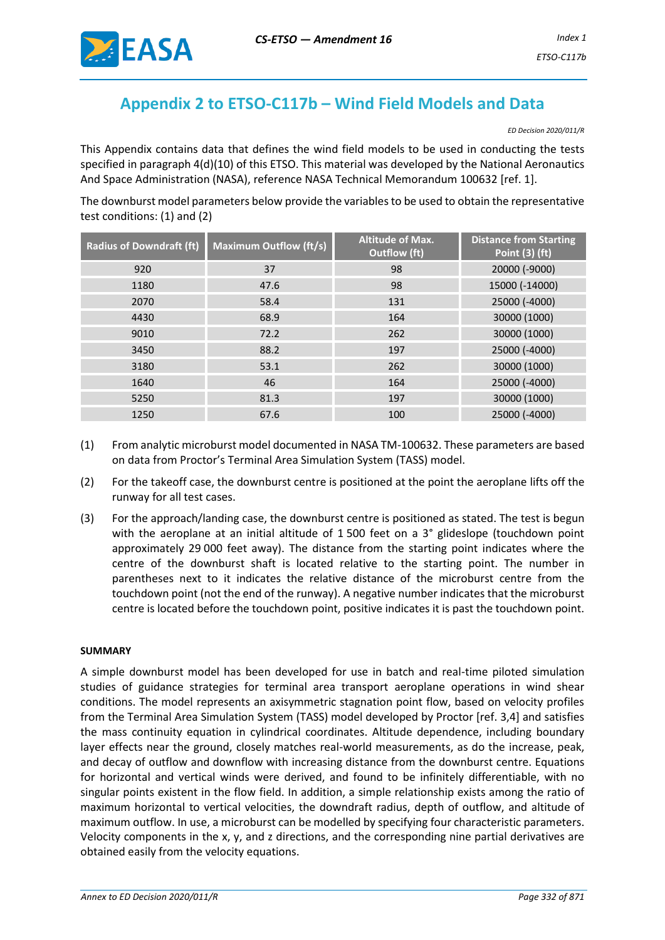

# **Appendix 2 to ETSO-C117b – Wind Field Models and Data**

*ED Decision 2020/011/R*

This Appendix contains data that defines the wind field models to be used in conducting the tests specified in paragraph 4(d)(10) of this ETSO. This material was developed by the National Aeronautics And Space Administration (NASA), reference NASA Technical Memorandum 100632 [ref. 1].

The downburst model parameters below provide the variables to be used to obtain the representative test conditions: (1) and (2)

| <b>Radius of Downdraft (ft)</b> | <b>Maximum Outflow (ft/s)</b> | <b>Altitude of Max.</b><br><b>Outflow</b> (ft) | <b>Distance from Starting</b><br><b>Point (3) (ft)</b> |
|---------------------------------|-------------------------------|------------------------------------------------|--------------------------------------------------------|
| 920                             | 37                            | 98                                             | 20000 (-9000)                                          |
| 1180                            | 47.6                          | 98                                             | 15000 (-14000)                                         |
| 2070                            | 58.4                          | 131                                            | 25000 (-4000)                                          |
| 4430                            | 68.9                          | 164                                            | 30000 (1000)                                           |
| 9010                            | 72.2                          | 262                                            | 30000 (1000)                                           |
| 3450                            | 88.2                          | 197                                            | 25000 (-4000)                                          |
| 3180                            | 53.1                          | 262                                            | 30000 (1000)                                           |
| 1640                            | 46                            | 164                                            | 25000 (-4000)                                          |
| 5250                            | 81.3                          | 197                                            | 30000 (1000)                                           |
| 1250                            | 67.6                          | 100                                            | 25000 (-4000)                                          |

- (1) From analytic microburst model documented in NASA TM-100632. These parameters are based on data from Proctor's Terminal Area Simulation System (TASS) model.
- (2) For the takeoff case, the downburst centre is positioned at the point the aeroplane lifts off the runway for all test cases.
- (3) For the approach/landing case, the downburst centre is positioned as stated. The test is begun with the aeroplane at an initial altitude of 1 500 feet on a 3° glideslope (touchdown point approximately 29 000 feet away). The distance from the starting point indicates where the centre of the downburst shaft is located relative to the starting point. The number in parentheses next to it indicates the relative distance of the microburst centre from the touchdown point (not the end of the runway). A negative number indicates that the microburst centre is located before the touchdown point, positive indicates it is past the touchdown point.

### **SUMMARY**

A simple downburst model has been developed for use in batch and real-time piloted simulation studies of guidance strategies for terminal area transport aeroplane operations in wind shear conditions. The model represents an axisymmetric stagnation point flow, based on velocity profiles from the Terminal Area Simulation System (TASS) model developed by Proctor [ref. 3,4] and satisfies the mass continuity equation in cylindrical coordinates. Altitude dependence, including boundary layer effects near the ground, closely matches real-world measurements, as do the increase, peak, and decay of outflow and downflow with increasing distance from the downburst centre. Equations for horizontal and vertical winds were derived, and found to be infinitely differentiable, with no singular points existent in the flow field. In addition, a simple relationship exists among the ratio of maximum horizontal to vertical velocities, the downdraft radius, depth of outflow, and altitude of maximum outflow. In use, a microburst can be modelled by specifying four characteristic parameters. Velocity components in the x, y, and z directions, and the corresponding nine partial derivatives are obtained easily from the velocity equations.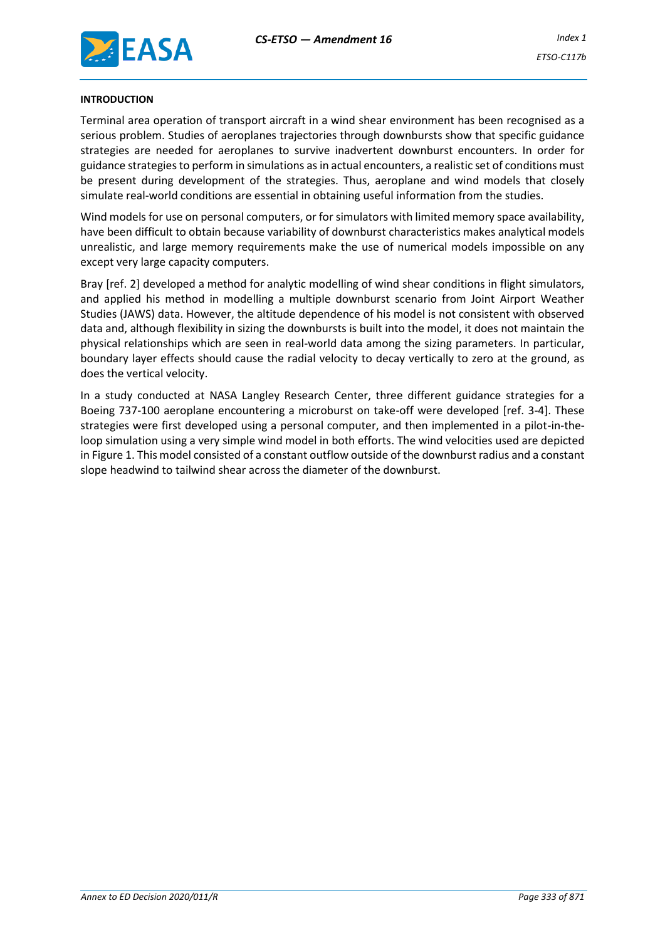

#### **INTRODUCTION**

Terminal area operation of transport aircraft in a wind shear environment has been recognised as a serious problem. Studies of aeroplanes trajectories through downbursts show that specific guidance strategies are needed for aeroplanes to survive inadvertent downburst encounters. In order for guidance strategies to perform in simulations as in actual encounters, a realistic set of conditions must be present during development of the strategies. Thus, aeroplane and wind models that closely simulate real-world conditions are essential in obtaining useful information from the studies.

Wind models for use on personal computers, or for simulators with limited memory space availability, have been difficult to obtain because variability of downburst characteristics makes analytical models unrealistic, and large memory requirements make the use of numerical models impossible on any except very large capacity computers.

Bray [ref. 2] developed a method for analytic modelling of wind shear conditions in flight simulators, and applied his method in modelling a multiple downburst scenario from Joint Airport Weather Studies (JAWS) data. However, the altitude dependence of his model is not consistent with observed data and, although flexibility in sizing the downbursts is built into the model, it does not maintain the physical relationships which are seen in real-world data among the sizing parameters. In particular, boundary layer effects should cause the radial velocity to decay vertically to zero at the ground, as does the vertical velocity.

In a study conducted at NASA Langley Research Center, three different guidance strategies for a Boeing 737-100 aeroplane encountering a microburst on take-off were developed [ref. 3-4]. These strategies were first developed using a personal computer, and then implemented in a pilot-in-theloop simulation using a very simple wind model in both efforts. The wind velocities used are depicted in Figure 1. This model consisted of a constant outflow outside of the downburst radius and a constant slope headwind to tailwind shear across the diameter of the downburst.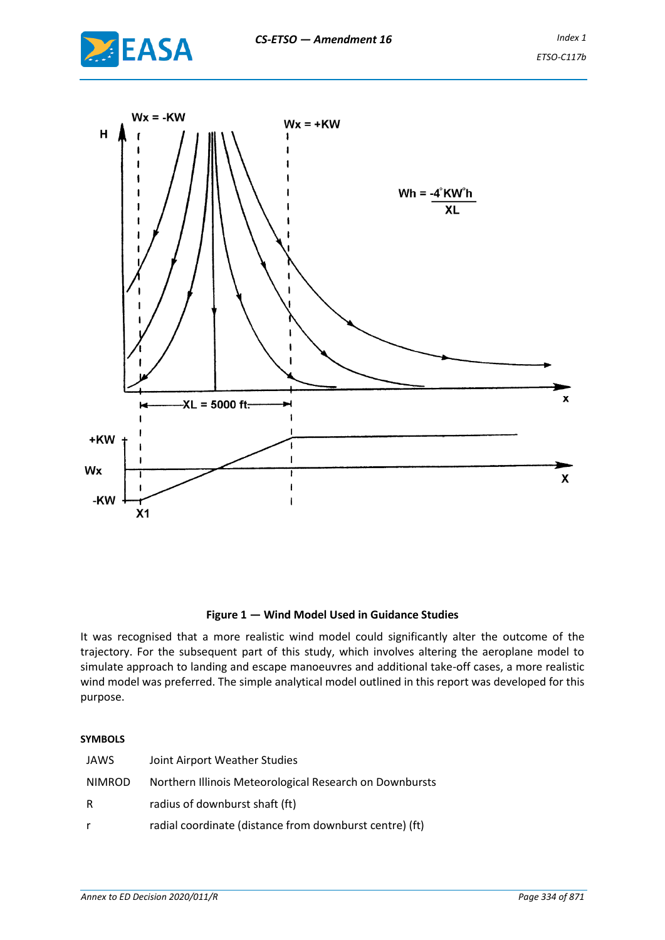



### **Figure 1 — Wind Model Used in Guidance Studies**

It was recognised that a more realistic wind model could significantly alter the outcome of the trajectory. For the subsequent part of this study, which involves altering the aeroplane model to simulate approach to landing and escape manoeuvres and additional take-off cases, a more realistic wind model was preferred. The simple analytical model outlined in this report was developed for this purpose.

#### **SYMBOLS**

| JAWS   | Joint Airport Weather Studies                           |
|--------|---------------------------------------------------------|
| NIMROD | Northern Illinois Meteorological Research on Downbursts |
| R      | radius of downburst shaft (ft)                          |
| r.     | radial coordinate (distance from downburst centre) (ft) |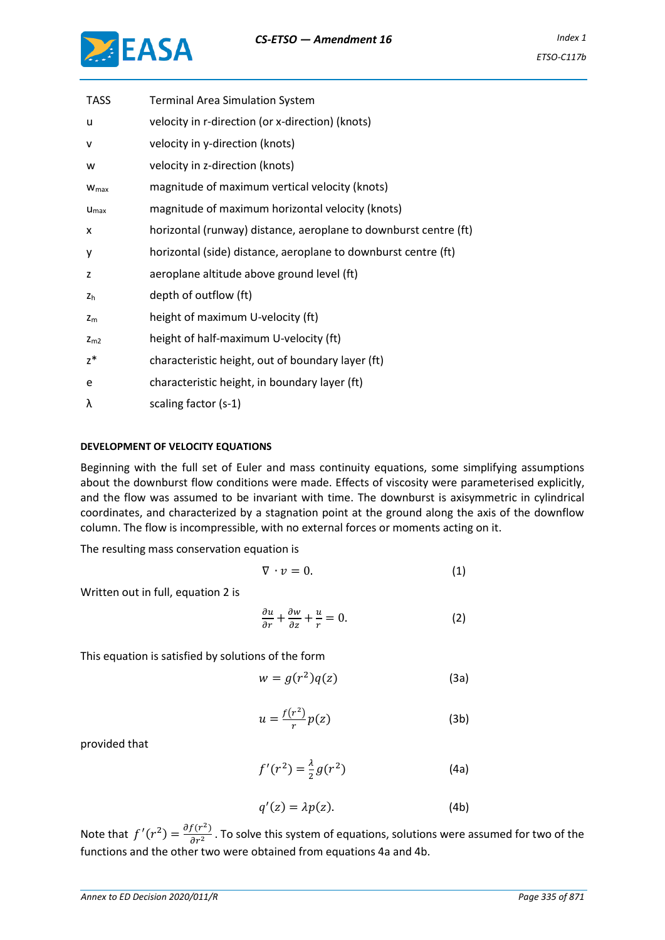

| <b>TASS</b>      | <b>Terminal Area Simulation System</b>                           |
|------------------|------------------------------------------------------------------|
| u                | velocity in r-direction (or x-direction) (knots)                 |
| v                | velocity in y-direction (knots)                                  |
| w                | velocity in z-direction (knots)                                  |
| W <sub>max</sub> | magnitude of maximum vertical velocity (knots)                   |
| $U_{\text{max}}$ | magnitude of maximum horizontal velocity (knots)                 |
| x                | horizontal (runway) distance, aeroplane to downburst centre (ft) |
| у                | horizontal (side) distance, aeroplane to downburst centre (ft)   |
| z                | aeroplane altitude above ground level (ft)                       |
| z <sub>h</sub>   | depth of outflow (ft)                                            |
| $z_{m}$          | height of maximum U-velocity (ft)                                |
| $Z_{m2}$         | height of half-maximum U-velocity (ft)                           |
| $z^*$            | characteristic height, out of boundary layer (ft)                |
| e                | characteristic height, in boundary layer (ft)                    |
| λ                | scaling factor (s-1)                                             |

### **DEVELOPMENT OF VELOCITY EQUATIONS**

Beginning with the full set of Euler and mass continuity equations, some simplifying assumptions about the downburst flow conditions were made. Effects of viscosity were parameterised explicitly, and the flow was assumed to be invariant with time. The downburst is axisymmetric in cylindrical coordinates, and characterized by a stagnation point at the ground along the axis of the downflow column. The flow is incompressible, with no external forces or moments acting on it.

The resulting mass conservation equation is

$$
\nabla \cdot \mathbf{v} = 0. \tag{1}
$$

Written out in full, equation 2 is

$$
\frac{\partial u}{\partial r} + \frac{\partial w}{\partial z} + \frac{u}{r} = 0.
$$
 (2)

This equation is satisfied by solutions of the form

$$
w = g(r^2)q(z) \tag{3a}
$$

$$
u = \frac{f(r^2)}{r}p(z) \tag{3b}
$$

provided that

$$
f'(r^2) = \frac{\lambda}{2}g(r^2)
$$
 (4a)

$$
q'(z) = \lambda p(z). \tag{4b}
$$

Note that  $f'(r^2) = \frac{\partial f(r^2)}{\partial r^2}$  $\frac{f(t)}{\partial r^2}$ . To solve this system of equations, solutions were assumed for two of the functions and the other two were obtained from equations 4a and 4b.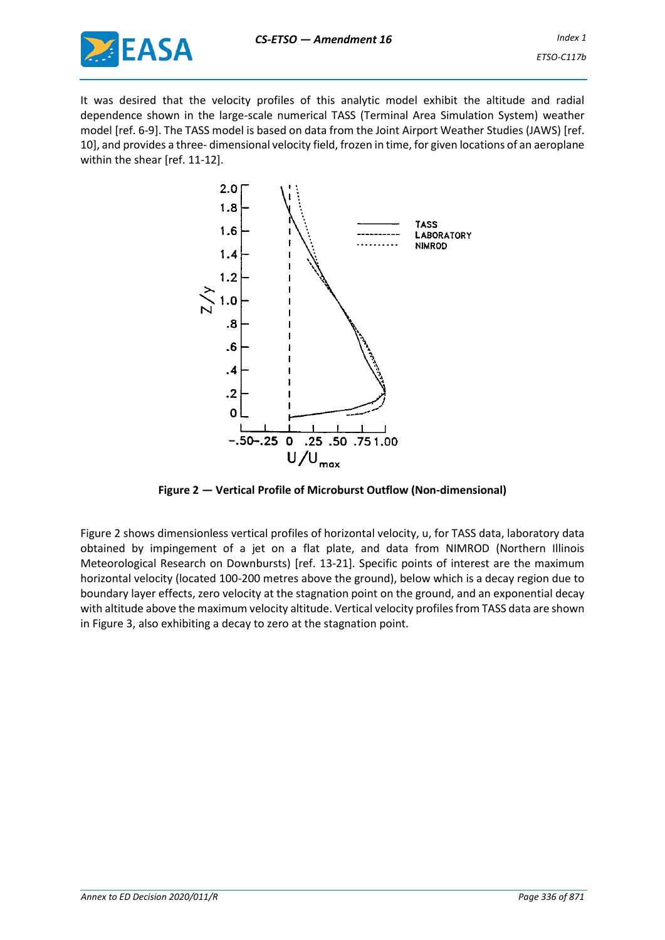

It was desired that the velocity profiles of this analytic model exhibit the altitude and radial dependence shown in the large-scale numerical TASS (Terminal Area Simulation System) weather model [ref. 6-9]. The TASS model is based on data from the Joint Airport Weather Studies (JAWS) [ref. 10], and provides a three- dimensional velocity field, frozen in time, for given locations of an aeroplane within the shear [ref. 11-12].



**Figure 2 — Vertical Profile of Microburst Outflow (Non-dimensional)**

Figure 2 shows dimensionless vertical profiles of horizontal velocity, u, for TASS data, laboratory data obtained by impingement of a jet on a flat plate, and data from NIMROD (Northern Illinois Meteorological Research on Downbursts) [ref. 13-21]. Specific points of interest are the maximum horizontal velocity (located 100-200 metres above the ground), below which is a decay region due to boundary layer effects, zero velocity at the stagnation point on the ground, and an exponential decay with altitude above the maximum velocity altitude. Vertical velocity profiles from TASS data are shown in Figure 3, also exhibiting a decay to zero at the stagnation point.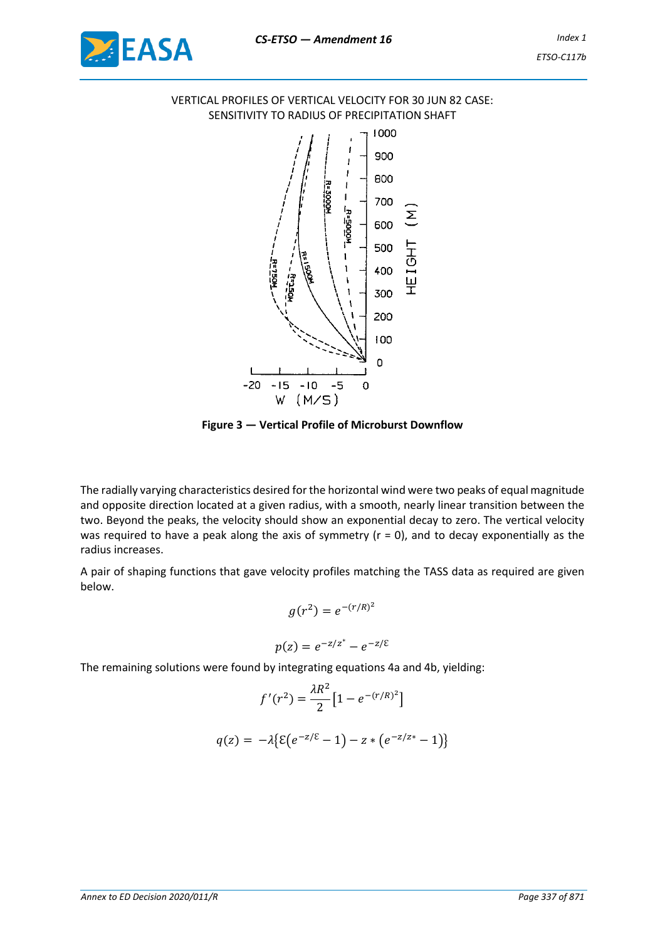

## VERTICAL PROFILES OF VERTICAL VELOCITY FOR 30 JUN 82 CASE: SENSITIVITY TO RADIUS OF PRECIPITATION SHAFT



**Figure 3 — Vertical Profile of Microburst Downflow**

The radially varying characteristics desired for the horizontal wind were two peaks of equal magnitude and opposite direction located at a given radius, with a smooth, nearly linear transition between the two. Beyond the peaks, the velocity should show an exponential decay to zero. The vertical velocity was required to have a peak along the axis of symmetry  $(r = 0)$ , and to decay exponentially as the radius increases.

A pair of shaping functions that gave velocity profiles matching the TASS data as required are given below.

$$
g(r^2) = e^{-(r/R)^2}
$$

$$
p(z) = e^{-z/z^*} - e^{-z/\varepsilon}
$$

The remaining solutions were found by integrating equations 4a and 4b, yielding:

$$
f'(r^{2}) = \frac{\lambda R^{2}}{2} \left[ 1 - e^{-(r/R)^{2}} \right]
$$

$$
q(z) = -\lambda \{ \mathcal{E} (e^{-z/\mathcal{E}} - 1) - z * (e^{-z/z^{*}} - 1) \}
$$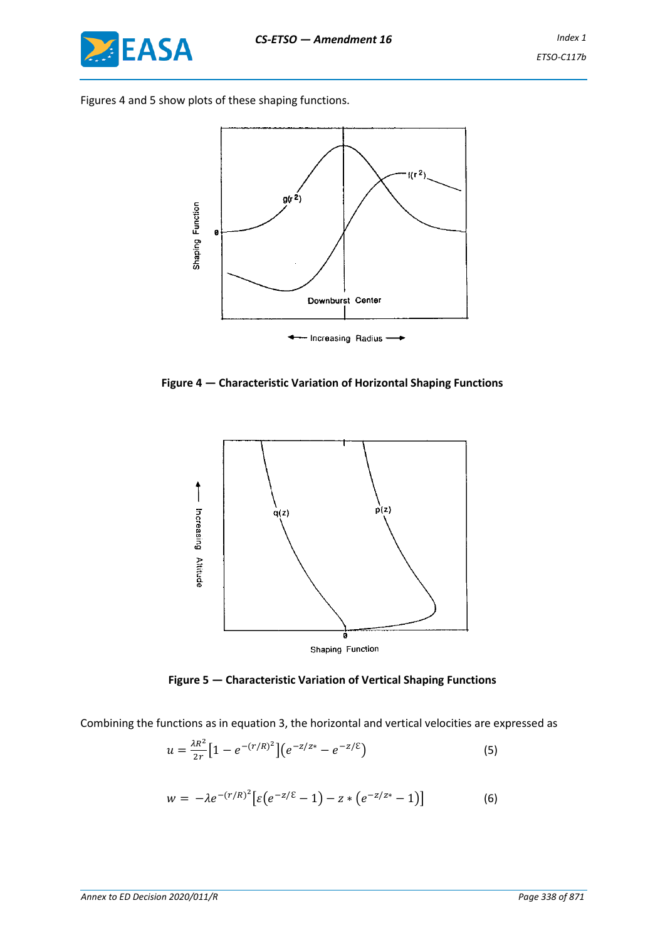

Figures 4 and 5 show plots of these shaping functions.



**Figure 4 — Characteristic Variation of Horizontal Shaping Functions**



**Figure 5 — Characteristic Variation of Vertical Shaping Functions**

Combining the functions as in equation 3, the horizontal and vertical velocities are expressed as

$$
u = \frac{\lambda R^2}{2r} \left[ 1 - e^{-(r/R)^2} \right] \left( e^{-z/z^*} - e^{-z/\epsilon} \right) \tag{5}
$$

$$
w = -\lambda e^{-(r/R)^2} \big[ \varepsilon \big( e^{-z/\varepsilon} - 1 \big) - z * \big( e^{-z/z} - 1 \big) \big] \tag{6}
$$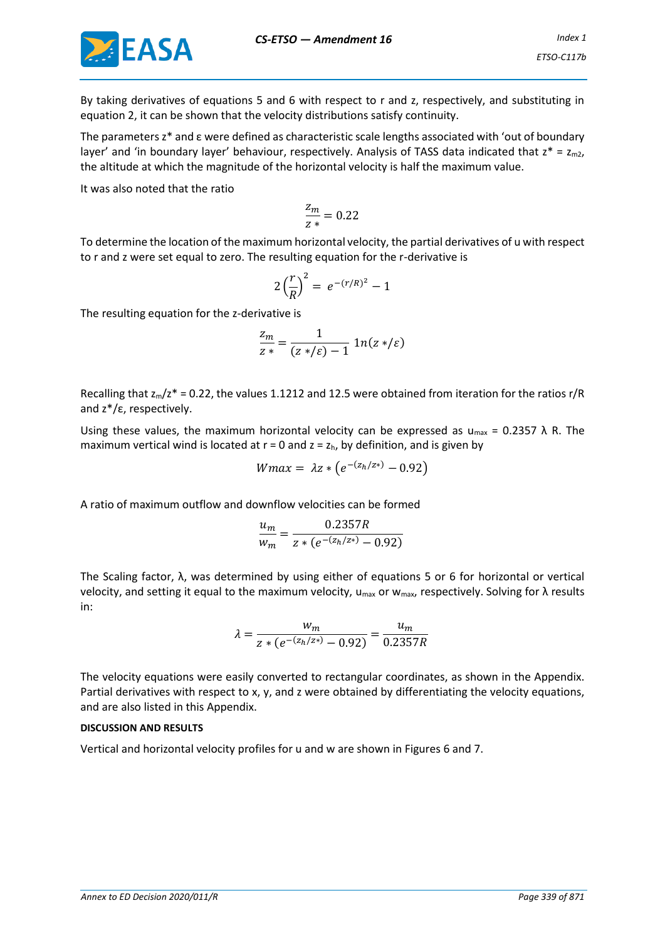

By taking derivatives of equations 5 and 6 with respect to r and z, respectively, and substituting in equation 2, it can be shown that the velocity distributions satisfy continuity.

The parameters z\* and ε were defined as characteristic scale lengths associated with 'out of boundary layer' and 'in boundary layer' behaviour, respectively. Analysis of TASS data indicated that  $z^* = z_{m2}$ , the altitude at which the magnitude of the horizontal velocity is half the maximum value.

It was also noted that the ratio

$$
\frac{z_m}{z*}=0.22
$$

To determine the location of the maximum horizontal velocity, the partial derivatives of u with respect to r and z were set equal to zero. The resulting equation for the r-derivative is

$$
2\left(\frac{r}{R}\right)^2 = e^{-(r/R)^2} - 1
$$

The resulting equation for the z-derivative is

$$
\frac{z_m}{z*} = \frac{1}{(z*/\varepsilon) - 1} \ln(z*/\varepsilon)
$$

Recalling that  $z_m/z^*$  = 0.22, the values 1.1212 and 12.5 were obtained from iteration for the ratios r/R and z\*/ε, respectively.

Using these values, the maximum horizontal velocity can be expressed as  $u_{max} = 0.2357 \lambda R$ . The maximum vertical wind is located at  $r = 0$  and  $z = z_h$ , by definition, and is given by

$$
Wmax = \lambda z * (e^{-(z_h/z*)} - 0.92)
$$

A ratio of maximum outflow and downflow velocities can be formed

$$
\frac{u_m}{w_m} = \frac{0.2357R}{z * (e^{-(z_h/z*)} - 0.92)}
$$

The Scaling factor, λ, was determined by using either of equations 5 or 6 for horizontal or vertical velocity, and setting it equal to the maximum velocity,  $u_{max}$  or w<sub>max</sub>, respectively. Solving for λ results in:

$$
\lambda = \frac{w_m}{z * (e^{-(z_h/z*)} - 0.92)} = \frac{u_m}{0.2357R}
$$

The velocity equations were easily converted to rectangular coordinates, as shown in the Appendix. Partial derivatives with respect to x, y, and z were obtained by differentiating the velocity equations, and are also listed in this Appendix.

### **DISCUSSION AND RESULTS**

Vertical and horizontal velocity profiles for u and w are shown in Figures 6 and 7.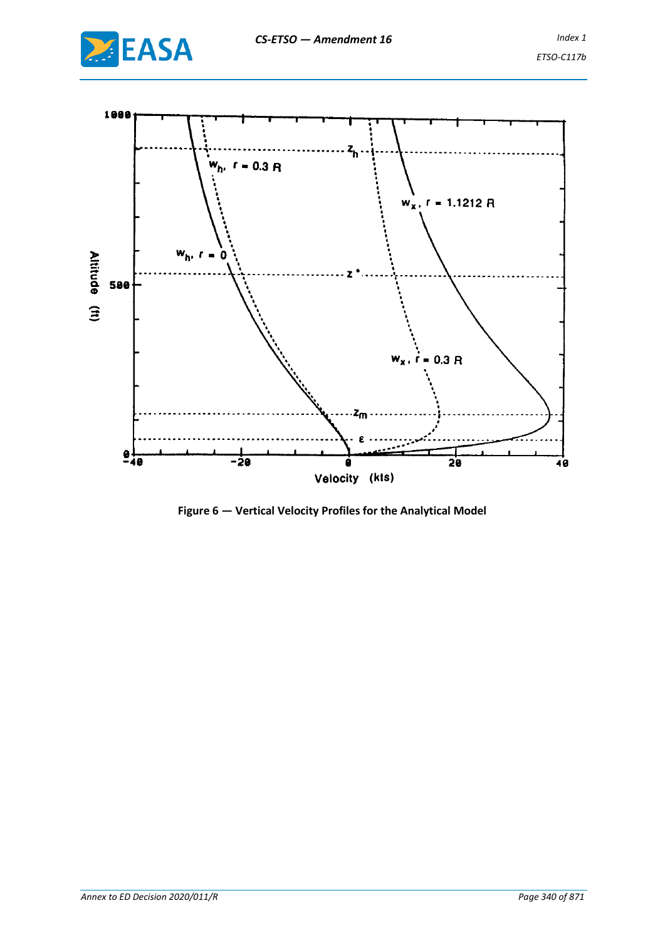



**Figure 6 — Vertical Velocity Profiles for the Analytical Model**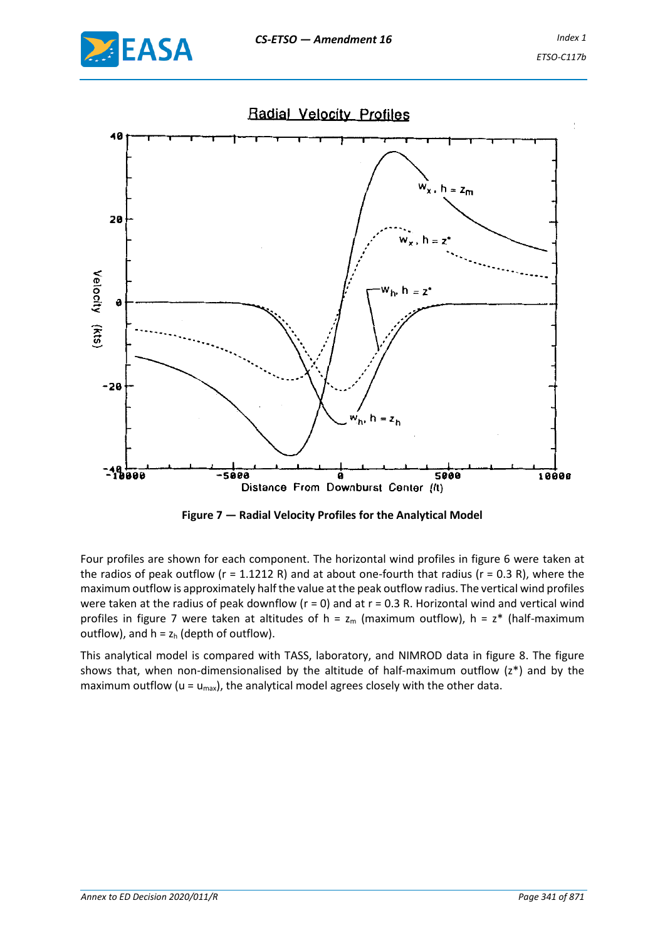



**Figure 7 — Radial Velocity Profiles for the Analytical Model**

Four profiles are shown for each component. The horizontal wind profiles in figure 6 were taken at the radios of peak outflow ( $r = 1.1212$  R) and at about one-fourth that radius ( $r = 0.3$  R), where the maximum outflow is approximately half the value at the peak outflow radius. The vertical wind profiles were taken at the radius of peak downflow ( $r = 0$ ) and at  $r = 0.3$  R. Horizontal wind and vertical wind profiles in figure 7 were taken at altitudes of h =  $z_m$  (maximum outflow), h =  $z^*$  (half-maximum outflow), and  $h = z_h$  (depth of outflow).

This analytical model is compared with TASS, laboratory, and NIMROD data in figure 8. The figure shows that, when non-dimensionalised by the altitude of half-maximum outflow (z\*) and by the maximum outflow ( $u = u_{\text{max}}$ ), the analytical model agrees closely with the other data.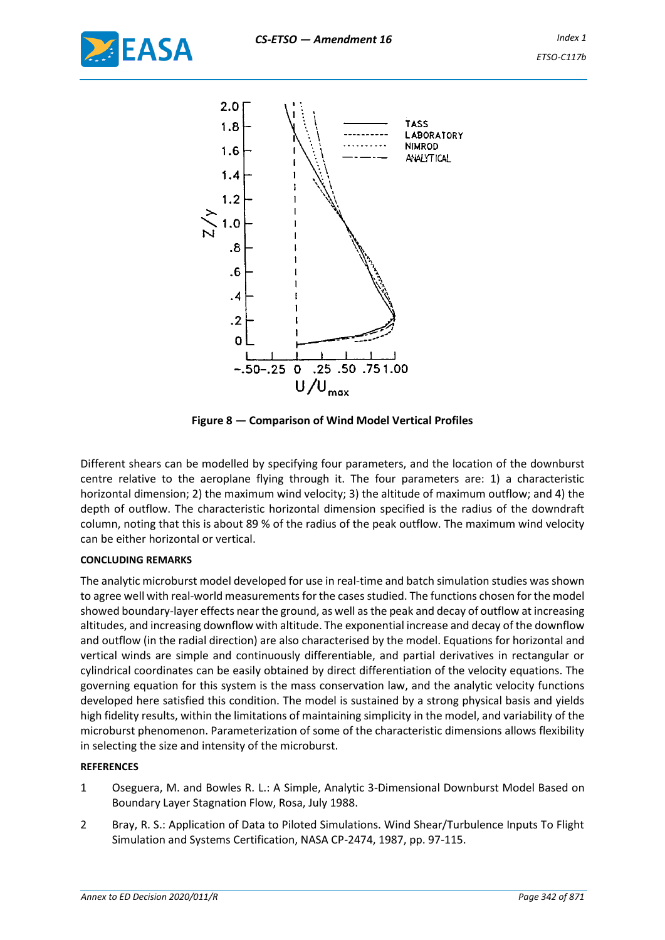



**Figure 8 — Comparison of Wind Model Vertical Profiles**

Different shears can be modelled by specifying four parameters, and the location of the downburst centre relative to the aeroplane flying through it. The four parameters are: 1) a characteristic horizontal dimension; 2) the maximum wind velocity; 3) the altitude of maximum outflow; and 4) the depth of outflow. The characteristic horizontal dimension specified is the radius of the downdraft column, noting that this is about 89 % of the radius of the peak outflow. The maximum wind velocity can be either horizontal or vertical.

### **CONCLUDING REMARKS**

The analytic microburst model developed for use in real-time and batch simulation studies was shown to agree well with real-world measurements for the cases studied. The functions chosen for the model showed boundary-layer effects near the ground, as well as the peak and decay of outflow at increasing altitudes, and increasing downflow with altitude. The exponential increase and decay of the downflow and outflow (in the radial direction) are also characterised by the model. Equations for horizontal and vertical winds are simple and continuously differentiable, and partial derivatives in rectangular or cylindrical coordinates can be easily obtained by direct differentiation of the velocity equations. The governing equation for this system is the mass conservation law, and the analytic velocity functions developed here satisfied this condition. The model is sustained by a strong physical basis and yields high fidelity results, within the limitations of maintaining simplicity in the model, and variability of the microburst phenomenon. Parameterization of some of the characteristic dimensions allows flexibility in selecting the size and intensity of the microburst.

### **REFERENCES**

- 1 Oseguera, M. and Bowles R. L.: A Simple, Analytic 3-Dimensional Downburst Model Based on Boundary Layer Stagnation Flow, Rosa, July 1988.
- 2 Bray, R. S.: Application of Data to Piloted Simulations. Wind Shear/Turbulence Inputs To Flight Simulation and Systems Certification, NASA CP-2474, 1987, pp. 97-115.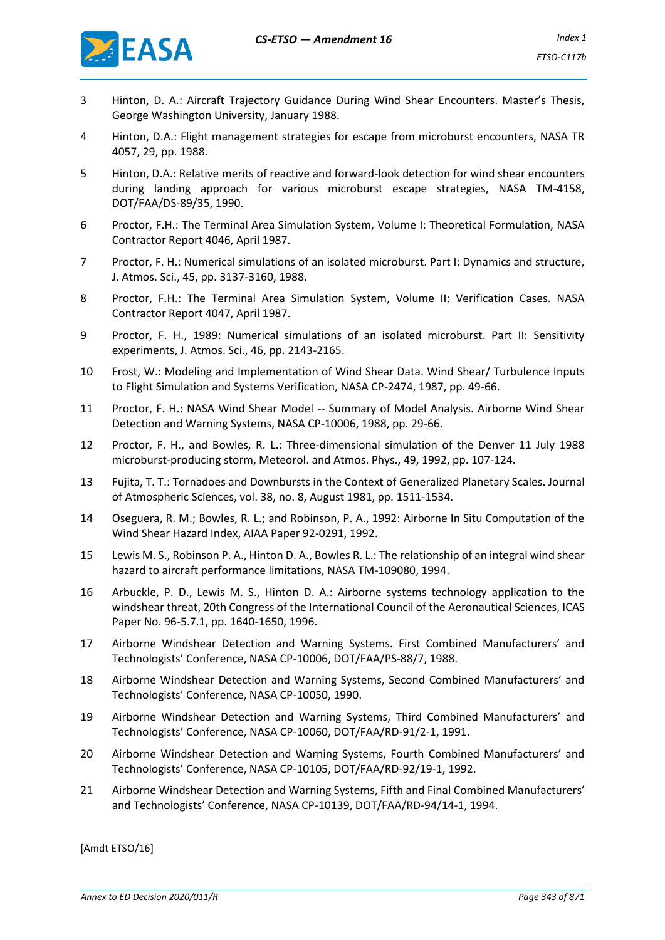

- 3 Hinton, D. A.: Aircraft Trajectory Guidance During Wind Shear Encounters. Master's Thesis, George Washington University, January 1988.
- 4 Hinton, D.A.: Flight management strategies for escape from microburst encounters, NASA TR 4057, 29, pp. 1988.
- 5 Hinton, D.A.: Relative merits of reactive and forward-look detection for wind shear encounters during landing approach for various microburst escape strategies, NASA TM-4158, DOT/FAA/DS-89/35, 1990.
- 6 Proctor, F.H.: The Terminal Area Simulation System, Volume I: Theoretical Formulation, NASA Contractor Report 4046, April 1987.
- 7 Proctor, F. H.: Numerical simulations of an isolated microburst. Part I: Dynamics and structure, J. Atmos. Sci., 45, pp. 3137-3160, 1988.
- 8 Proctor, F.H.: The Terminal Area Simulation System, Volume II: Verification Cases. NASA Contractor Report 4047, April 1987.
- 9 Proctor, F. H., 1989: Numerical simulations of an isolated microburst. Part II: Sensitivity experiments, J. Atmos. Sci., 46, pp. 2143-2165.
- 10 Frost, W.: Modeling and Implementation of Wind Shear Data. Wind Shear/ Turbulence Inputs to Flight Simulation and Systems Verification, NASA CP-2474, 1987, pp. 49-66.
- 11 Proctor, F. H.: NASA Wind Shear Model -- Summary of Model Analysis. Airborne Wind Shear Detection and Warning Systems, NASA CP-10006, 1988, pp. 29-66.
- 12 Proctor, F. H., and Bowles, R. L.: Three-dimensional simulation of the Denver 11 July 1988 microburst-producing storm, Meteorol. and Atmos. Phys., 49, 1992, pp. 107-124.
- 13 Fujita, T. T.: Tornadoes and Downbursts in the Context of Generalized Planetary Scales. Journal of Atmospheric Sciences, vol. 38, no. 8, August 1981, pp. 1511-1534.
- 14 Oseguera, R. M.; Bowles, R. L.; and Robinson, P. A., 1992: Airborne In Situ Computation of the Wind Shear Hazard Index, AIAA Paper 92-0291, 1992.
- 15 Lewis M. S., Robinson P. A., Hinton D. A., Bowles R. L.: The relationship of an integral wind shear hazard to aircraft performance limitations, NASA TM-109080, 1994.
- 16 Arbuckle, P. D., Lewis M. S., Hinton D. A.: Airborne systems technology application to the windshear threat, 20th Congress of the International Council of the Aeronautical Sciences, ICAS Paper No. 96-5.7.1, pp. 1640-1650, 1996.
- 17 Airborne Windshear Detection and Warning Systems. First Combined Manufacturers' and Technologists' Conference, NASA CP-10006, DOT/FAA/PS-88/7, 1988.
- 18 Airborne Windshear Detection and Warning Systems, Second Combined Manufacturers' and Technologists' Conference, NASA CP-10050, 1990.
- 19 Airborne Windshear Detection and Warning Systems, Third Combined Manufacturers' and Technologists' Conference, NASA CP-10060, DOT/FAA/RD-91/2-1, 1991.
- 20 Airborne Windshear Detection and Warning Systems, Fourth Combined Manufacturers' and Technologists' Conference, NASA CP-10105, DOT/FAA/RD-92/19-1, 1992.
- 21 Airborne Windshear Detection and Warning Systems, Fifth and Final Combined Manufacturers' and Technologists' Conference, NASA CP-10139, DOT/FAA/RD-94/14-1, 1994.

[Amdt ETSO/16]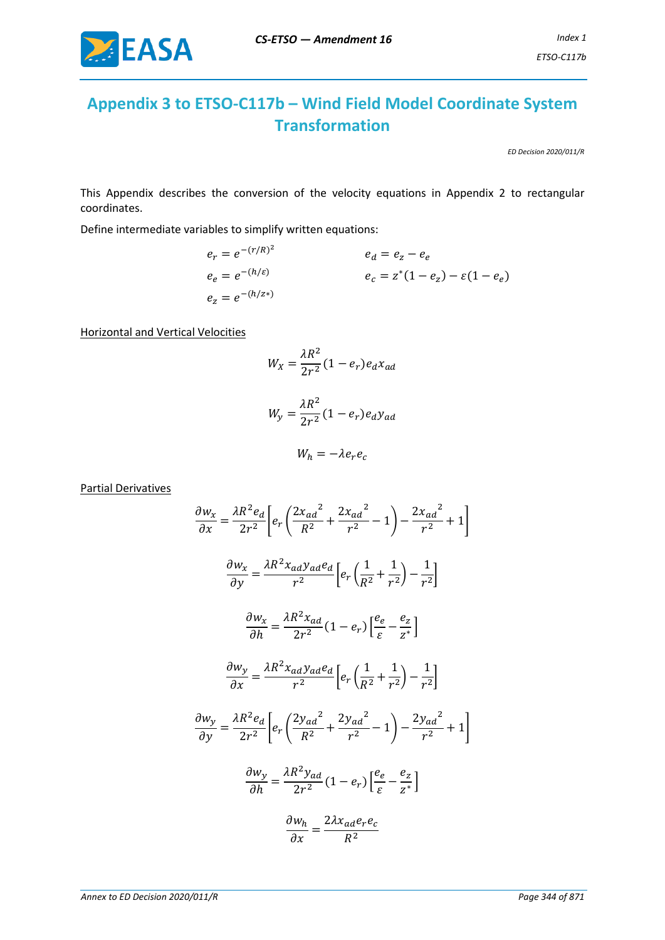

# **Appendix 3 to ETSO-C117b – Wind Field Model Coordinate System Transformation**

*ED Decision 2020/011/R*

This Appendix describes the conversion of the velocity equations in Appendix 2 to rectangular coordinates.

Define intermediate variables to simplify written equations:

$$
e_r = e^{-(r/R)^2}
$$
  
\n $e_e = e^{-(h/\varepsilon)}$   
\n $e_e = e^{-(h/z)}$   
\n $e_c = z^*(1 - e_z) - \varepsilon(1 - e_e)$   
\n $e_z = e^{-(h/z*)}$ 

Horizontal and Vertical Velocities

$$
W_X = \frac{\lambda R^2}{2r^2} (1 - e_r) e_d x_{ad}
$$

$$
W_y = \frac{\lambda R^2}{2r^2} (1 - e_r) e_d y_{ad}
$$

$$
W_h = -\lambda e_r e_c
$$

Partial Derivatives

$$
\frac{\partial w_x}{\partial x} = \frac{\lambda R^2 e_d}{2r^2} \left[ e_r \left( \frac{2x_{ad}^2}{R^2} + \frac{2x_{ad}^2}{r^2} - 1 \right) - \frac{2x_{ad}^2}{r^2} + 1 \right]
$$

$$
\frac{\partial w_x}{\partial y} = \frac{\lambda R^2 x_{ad} y_{ad} e_d}{r^2} \left[ e_r \left( \frac{1}{R^2} + \frac{1}{r^2} \right) - \frac{1}{r^2} \right]
$$

$$
\frac{\partial w_x}{\partial h} = \frac{\lambda R^2 x_{ad}}{2r^2} (1 - e_r) \left[ \frac{e_e}{\varepsilon} - \frac{e_z}{z^*} \right]
$$

$$
\frac{\partial w_y}{\partial x} = \frac{\lambda R^2 x_{ad} y_{ad} e_d}{r^2} \left[ e_r \left( \frac{1}{R^2} + \frac{1}{r^2} \right) - \frac{1}{r^2} \right]
$$

$$
\frac{\partial w_y}{\partial y} = \frac{\lambda R^2 e_d}{2r^2} \left[ e_r \left( \frac{2y_{ad}^2}{R^2} + \frac{2y_{ad}^2}{r^2} - 1 \right) - \frac{2y_{ad}^2}{r^2} + 1 \right]
$$

$$
\frac{\partial w_y}{\partial h} = \frac{\lambda R^2 y_{ad}}{2r^2} (1 - e_r) \left[ \frac{e_e}{\varepsilon} - \frac{e_z}{z^*} \right]
$$

$$
\frac{\partial w_h}{\partial x} = \frac{2\lambda x_{ad} e_r e_c}{R^2}
$$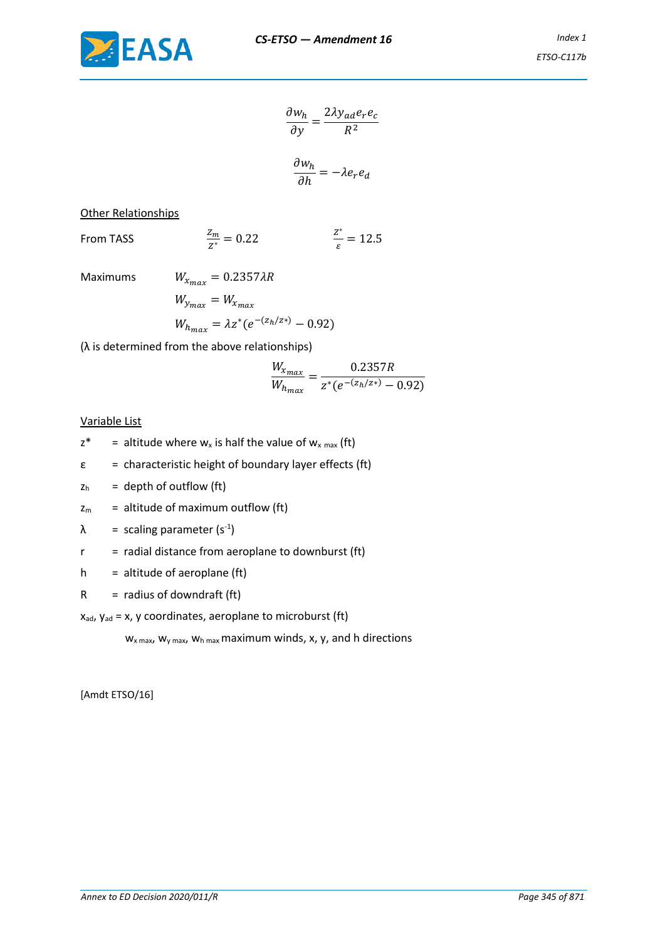

$$
\frac{\partial w_h}{\partial y} = \frac{2\lambda y_{ad} e_r e_c}{R^2}
$$

$$
\frac{\partial w_h}{\partial h} = -\lambda e_r e_d
$$

Other Relationships

From TASS  $\frac{Z_m}{Z^*} = 0.22$ ∗  $\frac{2}{\varepsilon}$  = 12.5

Maximums 
$$
W_{x_{max}} = 0.2357 \lambda R
$$
  
\n $W_{y_{max}} = W_{x_{max}}$   
\n $W_{h_{max}} = \lambda z^*(e^{-(z_h/z*)} - 0.92)$ 

(λ is determined from the above relationships)

$$
\frac{W_{x_{max}}}{W_{h_{max}}} = \frac{0.2357R}{z^*(e^{-(z_h/z*)} - 0.92)}
$$

### Variable List

- $z^*$  = altitude where  $w_x$  is half the value of  $w_x$  max (ft)
- $\epsilon$  = characteristic height of boundary layer effects (ft)
- $z<sub>h</sub>$  = depth of outflow (ft)
- $z_m$  = altitude of maximum outflow (ft)
- $\lambda$  = scaling parameter (s<sup>-1</sup>)
- $r =$  radial distance from aeroplane to downburst (ft)
- $h =$  altitude of aeroplane (ft)
- $R =$  radius of downdraft (ft)

 $x_{ad}$ ,  $y_{ad} = x$ , y coordinates, aeroplane to microburst (ft)

 $W_x$  max,  $W_y$  max,  $W_h$  max maximum winds, x, y, and h directions

[Amdt ETSO/16]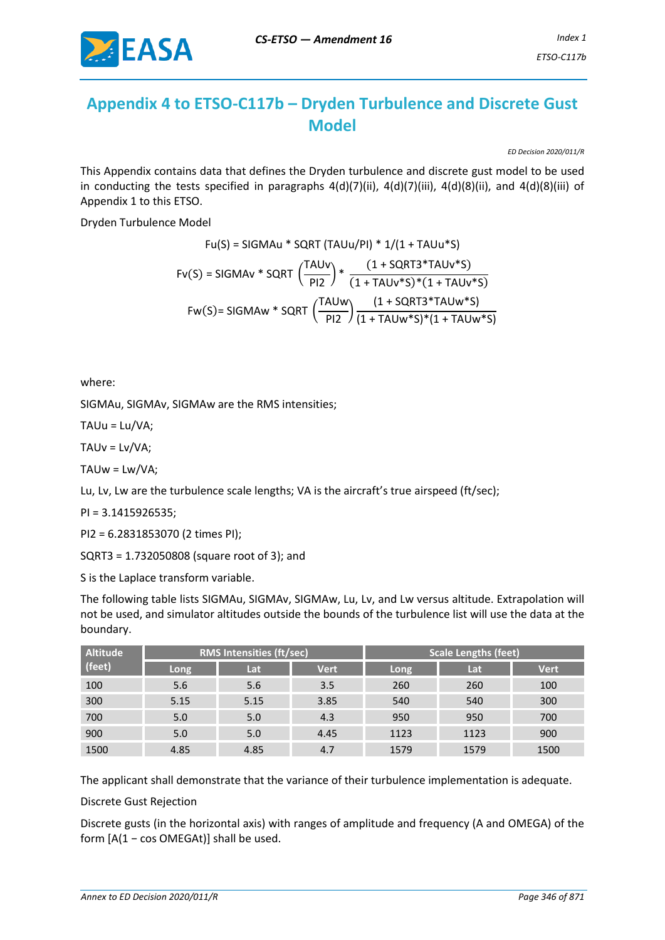

# **Appendix 4 to ETSO-C117b – Dryden Turbulence and Discrete Gust Model**

*ED Decision 2020/011/R* 

This Appendix contains data that defines the Dryden turbulence and discrete gust model to be used in conducting the tests specified in paragraphs 4(d)(7)(ii), 4(d)(7)(iii), 4(d)(8)(ii), and 4(d)(8)(iii) of Appendix 1 to this ETSO.

Dryden Turbulence Model

$$
Fu(S) = SIGMAu * SQRT (TAUu/PI) * 1/(1 + TAUu * S)
$$
  
\n
$$
Fv(S) = SIGMAv * SQRT \left(\frac{TAUv}{PI2}\right) * \frac{(1 + SQRT3 * TAUv * S)}{(1 + TAUv * S) * (1 + TAUv * S)}
$$
  
\n
$$
Fw(S) = SIGMAw * SQRT \left(\frac{TAUw}{PI2}\right) \frac{(1 + SQRT3 * TAUw * S)}{(1 + TAUw * S) * (1 + TAUw * S)}
$$

where:

SIGMAu, SIGMAv, SIGMAw are the RMS intensities;

TAUu = Lu/VA;

TAUv = Lv/VA;

TAUw = Lw/VA;

Lu, Lv, Lw are the turbulence scale lengths; VA is the aircraft's true airspeed (ft/sec);

PI = 3.1415926535;

PI2 = 6.2831853070 (2 times PI);

SQRT3 = 1.732050808 (square root of 3); and

S is the Laplace transform variable.

The following table lists SIGMAu, SIGMAv, SIGMAw, Lu, Lv, and Lw versus altitude. Extrapolation will not be used, and simulator altitudes outside the bounds of the turbulence list will use the data at the boundary.

| <b>Altitude</b> | <b>RMS Intensities (ft/sec)</b> |      | <b>Scale Lengths (feet)</b> |      |      |             |
|-----------------|---------------------------------|------|-----------------------------|------|------|-------------|
| $ $ (feet)      | Long                            | Lat  | <b>Vert</b>                 | Long | Lat  | <b>Vert</b> |
| 100             | 5.6                             | 5.6  | 3.5                         | 260  | 260  | 100         |
| 300             | 5.15                            | 5.15 | 3.85                        | 540  | 540  | 300         |
| 700             | 5.0                             | 5.0  | 4.3                         | 950  | 950  | 700         |
| 900             | 5.0                             | 5.0  | 4.45                        | 1123 | 1123 | 900         |
| 1500            | 4.85                            | 4.85 | 4.7                         | 1579 | 1579 | 1500        |

The applicant shall demonstrate that the variance of their turbulence implementation is adequate.

Discrete Gust Rejection

Discrete gusts (in the horizontal axis) with ranges of amplitude and frequency (A and OMEGA) of the form [A(1 − cos OMEGAt)] shall be used.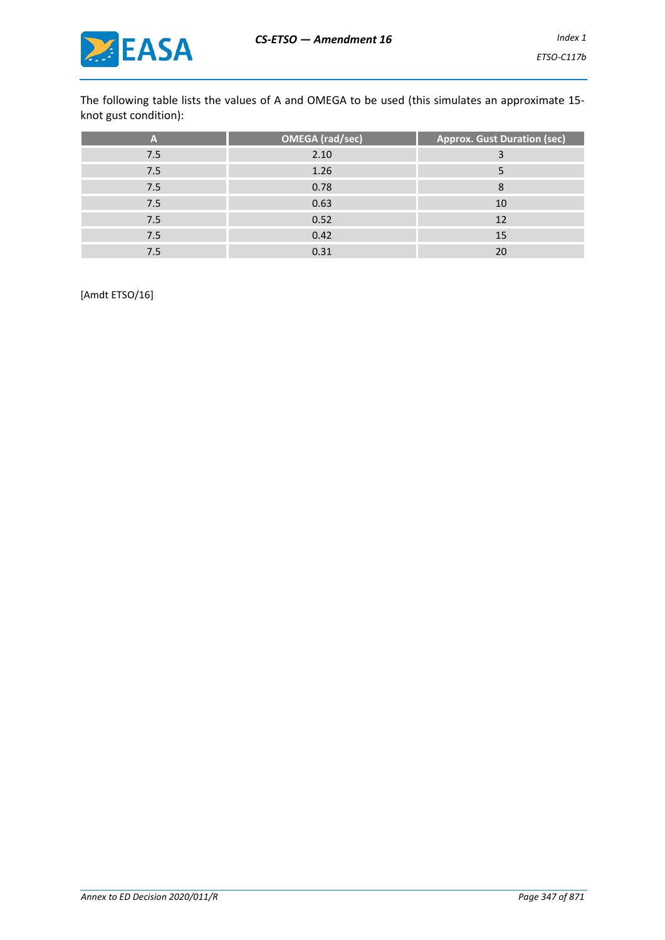

The following table lists the values of A and OMEGA to be used (this simulates an approximate 15 knot gust condition):

| A   | <b>OMEGA</b> (rad/sec) | <b>Approx. Gust Duration (sec)</b> |
|-----|------------------------|------------------------------------|
| 7.5 | 2.10                   | з                                  |
| 7.5 | 1.26                   |                                    |
| 7.5 | 0.78                   | 8                                  |
| 7.5 | 0.63                   | 10                                 |
| 7.5 | 0.52                   | 12                                 |
| 7.5 | 0.42                   | 15                                 |
| 7.5 | 0.31                   |                                    |

[Amdt ETSO/16]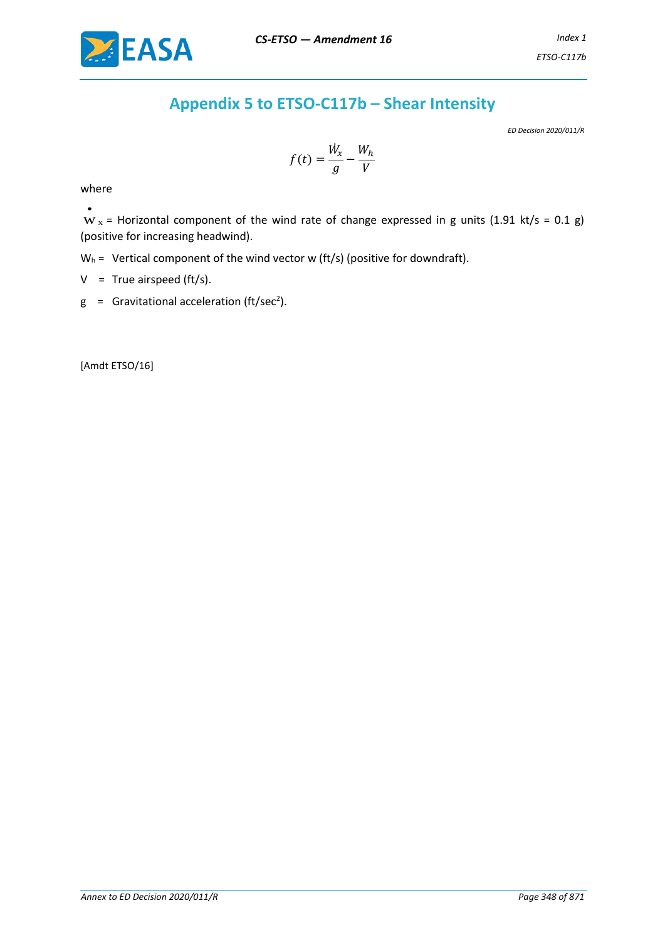# **Appendix 5 to ETSO-C117b – Shear Intensity**

*ED Decision 2020/011/R*

$$
f(t) = \frac{\dot{W}_x}{g} - \frac{W_h}{V}
$$

where

•

 $W_x$  = Horizontal component of the wind rate of change expressed in g units (1.91 kt/s = 0.1 g) (positive for increasing headwind).

 $W_h$  = Vertical component of the wind vector w (ft/s) (positive for downdraft).

 $V = True$  airspeed (ft/s).

 $g =$  Gravitational acceleration (ft/sec<sup>2</sup>).

[Amdt ETSO/16]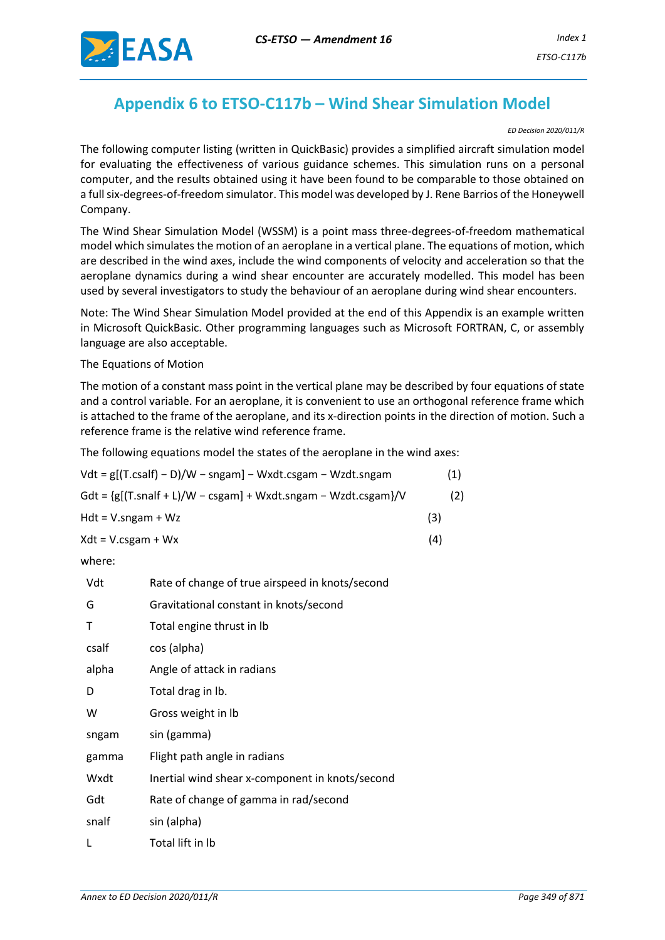

# **Appendix 6 to ETSO-C117b – Wind Shear Simulation Model**

#### *ED Decision 2020/011/R*

The following computer listing (written in QuickBasic) provides a simplified aircraft simulation model for evaluating the effectiveness of various guidance schemes. This simulation runs on a personal computer, and the results obtained using it have been found to be comparable to those obtained on a full six-degrees-of-freedom simulator. This model was developed by J. Rene Barrios of the Honeywell Company.

The Wind Shear Simulation Model (WSSM) is a point mass three-degrees-of-freedom mathematical model which simulates the motion of an aeroplane in a vertical plane. The equations of motion, which are described in the wind axes, include the wind components of velocity and acceleration so that the aeroplane dynamics during a wind shear encounter are accurately modelled. This model has been used by several investigators to study the behaviour of an aeroplane during wind shear encounters.

Note: The Wind Shear Simulation Model provided at the end of this Appendix is an example written in Microsoft QuickBasic. Other programming languages such as Microsoft FORTRAN, C, or assembly language are also acceptable.

The Equations of Motion

The motion of a constant mass point in the vertical plane may be described by four equations of state and a control variable. For an aeroplane, it is convenient to use an orthogonal reference frame which is attached to the frame of the aeroplane, and its x-direction points in the direction of motion. Such a reference frame is the relative wind reference frame.

The following equations model the states of the aeroplane in the wind axes:

| (1) |
|-----|
| (2) |
| (3) |
| (4) |
|     |

where:

| Vdt   | Rate of change of true airspeed in knots/second |
|-------|-------------------------------------------------|
| G     | Gravitational constant in knots/second          |
| т     | Total engine thrust in Ib                       |
| csalf | cos (alpha)                                     |
| alpha | Angle of attack in radians                      |
| D     | Total drag in Ib.                               |
| W     | Gross weight in Ib                              |
| sngam | sin (gamma)                                     |
| gamma | Flight path angle in radians                    |
| Wxdt  | Inertial wind shear x-component in knots/second |
| Gdt   | Rate of change of gamma in rad/second           |
| snalf | sin (alpha)                                     |
| L     | Total lift in Ib                                |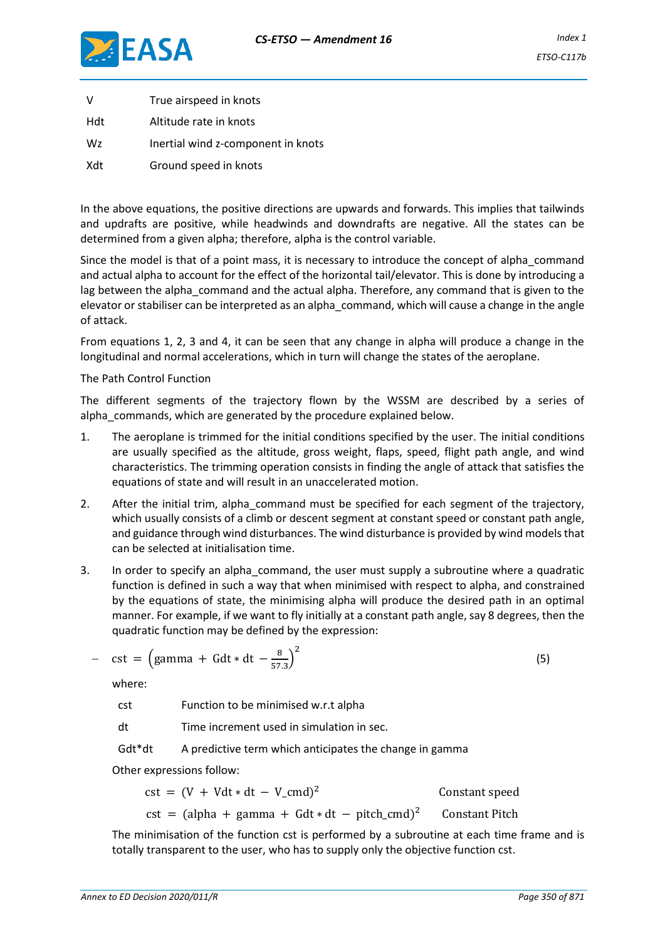

| V   | True airspeed in knots             |
|-----|------------------------------------|
| Hdt | Altitude rate in knots             |
| Wz  | Inertial wind z-component in knots |
| Xdt | Ground speed in knots              |

In the above equations, the positive directions are upwards and forwards. This implies that tailwinds and updrafts are positive, while headwinds and downdrafts are negative. All the states can be determined from a given alpha; therefore, alpha is the control variable.

Since the model is that of a point mass, it is necessary to introduce the concept of alpha\_command and actual alpha to account for the effect of the horizontal tail/elevator. This is done by introducing a lag between the alpha command and the actual alpha. Therefore, any command that is given to the elevator or stabiliser can be interpreted as an alpha\_command, which will cause a change in the angle of attack.

From equations 1, 2, 3 and 4, it can be seen that any change in alpha will produce a change in the longitudinal and normal accelerations, which in turn will change the states of the aeroplane.

## The Path Control Function

The different segments of the trajectory flown by the WSSM are described by a series of alpha commands, which are generated by the procedure explained below.

- 1. The aeroplane is trimmed for the initial conditions specified by the user. The initial conditions are usually specified as the altitude, gross weight, flaps, speed, flight path angle, and wind characteristics. The trimming operation consists in finding the angle of attack that satisfies the equations of state and will result in an unaccelerated motion.
- 2. After the initial trim, alpha command must be specified for each segment of the trajectory, which usually consists of a climb or descent segment at constant speed or constant path angle, and guidance through wind disturbances. The wind disturbance is provided by wind models that can be selected at initialisation time.
- 3. In order to specify an alpha\_command, the user must supply a subroutine where a quadratic function is defined in such a way that when minimised with respect to alpha, and constrained by the equations of state, the minimising alpha will produce the desired path in an optimal manner. For example, if we want to fly initially at a constant path angle, say 8 degrees, then the quadratic function may be defined by the expression:

$$
- \text{cst} = \left(\text{gamma} + \text{Gdt} * \text{dt} - \frac{8}{57.3}\right)^2 \tag{5}
$$

where:

cst Function to be minimised w.r.t alpha

dt Time increment used in simulation in sec.

Gdt\*dt A predictive term which anticipates the change in gamma

Other expressions follow:

 $cst = (V + Vdt * dt - V_cmd)^2$ Constant speed cst = (alpha + gamma + Gdt \* dt – pitch cmd)<sup>2</sup> **Constant Pitch** 

The minimisation of the function cst is performed by a subroutine at each time frame and is totally transparent to the user, who has to supply only the objective function cst.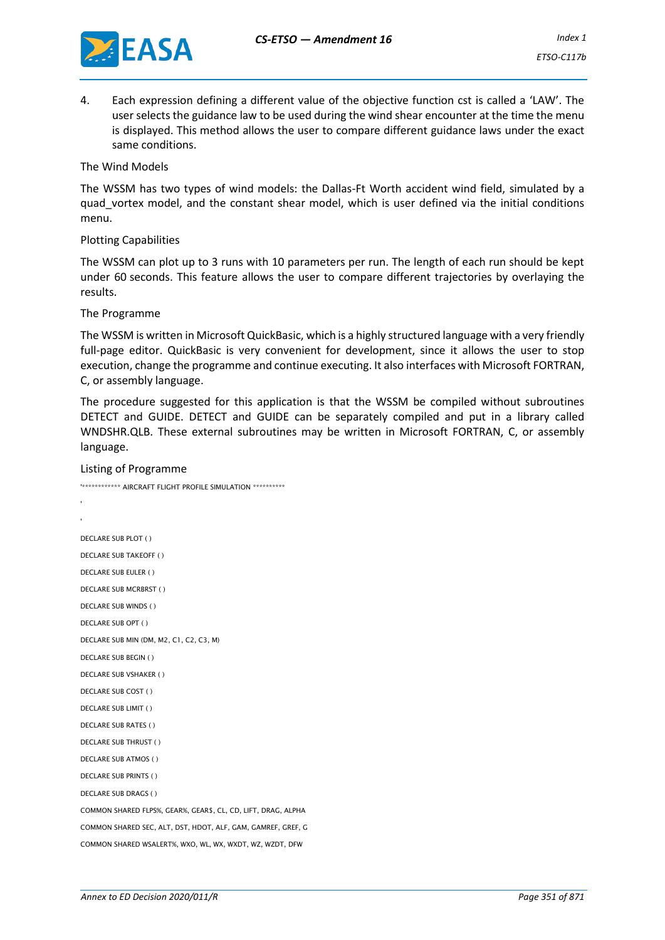

4. Each expression defining a different value of the objective function cst is called a 'LAW'. The user selects the guidance law to be used during the wind shear encounter at the time the menu is displayed. This method allows the user to compare different guidance laws under the exact same conditions.

The Wind Models

The WSSM has two types of wind models: the Dallas-Ft Worth accident wind field, simulated by a quad vortex model, and the constant shear model, which is user defined via the initial conditions menu.

#### Plotting Capabilities

The WSSM can plot up to 3 runs with 10 parameters per run. The length of each run should be kept under 60 seconds. This feature allows the user to compare different trajectories by overlaying the results.

The Programme

The WSSM is written in Microsoft QuickBasic, which is a highly structured language with a very friendly full-page editor. QuickBasic is very convenient for development, since it allows the user to stop execution, change the programme and continue executing. It also interfaces with Microsoft FORTRAN, C, or assembly language.

The procedure suggested for this application is that the WSSM be compiled without subroutines DETECT and GUIDE. DETECT and GUIDE can be separately compiled and put in a library called WNDSHR.QLB. These external subroutines may be written in Microsoft FORTRAN, C, or assembly language.

Listing of Programme

```
'************ AIRCRAFT FLIGHT PROFILE SIMULATION **********
'DECLARE SUB PLOT ( )
DECLARE SUB TAKEOFF ( )
DECLARE SUB EULER ( )
DECLARE SUB MCRBRST ( )
DECLARE SUB WINDS ( )
DECLARE SUB OPT ( )
DECLARE SUB MIN (DM, M2, C1, C2, C3, M)
DECLARE SUB BEGIN ( )
DECLARE SUB VSHAKER ( )
DECLARE SUB COST ( )
DECLARE SUB LIMIT ( )
DECLARE SUB RATES ( )
DECLARE SUB THRUST ( )
DECLARE SUB ATMOS ( )
DECLARE SUB PRINTS ( )
DECLARE SUB DRAGS ( )
COMMON SHARED FLPS%, GEAR%, GEAR$, CL, CD, LIFT, DRAG, ALPHA
COMMON SHARED SEC, ALT, DST, HDOT, ALF, GAM, GAMREF, GREF, G
COMMON SHARED WSALERT%, WXO, WL, WX, WXDT, WZ, WZDT, DFW
```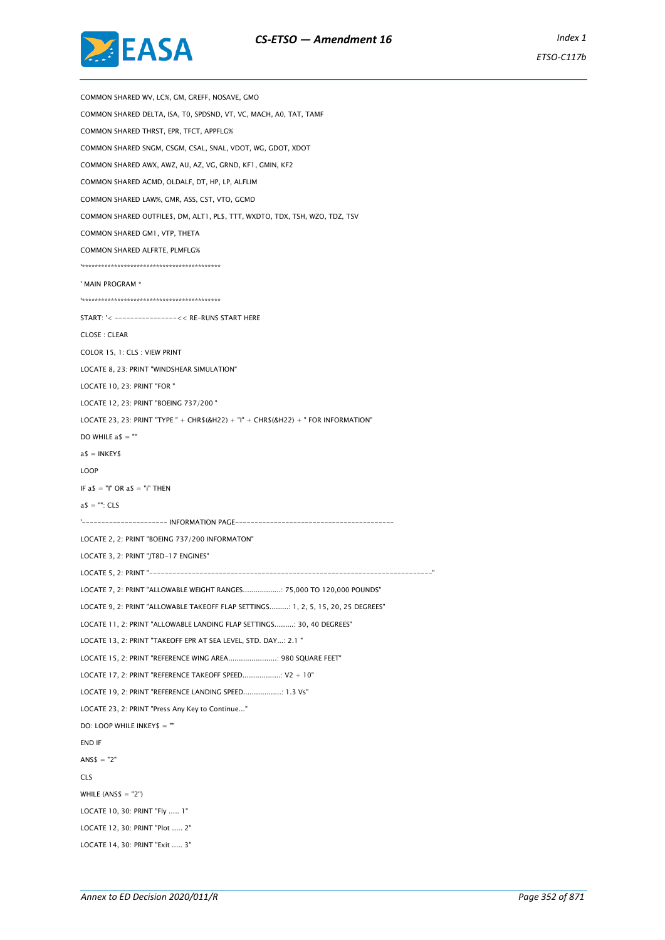



COMMON SHARED WV, LC%, GM, GREFF, NOSAVE, GMO COMMON SHARED DELTA, ISA, T0, SPDSND, VT, VC, MACH, A0, TAT, TAMF COMMON SHARED THRST, EPR, TFCT, APPFLG% COMMON SHARED SNGM, CSGM, CSAL, SNAL, VDOT, WG, GDOT, XDOT COMMON SHARED AWX, AWZ, AU, AZ, VG, GRND, KF1, GMIN, KF2 COMMON SHARED ACMD, OLDALF, DT, HP, LP, ALFLIM COMMON SHARED LAW%, GMR, ASS, CST, VTO, GCMD COMMON SHARED OUTFILE\$, DM, ALT1, PL\$, TTT, WXDTO, TDX, TSH, WZO, TDZ, TSV COMMON SHARED GM1, VTP, THETA COMMON SHARED ALFRTE, PLMFLG% '\*\*\*\*\*\*\*\*\*\*\*\*\*\*\*\*\*\*\*\*\*\*\*\*\*\*\*\*\*\*\*\*\*\*\*\*\*\*\*\*\*\*\* ' MAIN PROGRAM \* '\*\*\*\*\*\*\*\*\*\*\*\*\*\*\*\*\*\*\*\*\*\*\*\*\*\*\*\*\*\*\*\*\*\*\*\*\*\*\*\*\*\*\* START: '< ----------------<< RE-RUNS START HERE CLOSE : CLEAR COLOR 15, 1: CLS : VIEW PRINT LOCATE 8, 23: PRINT "WINDSHEAR SIMULATION" LOCATE 10, 23: PRINT "FOR " LOCATE 12, 23: PRINT "BOEING 737/200 " LOCATE 23, 23: PRINT "TYPE " + CHR\$(&H22) + "I" + CHR\$(&H22) + " FOR INFORMATION" DO WHILE  $a$ \$ =  $\overline{a}$ "  $a$ = INKEY$$ LOOP IF  $a$ \$ = "I" OR  $a$ \$ = "i" THEN  $a$ \$ = "": CLS '---------------------- INFORMATION PAGE--------------LOCATE 2, 2: PRINT "BOEING 737/200 INFORMATON" LOCATE 3, 2: PRINT "JT8D-17 ENGINES" LOCATE 5, 2: PRINT "-------------------------------------------------------------------------" LOCATE 7, 2: PRINT "ALLOWABLE WEIGHT RANGES..................: 75,000 TO 120,000 POUNDS" LOCATE 9, 2: PRINT "ALLOWABLE TAKEOFF FLAP SETTINGS.........: 1, 2, 5, 15, 20, 25 DEGREES" LOCATE 11, 2: PRINT "ALLOWABLE LANDING FLAP SETTINGS.........: 30, 40 DEGREES" LOCATE 13, 2: PRINT "TAKEOFF EPR AT SEA LEVEL, STD. DAY...: 2.1 " LOCATE 15, 2: PRINT "REFERENCE WING AREA.......................: 980 SQUARE FEET" LOCATE 17, 2: PRINT "REFERENCE TAKEOFF SPEED..................: V2 + 10" LOCATE 19, 2: PRINT "REFERENCE LANDING SPEED..................: 1.3 Vs" LOCATE 23, 2: PRINT "Press Any Key to Continue..." DO: LOOP WHILE INKEY\$ = "" END IF  $ANSS = "2"$ CLS WHILE  $(ANSS = "2")$ LOCATE 10, 30: PRINT "Fly ..... 1" LOCATE 12, 30: PRINT "Plot ..... 2" LOCATE 14, 30: PRINT "Exit ..... 3"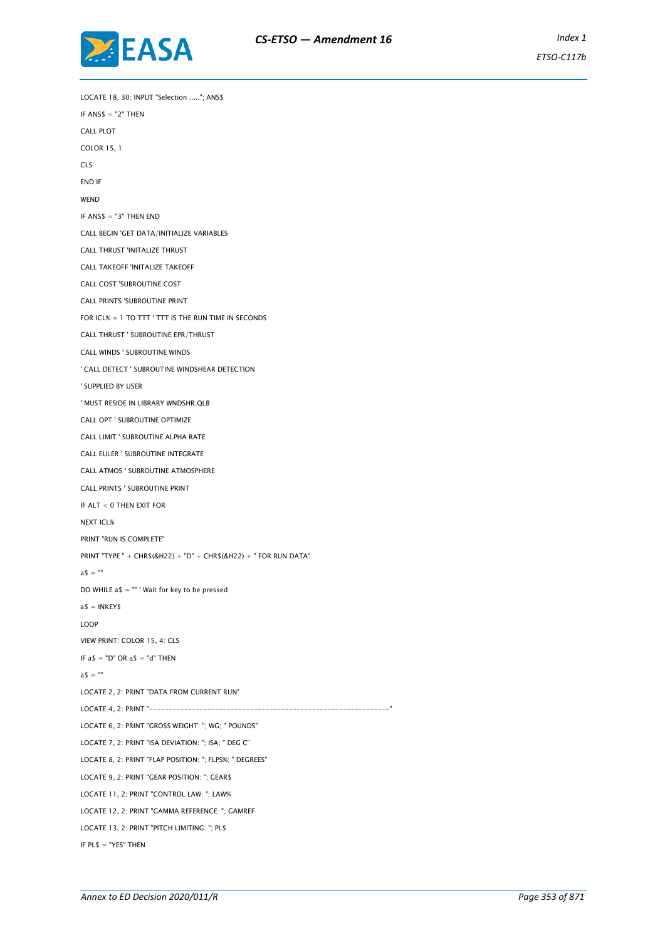

LOCATE 18, 30: INPUT "Selection ....."; ANS\$ IF ANS\$ = "2" THEN CALL PLOT COLOR 15, 1  $C\bar{S}$ END IF **WEND** IF ANS\$ = "3" THEN END CALL BEGIN 'GET DATA/INITIALIZE VARIABLES CALL THRUST 'INITALIZE THRUST CALL TAKEOFF 'INITALIZE TAKEOFF CALL COST 'SUBROUTINE COST CALL PRINTS 'SUBROUTINE PRINT FOR ICL% = 1 TO TTT ' TTT IS THE RUN TIME IN SECONDS CALL THRUST ' SUBROUTINE EPR/THRUST CALL WINDS ' SUBROUTINE WINDS ' CALL DETECT ' SUBROUTINE WINDSHEAR DETECTION ' SUPPLIED BY USER ' MUST RESIDE IN LIBRARY WNDSHR.QLB CALL OPT ' SUBROUTINE OPTIMIZE CALL LIMIT ' SUBROUTINE ALPHA RATE CALL EULER ' SUBROUTINE INTEGRATE CALL ATMOS ' SUBROUTINE ATMOSPHERE CALL PRINTS ' SUBROUTINE PRINT IF ALT < 0 THEN EXIT FOR NEXT ICL% PRINT "RUN IS COMPLETE" PRINT "TYPE " + CHR\$(&H22) + "D" + CHR\$(&H22) + " FOR RUN DATA"  $a$ \$ = "" DO WHILE a\$ = "" ' Wait for key to be pressed  $a$ \$ = INKEY\$ LOOP VIEW PRINT: COLOR 15, 4: CLS IF  $a$ \$ = "D" OR  $a$ \$ = "d" THEN  $a$ \$ = "" LOCATE 2, 2: PRINT "DATA FROM CURRENT RUN" LOCATE 4, 2: PRINT "--------------------LOCATE 6, 2: PRINT "GROSS WEIGHT: "; WG; " POUNDS" LOCATE 7, 2: PRINT "ISA DEVIATION: "; ISA; " DEG C" LOCATE 8, 2: PRINT "FLAP POSITION: "; FLPS%; " DEGREES" LOCATE 9, 2: PRINT "GEAR POSITION: "; GEAR\$ LOCATE 11, 2: PRINT "CONTROL LAW: "; LAW% LOCATE 12, 2: PRINT "GAMMA REFERENCE: "; GAMREF LOCATE 13, 2: PRINT "PITCH LIMITING: "; PL\$ IF PL\$ = "YES" THEN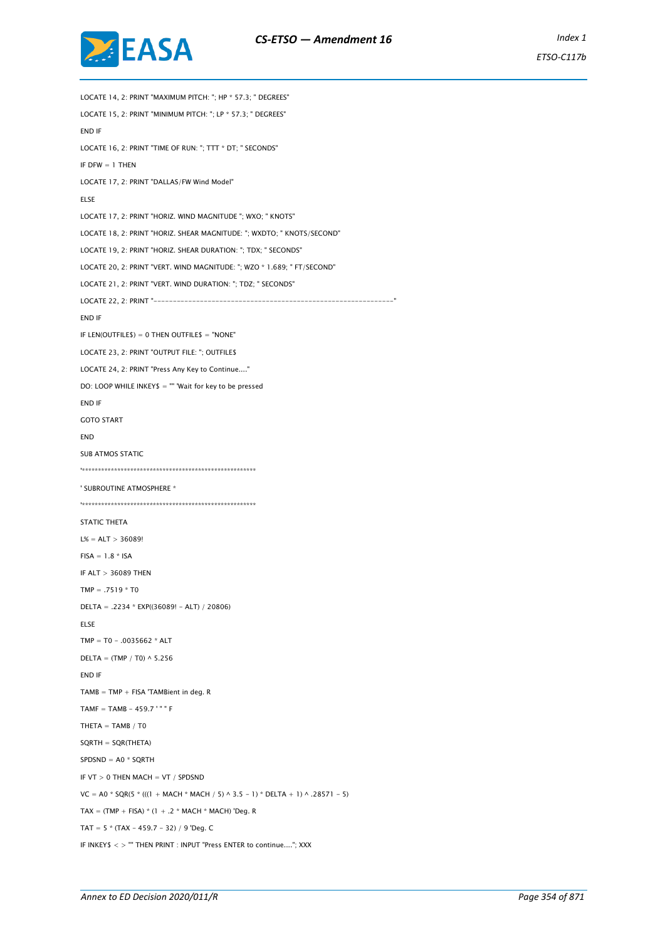

LOCATE 14, 2: PRINT "MAXIMUM PITCH: "; HP \* 57.3; " DEGREES" LOCATE 15, 2: PRINT "MINIMUM PITCH: "; LP \* 57.3; " DEGREES" END IF LOCATE 16, 2: PRINT "TIME OF RUN: "; TTT \* DT; " SECONDS" IF DFW  $= 1$  THFN LOCATE 17, 2: PRINT "DALLAS/FW Wind Model" ELSE LOCATE 17, 2: PRINT "HORIZ. WIND MAGNITUDE "; WXO; " KNOTS" LOCATE 18, 2: PRINT "HORIZ. SHEAR MAGNITUDE: "; WXDTO; " KNOTS/SECOND" LOCATE 19, 2: PRINT "HORIZ. SHEAR DURATION: "; TDX; " SECONDS" LOCATE 20, 2: PRINT "VERT. WIND MAGNITUDE: "; WZO \* 1.689; " FT/SECOND" LOCATE 21, 2: PRINT "VERT. WIND DURATION: "; TDZ; " SECONDS" LOCATE 22, 2: PRINT "--------------------------------------------------------------" END IF IF LEN(OUTFILE\$) = 0 THEN OUTFILE\$ = "NONE" LOCATE 23, 2: PRINT "OUTPUT FILE: "; OUTFILE\$ LOCATE 24, 2: PRINT "Press Any Key to Continue...." DO: LOOP WHILE INKEY\$ = "" 'Wait for key to be pressed END IF GOTO START END SUB ATMOS STATIC '\*\*\*\*\*\*\*\*\*\*\*\*\*\*\*\*\*\*\*\*\*\*\*\*\*\*\*\*\*\*\*\*\*\*\*\*\*\*\*\*\*\*\*\*\*\*\*\*\*\*\*\*\*\* ' SUBROUTINE ATMOSPHERE \* '\*\*\*\*\*\*\*\*\*\*\*\*\*\*\*\*\*\*\*\*\*\*\*\*\*\*\*\*\*\*\*\*\*\*\*\*\*\*\*\*\*\*\*\*\*\*\*\*\*\*\*\*\*\* STATIC THETA  $L% = ALT > 36089!$  $FISA = 1.8 * ISA$ IF ALT > 36089 THEN  $TMP = .7519 * T0$ DELTA = .2234 \* EXP((36089! - ALT) / 20806) ELSE  $TMP = T0 - .0035662 * ALT$  $DELTA = (TMP / T0) \wedge 5.256$ END IF  $TAMB = TMP + FISA$  'TAMBient in deg. R  $TAMF = TAMB - 459.7$  '" " F THETA  $=$  TAMB  $/$  T0 SQRTH = SQR(THETA) SPDSND = A0 \* SQRTH IF VT  $> 0$  THEN MACH = VT / SPDSND  $VC = AO * SQR(5 * (((1 + MACH * MACH / 5) \land 3.5 - 1) * DELTA + 1) \land .28571 - 5)$  $TAX = (TMP + FISA) * (1 + .2 * MACH * MACH) 'Deg. R$ TAT =  $5 * (TAX - 459.7 - 32) / 9$  'Deg. C IF INKEY\$ < > "" THEN PRINT : INPUT "Press ENTER to continue...."; XXX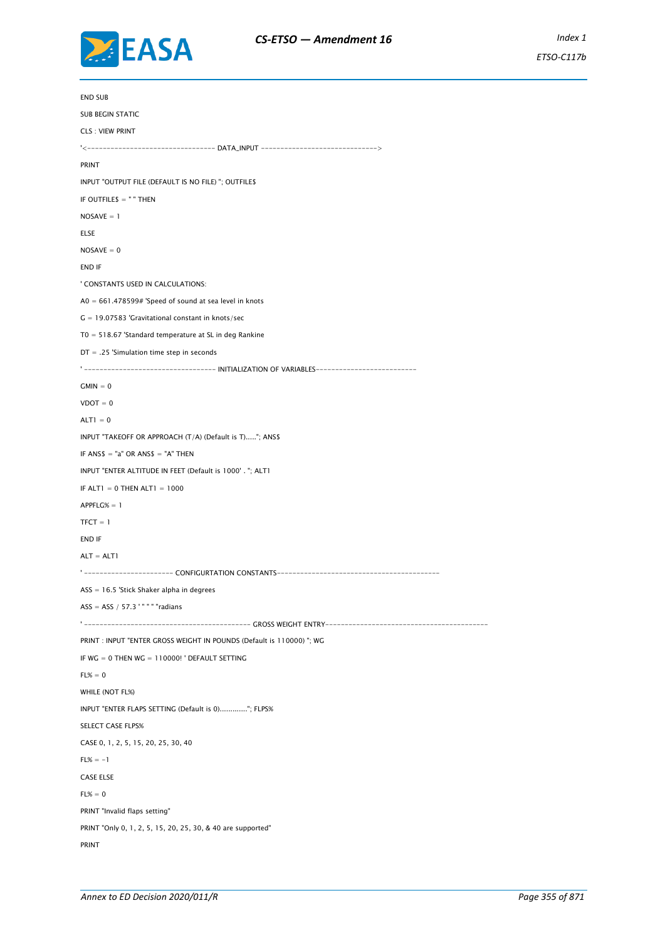

END SUB SUB BEGIN STATIC CLS : VIEW PRINT '<--------------------------------- DATA\_INPUT ------------------------------> PRINT INPUT "OUTPUT FILE (DEFAULT IS NO FILE) "; OUTFILE\$ IF OUTFILE\$ = " " THEN  $NOSAVE = 1$ ELSE  $NOSAVE = 0$ END IF ' CONSTANTS USED IN CALCULATIONS:  $A0 = 661.478599#$  'Speed of sound at sea level in knots G = 19.07583 'Gravitational constant in knots/sec T0 = 518.67 'Standard temperature at SL in deg Rankine DT = .25 'Simulation time step in seconds ' ---------------------------------- INITIALIZATION OF VARIABLES--------------------------  $GMIN = 0$  $V$ DOT = 0  $ALTI = 0$ INPUT "TAKEOFF OR APPROACH (T/A) (Default is T)....."; ANS\$ IF  $ANS$ = "a" OR ANS$ = "A" THEN$ INPUT "ENTER ALTITUDE IN FEET (Default is 1000' . "; ALT1 IF ALT1 = 0 THEN ALT1 =  $1000$ APPFLG% = 1  $TFCT = 1$ END IF ALT  $=$  ALT1 ' ----------------------- CONFIGURTATION CONSTANTS------------------------------------------ ASS = 16.5 'Stick Shaker alpha in degrees  $ASS = ASS / 57.3$  '" " " "radians ' ------------------------------------------- GROSS WEIGHT ENTRY------------------------------------------ PRINT : INPUT "ENTER GROSS WEIGHT IN POUNDS (Default is 110000) "; WG IF WG = 0 THEN WG = 110000! ' DEFAULT SETTING  $FL% = 0$ WHILE (NOT FL%) INPUT "ENTER FLAPS SETTING (Default is 0)............."; FLPS% SELECT CASE FLPS% CASE 0, 1, 2, 5, 15, 20, 25, 30, 40  $FL% = -1$ CASE ELSE  $FL% = 0$ PRINT "Invalid flaps setting" PRINT "Only 0, 1, 2, 5, 15, 20, 25, 30, & 40 are supported" PRINT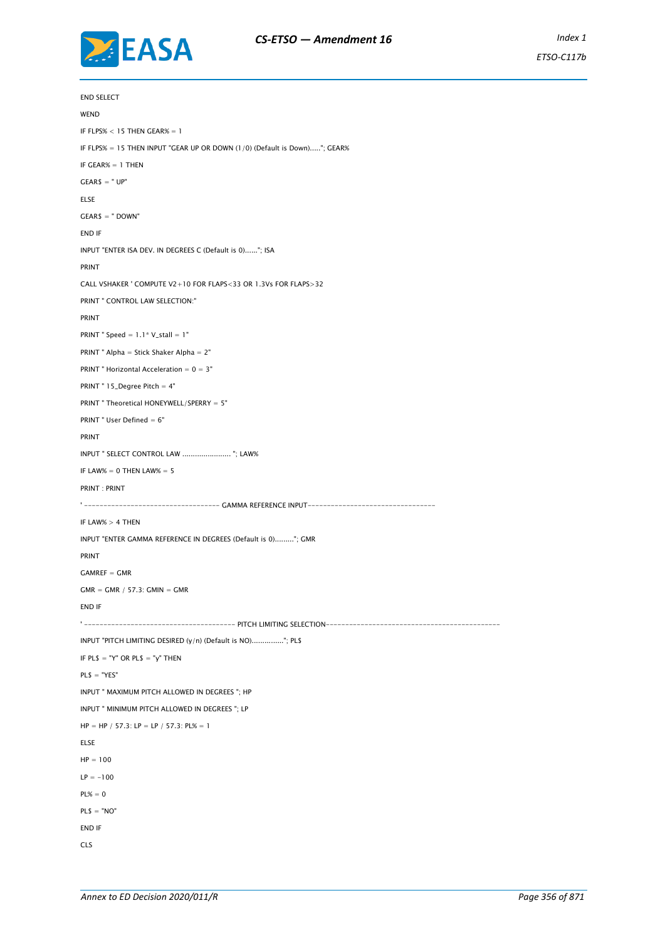

*ETSO-C117b*

END SELECT **WEND** IF FLPS% < 15 THEN GEAR% = 1 IF FLPS% = 15 THEN INPUT "GEAR UP OR DOWN (1/0) (Default is Down)....."; GEAR% IF  $GFAR% = 1$  THEN  $GEAR$ = "UP"$ ELSE GEAR\$ = " DOWN" END IF INPUT "ENTER ISA DEV. IN DEGREES C (Default is 0)......"; ISA PRINT CALL VSHAKER ' COMPUTE V2+10 FOR FLAPS<33 OR 1.3Vs FOR FLAPS>32 PRINT " CONTROL LAW SELECTION:" PRINT PRINT " Speed =  $1.1*$  V\_stall =  $1"$ PRINT " Alpha = Stick Shaker Alpha =  $2"$ PRINT " Horizontal Acceleration =  $0 = 3$ " PRINT " 15\_Degree Pitch = 4" PRINT " Theoretical HONEYWELL/SPERRY = 5" PRINT " User Defined = 6" PRINT INPUT " SELECT CONTROL LAW ....................... "; LAW% IF LAW $% = 0$  THEN LAW $% = 5$ PRINT : PRINT ' ----------------------------------- GAMMA REFERENCE INPUT--------------------------------- IF LAW $% > 4$  THEN INPUT "ENTER GAMMA REFERENCE IN DEGREES (Default is 0)........."; GMR PRINT  $GAMREF = GMR$  $GMR = GMR / 57.3$ :  $GMIN = GMR$ END IF ' --------------------------------------- PITCH LIMITING SELECTION--------------------------------------------- INPUT "PITCH LIMITING DESIRED (y/n) (Default is NO)..............."; PL\$ IF PL\$ = "Y" OR PL\$ = "y" THEN  $PL$ = "YES"$ INPUT " MAXIMUM PITCH ALLOWED IN DEGREES "; HP INPUT " MINIMUM PITCH ALLOWED IN DEGREES "; LP  $HP = HP / 57.3$ :  $LP = LP / 57.3$ :  $PL% = 1$ ELSE  $HP = 100$  $LP = -100$  $PL% = 0$  $PL$ = "NO"$ END IF CLS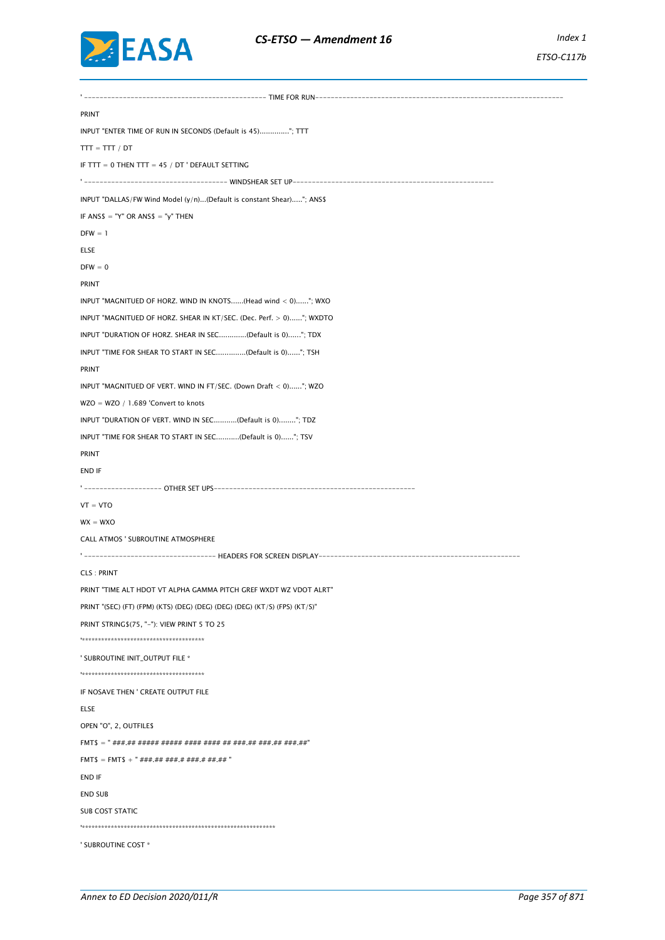

' ----------------------------------------------- TIME FOR RUN---------------------------------------------------------------- PRINT INPUT "ENTER TIME OF RUN IN SECONDS (Default is 45).............."; TTT  $TTT = TTT / DT$ IF TTT = 0 THEN TTT = 45 / DT ' DEFAULT SETTING ' ------------------------------------- WINDSHEAR SET UP---------------------------------------------------- INPUT "DALLAS/FW Wind Model (y/n)...(Default is constant Shear)....."; ANS\$ IF ANS\$ = "Y" OR ANS\$ = "y" THEN  $DFW = 1$ ELSE  $DFW = 0$ PRINT INPUT "MAGNITUED OF HORZ. WIND IN KNOTS......(Head wind < 0)......"; WXO INPUT "MAGNITUED OF HORZ. SHEAR IN KT/SEC. (Dec. Perf.  $> 0$ )................. INPUT "DURATION OF HORZ. SHEAR IN SEC.............(Default is 0)......"; TDX INPUT "TIME FOR SHEAR TO START IN SEC..............(Default is 0)......"; TSH PRINT INPUT "MAGNITUED OF VERT. WIND IN FT/SEC. (Down Draft < 0)......"; WZO WZO = WZO / 1.689 'Convert to knots INPUT "DURATION OF VERT. WIND IN SEC...........(Default is 0)........"; TDZ INPUT "TIME FOR SHEAR TO START IN SEC...........(Default is 0)......"; TSV PRINT END IF -------------- OTHER SET UPS---- $VT = VTO$  $WX = WXO$ CALL ATMOS ' SUBROUTINE ATMOSPHERE ' ---------------------------------- HEADERS FOR SCREEN DISPLAY---------------------------------------------------- CLS : PRINT PRINT "TIME ALT HDOT VT ALPHA GAMMA PITCH GREF WXDT WZ VDOT ALRT" PRINT "(SEC) (FT) (FPM) (KTS) (DEG) (DEG) (DEG) (DEG) (KT/S) (FPS) (KT/S)" PRINT STRING\$(75, "-"): VIEW PRINT 5 TO 25 '\*\*\*\*\*\*\*\*\*\*\*\*\*\*\*\*\*\*\*\*\*\*\*\*\*\*\*\*\*\*\*\*\*\*\*\*\*\* ' SUBROUTINE INIT\_OUTPUT FILE \* '\*\*\*\*\*\*\*\*\*\*\*\*\*\*\*\*\*\*\*\*\*\*\*\*\*\*\*\*\*\*\*\*\*\*\*\*\*\* IF NOSAVE THEN ' CREATE OUTPUT FILE ELSE OPEN "O", 2, OUTFILE\$ FMT\$ = " ###.## ##### ##### #### #### ## ###.## ###.## ###.##" FMT\$ = FMT\$ + "  $\#$ ##.## ###.# ###.# ##.## " END IF END SUB SUB COST STATIC '\*\*\*\*\*\*\*\*\*\*\*\*\*\*\*\*\*\*\*\*\*\*\*\*\*\*\*\*\*\*\*\*\*\*\*\*\*\*\*\*\*\*\*\*\*\*\*\*\*\*\*\*\*\*\*\*\*\*\*\* ' SUBROUTINE COST \*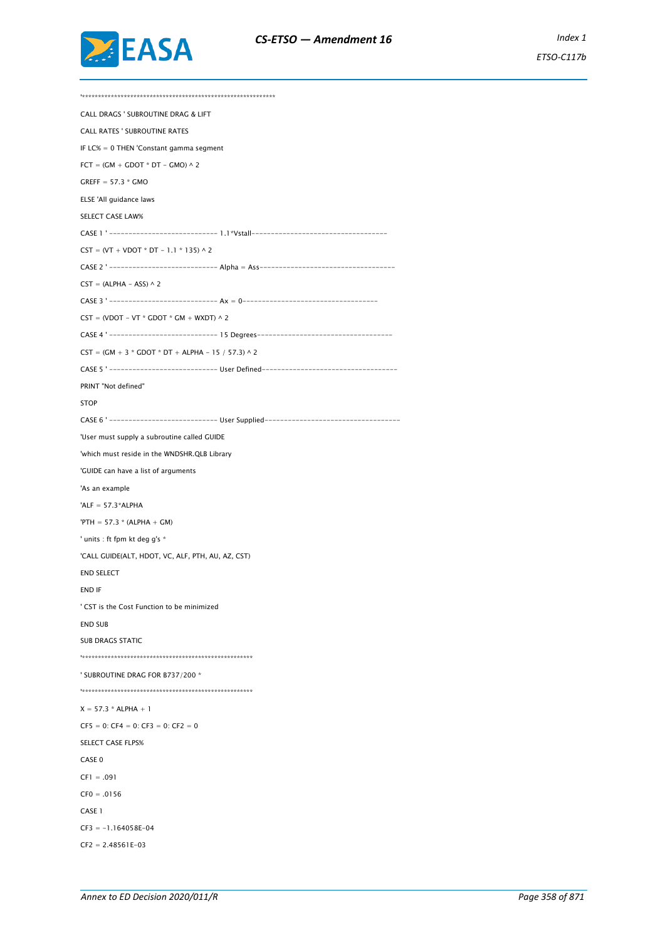

'\*\*\*\*\*\*\*\*\*\*\*\*\*\*\*\*\*\*\*\*\*\*\*\*\*\*\*\*\*\*\*\*\*\*\*\*\*\*\*\*\*\*\*\*\*\*\*\*\*\*\*\*\*\*\*\*\*\*\*\* CALL DRAGS ' SUBROUTINE DRAG & LIFT CALL RATES ' SUBROUTINE RATES IF LC% = 0 THEN 'Constant gamma segment  $FCT = (GM + GDOT * DT - GMO) \wedge 2$ GREFF =  $57.3 *$  GMO ELSE 'All guidance laws SELECT CASE LAW% CASE 1 ' ---------------------------- 1.1\*Vstall-----------------------------------  $\text{CST} = (\text{VT} + \text{VDOT} * \text{DT} - 1.1 * 135) \wedge 2$ CASE 2 ' ---------------------------- Alpha = Ass-----------------------------------  $CST = (ALPHA - ASS) \wedge 2$ CASE 3 ' ---------------------------- Ax = 0-----------------------------------  $CST = (VDOT - VT * GDOT * GM + WXDT) \wedge 2$ CASE 4 ' ---------------------------- 15 Degrees-----------------------------------  $CST = (GM + 3 * GDOT * DT + ALPHA - 15 / 57.3) \wedge 2$ CASE 5 ' ---------------------------- User Defined----------------------------------- PRINT "Not defined" **STOP** CASE 6 '------------------------------- User Supplied---------------------------'User must supply a subroutine called GUIDE 'which must reside in the WNDSHR.QLB Library 'GUIDE can have a list of arguments 'As an example 'ALF =  $57.3*ALPHA$  $'PTH = 57.3 * (ALPHA + GM)$ ' units : ft fpm kt deg g's \* 'CALL GUIDE(ALT, HDOT, VC, ALF, PTH, AU, AZ, CST) END SELECT END IF ' CST is the Cost Function to be minimized END SUB SUB DRAGS STATIC '\*\*\*\*\*\*\*\*\*\*\*\*\*\*\*\*\*\*\*\*\*\*\*\*\*\*\*\*\*\*\*\*\*\*\*\*\*\*\*\*\*\*\*\*\*\*\*\*\*\*\*\*\* ' SUBROUTINE DRAG FOR B737/200 \* '\*\*\*\*\*\*\*\*\*\*\*\*\*\*\*\*\*\*\*\*\*\*\*\*\*\*\*\*\*\*\*\*\*\*\*\*\*\*\*\*\*\*\*\*\*\*\*\*\*\*\*\*\*  $X = 57.3 * ALPHA + 1$  $CF5 = 0$ :  $CF4 = 0$ :  $CF3 = 0$ :  $CF2 = 0$ SELECT CASE FLPS% CASE 0  $CF1 = .091$  $CFO = .0156$ CASE 1  $CF3 = -1.164058E - 04$  $CF2 = 2.48561E-03$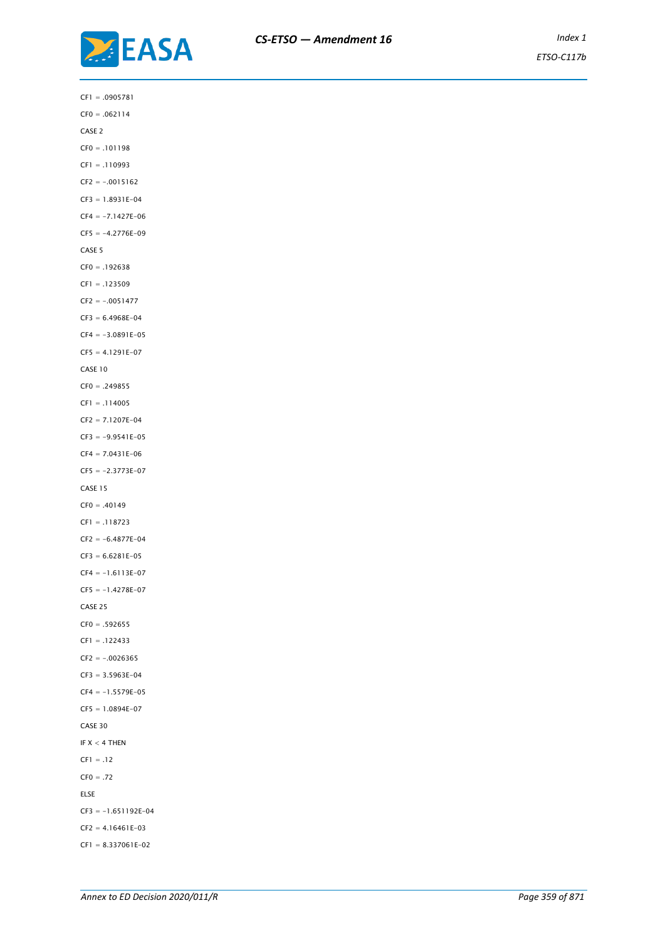

CF1 = .0905781 CF0 = .062114 CASE 2  $CF0 = .101198$ CF1 = .110993  $CF2 = -0015162$ CF3 = 1.8931E-04  $CF4 = -7.1427E-06$  $CF5 = -4.2776E-09$ CASE 5  $CF0 = .192638$ CF1 = .123509  $CF2 = -.0051477$  $CF3 = 6.4968E - 04$  $CF4 = -3.0891E-05$  $CF5 = 4.1291E-07$ CASE 10 CF0 = .249855 CF1 = .114005 CF2 = 7.1207E-04  $CF3 = -9.9541E-05$  $CF4 = 7.0431E-06$  $CF5 = -2.3773E-07$ CASE 15  $CF0 = .40149$ CF1 = .118723  $CF2 = -6.4877E-04$  $CF3 = 6.6281E-05$  $CF4 = -1.6113E-07$  $CF5 = -1.4278E-07$ CASE 25 CF0 = .592655 CF1 = .122433  $CF2 = -.0026365$ CF3 = 3.5963E-04  $CF4 = -1.5579E-05$  $CF5 = 1.0894E-07$ CASE 30 IF  $X < 4$  THEN  $CF1 = .12$  $CF0 = .72$ ELSE CF3 = -1.651192E-04  $CF2 = 4.16461E-03$ 

CF1 = 8.337061E-02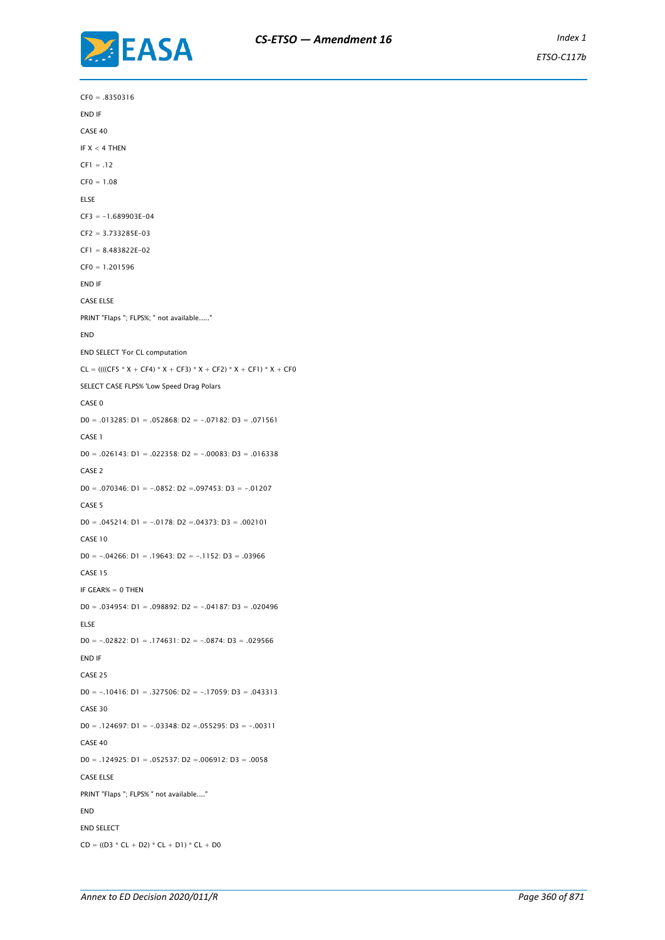

CF0 = .8350316 END IF CASE 40 IF  $X < 4$  THEN  $CF1 = .12$  $CF0 = 1.08$ ELSE  $CF3 = -1.689903E-04$ CF2 = 3.733285E-03 CF1 = 8.483822E-02 CF0 = 1.201596 END IF CASE ELSE PRINT "Flaps "; FLPS%; " not available....." END END SELECT 'For CL computation  $CL = ((((CF5 * X + CF4) * X + CF3) * X + CF2) * X + CF1) * X + CF0$ SELECT CASE FLPS% 'Low Speed Drag Polars CASE 0 D0 = .013285: D1 = .052868: D2 = -.07182: D3 = .071561 CASE 1 D0 = .026143: D1 = .022358: D2 = -.00083: D3 = .016338 CASE 2 D0 = .070346: D1 =  $-0852$ : D2 = 097453: D3 =  $-01207$ CASE 5 D0 =  $.045214$ : D1 =  $-.0178$ : D2 =  $.04373$ : D3 =  $.002101$ CASE 10 D0 =  $-.04266$ : D1 =  $.19643$ : D2 =  $-.1152$ : D3 =  $.03966$ CASE 15 IF GEAR% = 0 THEN D0 = .034954: D1 = .098892: D2 = -.04187: D3 = .020496 ELSE D0 =  $-02822$ : D1 =  $.174631$ : D2 =  $-0874$ : D3 =  $.029566$ END IF CASE 25 D0 = -.10416: D1 = .327506: D2 = -.17059: D3 = .043313 CASE 30 D0 = .124697: D1 =  $-.03348$ : D2 =  $.055295$ : D3 =  $-.00311$ CASE 40 D0 = .124925: D1 = .052537: D2 =.006912: D3 = .0058 CASE ELSE PRINT "Flaps "; FLPS% " not available...." END END SELECT  $CD = ((D3 * CL + D2) * CL + D1) * CL + D0$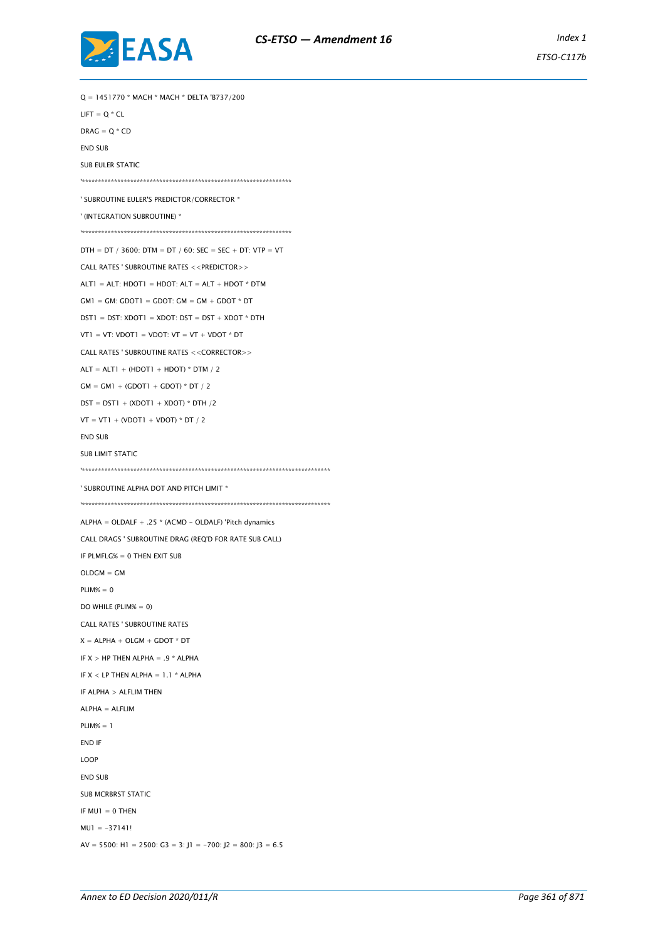

Q = 1451770 \* MACH \* MACH \* DELTA 'B737/200 LIFT =  $O * CL$  $DRAG = Q * CD$ END SUB SUB EULER STATIC '\*\*\*\*\*\*\*\*\*\*\*\*\*\*\*\*\*\*\*\*\*\*\*\*\*\*\*\*\*\*\*\*\*\*\*\*\*\*\*\*\*\*\*\*\*\*\*\*\*\*\*\*\*\*\*\*\*\*\*\*\*\*\*\*\* ' SUBROUTINE EULER'S PREDICTOR/CORRECTOR \* ' (INTEGRATION SUBROUTINE) \* '\*\*\*\*\*\*\*\*\*\*\*\*\*\*\*\*\*\*\*\*\*\*\*\*\*\*\*\*\*\*\*\*\*\*\*\*\*\*\*\*\*\*\*\*\*\*\*\*\*\*\*\*\*\*\*\*\*\*\*\*\*\*\*\*\*  $DTH = DT / 3600$ :  $DTM = DT / 60$ :  $SEC = SEC + DT$ :  $VTP = VT$ CALL RATES ' SUBROUTINE RATES <<PREDICTOR>>  $ALTI = ALT$ :  $HDOT1 = HDOT$ :  $ALT = ALT + HDOT * DTM$  $GM1 = GM: GDOT1 = GDOT: GM = GM + GDOT * DT$  $DST1 - DST: YDOT1 - YDOT: DST - DST + YDOT * DTH$ VT1 = VT: VDOT1 = VDOT: VT = VT + VDOT  $*$  DT CALL RATES ' SUBROUTINE RATES <<CORRECTOR>>  $ALT = ALT1 + (HDOT1 + HDOT) * DTM / 2$  $GM = GM1 + (GDOT1 + GDOT) * DT / 2$  $DST = DST1 + (XDOT1 + XDOT) * DTH / 2$  $VT = VT1 + (VDOT1 + VDOT) * DT / 2$ END SUB SUB LIMIT STATIC '\*\*\*\*\*\*\*\*\*\*\*\*\*\*\*\*\*\*\*\*\*\*\*\*\*\*\*\*\*\*\*\*\*\*\*\*\*\*\*\*\*\*\*\*\*\*\*\*\*\*\*\*\*\*\*\*\*\*\*\*\*\*\*\*\*\*\*\*\*\*\*\*\*\*\*\*\* ' SUBROUTINE ALPHA DOT AND PITCH LIMIT \* '\*\*\*\*\*\*\*\*\*\*\*\*\*\*\*\*\*\*\*\*\*\*\*\*\*\*\*\*\*\*\*\*\*\*\*\*\*\*\*\*\*\*\*\*\*\*\*\*\*\*\*\*\*\*\*\*\*\*\*\*\*\*\*\*\*\*\*\*\*\*\*\*\*\*\*\*\* ALPHA = OLDALF + .25 \* (ACMD - OLDALF) 'Pitch dynamics CALL DRAGS ' SUBROUTINE DRAG (REQ'D FOR RATE SUB CALL) IF PLMFLG% = 0 THEN EXIT SUB  $OLDGM = GM$  $PLIM% = 0$ DO WHILE (PLIM% = 0) CALL RATES ' SUBROUTINE RATES  $X = ALPHA + OLGM + GDOT * DT$ IF  $X > HP$  THEN ALPHA = .9 \* ALPHA IF  $X <$  LP THEN ALPHA = 1.1  $*$  ALPHA IF ALPHA > ALFLIM THEN ALPHA = ALFLIM PLIM% = 1 END IF LOOP END SUB SUB MCRBRST STATIC IF  $MUI = 0$  THEN  $MUI = -37141!$ AV = 5500: H1 = 2500: G3 = 3: J1 = -700: J2 = 800: J3 = 6.5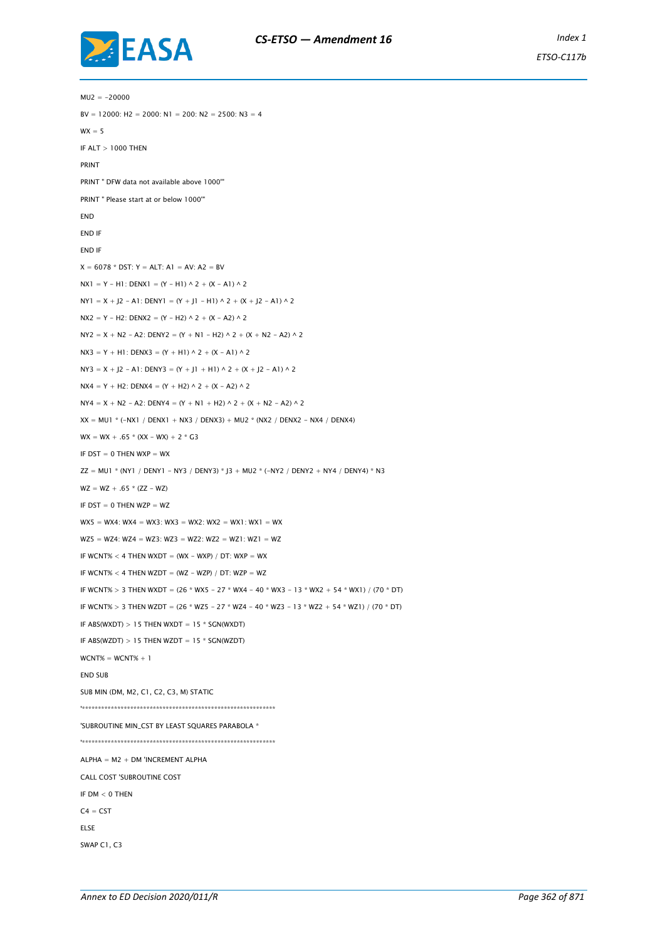

 $MU2 = -20000$  $BV = 12000$ : H2 = 2000: N1 = 200: N2 = 2500: N3 = 4  $WX = 5$ IF ALT > 1000 THEN PRINT PRINT " DFW data not available above 1000'" PRINT " Please start at or below 1000'" END END IF END IF  $X = 6078 * DST: Y = ALT: A1 = AV: A2 = BV$  $NX1 = Y - H1$ : DENX1 =  $(Y - H1)$   $\wedge$  2 +  $(X - A1)$   $\wedge$  2  $NY1 = X + J2 - A1$ : DENY1 =  $(Y + J1 - H1) \wedge 2 + (X + J2 - A1) \wedge 2$  $NX2 = Y - H2$ : DENX2 =  $(Y - H2) \wedge 2 + (X - A2) \wedge 2$  $NY2 = X + N2 - A2$ : DENY2 =  $(Y + N1 - H2) \wedge 2 + (X + N2 - A2) \wedge 2$  $NX3 = Y + H1$ : DENX3 =  $(Y + H1) \wedge 2 + (Y - A1) \wedge 2$  $NY3 = X + J2 - A1$ : DENY3 =  $(Y + J1 + H1) \wedge 2 + (X + J2 - A1) \wedge 2$  $NX4 = Y + H2$ : DENX4 =  $(Y + H2) \wedge 2 + (X - A2) \wedge 2$  $NY4 = X + N2 - A2$ : DENY4 =  $(Y + N1 + H2) \wedge 2 + (X + N2 - A2) \wedge 2$  $XX = MUI * (-NX1 / DENX1 + NX3 / DENX3) + MU2 * (NX2 / DENX2 - NX4 / DENX4)$  $WX = WX + .65 * (XX - WX) + 2 * G3$ IF  $DST = 0$  THEN WXP = WX  $ZZ = MUI * (NY1 / DENY1 - NY3 / DENY3) * J3 + MU2 * (-NY2 / DENY2 + NY4 / DENY4) * N3$  $WZ = WZ + .65 * (ZZ - WZ)$ IF  $DST = 0$  THEN WZP = WZ  $WX5 = WX4$ :  $WX4 = WX3$ :  $WX3 = WX2$ :  $WX2 = WX1$ :  $WX1 = WX$  $WZ5 = WZ4$ :  $WZ4 = WZ3$ :  $WZ3 = WZ2$ :  $WZ2 = WZ1$ :  $WZ1 = WZ$ IF WCNT%  $<$  4 THEN WXDT = (WX - WXP) / DT: WXP = WX IF WCNT%  $<$  4 THEN WZDT = (WZ - WZP) / DT: WZP = WZ IF WCNT% > 3 THEN WXDT = (26 \* WX5 - 27 \* WX4 - 40 \* WX3 - 13 \* WX2 + 54 \* WX1) / (70 \* DT) IF WCNT% > 3 THEN WZDT = (26 \* WZ5 - 27 \* WZ4 - 40 \* WZ3 - 13 \* WZ2 + 54 \* WZ1) / (70 \* DT) IF ABS(WXDT)  $> 15$  THEN WXDT = 15  $*$  SGN(WXDT) IF ABS(WZDT)  $> 15$  THEN WZDT = 15  $*$  SGN(WZDT)  $WCNT% = WCNT% + 1$ END SUB SUB MIN (DM, M2, C1, C2, C3, M) STATIC '\*\*\*\*\*\*\*\*\*\*\*\*\*\*\*\*\*\*\*\*\*\*\*\*\*\*\*\*\*\*\*\*\*\*\*\*\*\*\*\*\*\*\*\*\*\*\*\*\*\*\*\*\*\*\*\*\*\*\*\* 'SUBROUTINE MIN\_CST BY LEAST SQUARES PARABOLA \* '\*\*\*\*\*\*\*\*\*\*\*\*\*\*\*\*\*\*\*\*\*\*\*\*\*\*\*\*\*\*\*\*\*\*\*\*\*\*\*\*\*\*\*\*\*\*\*\*\*\*\*\*\*\*\*\*\*\*\*\*  $ALPHA = M2 + DM'INCREMENT ALPHA$ CALL COST 'SUBROUTINE COST IF  $DM < 0$  THEN  $C4 = CST$ ELSE SWAP C1, C3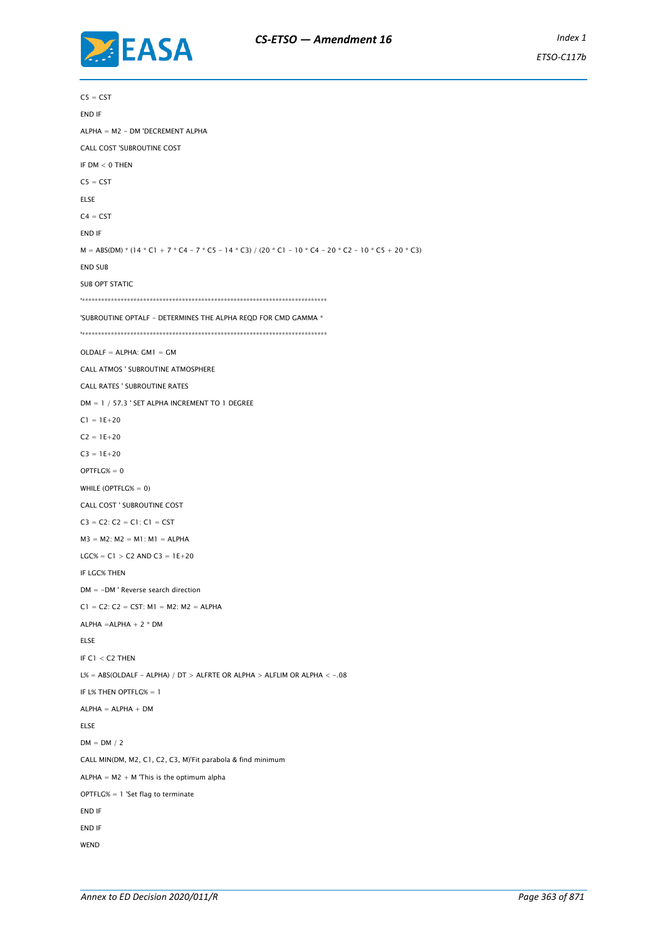

 $CS = CST$ END IF ALPHA = M2 - DM 'DECREMENT ALPHA CALL COST 'SUBROUTINE COST IF  $DM < 0$  THEN  $CS = CST$ ELSE  $C4 = CST$ END IF M = ABS(DM) \* (14 \* C1 + 7 \* C4 - 7 \* C5 - 14 \* C3) / (20 \* C1 - 10 \* C4 - 20 \* C2 - 10 \* C5 + 20 \* C3) END SUB SUB OPT STATIC '\*\*\*\*\*\*\*\*\*\*\*\*\*\*\*\*\*\*\*\*\*\*\*\*\*\*\*\*\*\*\*\*\*\*\*\*\*\*\*\*\*\*\*\*\*\*\*\*\*\*\*\*\*\*\*\*\*\*\*\*\*\*\*\*\*\*\*\*\*\*\*\*\*\*\*\* 'SUBROUTINE OPTALF - DETERMINES THE ALPHA REQD FOR CMD GAMMA \* '\*\*\*\*\*\*\*\*\*\*\*\*\*\*\*\*\*\*\*\*\*\*\*\*\*\*\*\*\*\*\*\*\*\*\*\*\*\*\*\*\*\*\*\*\*\*\*\*\*\*\*\*\*\*\*\*\*\*\*\*\*\*\*\*\*\*\*\*\*\*\*\*\*\*\*\*  $O(DA)$   $F = AI$   $PHA$   $\cdot$   $GM1 = CM$ CALL ATMOS ' SUBROUTINE ATMOSPHERE CALL RATES ' SUBROUTINE RATES DM = 1 / 57.3 ' SET ALPHA INCREMENT TO 1 DEGREE  $CI = 1E+20$  $C2 = 1E + 20$  $C3 = 1E+20$  $OPTFLG% = 0$ WHILE (OPTFLG% = 0) CALL COST ' SUBROUTINE COST  $C3 = C2$ :  $C2 = C1$ :  $C1 = CST$  $M3 = M2$ :  $M2 = M1$ :  $M1 = ALPHA$  $LGC\% = C1 > C2$  AND  $C3 = 1E+20$ IF LGC% THEN DM = -DM ' Reverse search direction  $CI = C2$ :  $C2 = CST$ :  $M1 = M2$ :  $M2 = ALPHA$ ALPHA =ALPHA + 2 \* DM ELSE IF C1 < C2 THEN L% = ABS(OLDALF - ALPHA) / DT > ALFRTE OR ALPHA > ALFLIM OR ALPHA < -. 08 IF L% THEN OPTFLG% = 1  $ALPHA = ALPHA + DM$ ELSE  $DM = DM / 2$ CALL MIN(DM, M2, C1, C2, C3, M)'Fit parabola & find minimum ALPHA =  $M2 + M$  'This is the optimum alpha OPTFLG% = 1 'Set flag to terminate END IF END IF **WEND**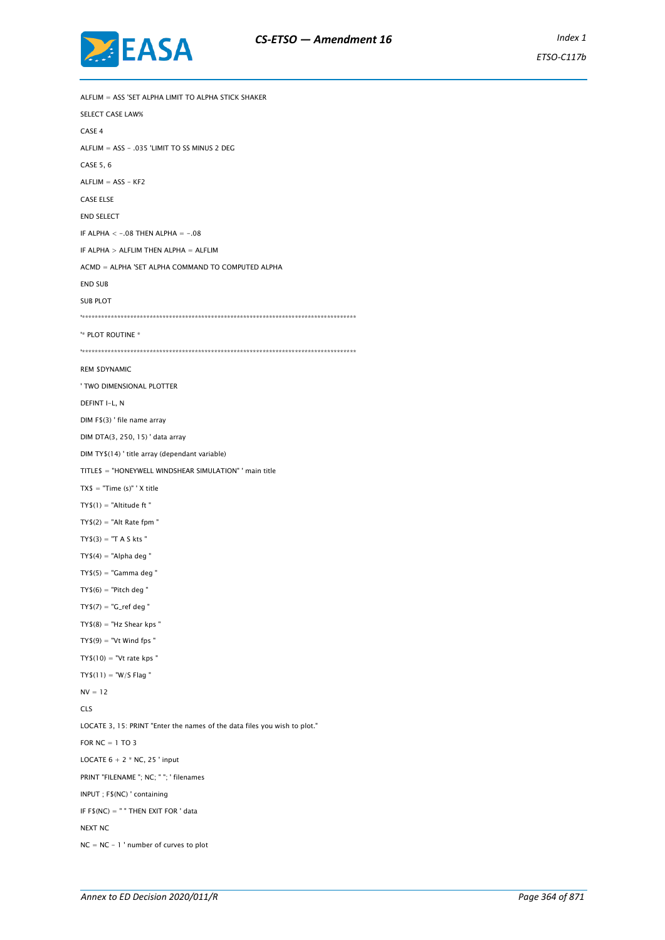

ALFLIM = ASS 'SET ALPHA LIMIT TO ALPHA STICK SHAKER SELECT CASE LAW% CASE 4 ALFLIM = ASS - .035 'LIMIT TO SS MINUS 2 DEG CASE 5, 6  $ALFLIM = ASS - KF2$ CASE ELSE END SELECT IF ALPHA  $< -.08$  THEN ALPHA  $= -.08$ IF ALPHA > ALFLIM THEN ALPHA = ALFLIM ACMD = ALPHA 'SET ALPHA COMMAND TO COMPUTED ALPHA END SUB SUB PLOT '\*\*\*\*\*\*\*\*\*\*\*\*\*\*\*\*\*\*\*\*\*\*\*\*\*\*\*\*\*\*\*\*\*\*\*\*\*\*\*\*\*\*\*\*\*\*\*\*\*\*\*\*\*\*\*\*\*\*\*\*\*\*\*\*\*\*\*\*\*\*\*\*\*\*\*\*\*\*\*\*\*\*\*\*\* '\* PLOT ROUTINE \* '\*\*\*\*\*\*\*\*\*\*\*\*\*\*\*\*\*\*\*\*\*\*\*\*\*\*\*\*\*\*\*\*\*\*\*\*\*\*\*\*\*\*\*\*\*\*\*\*\*\*\*\*\*\*\*\*\*\*\*\*\*\*\*\*\*\*\*\*\*\*\*\*\*\*\*\*\*\*\*\*\*\*\*\*\* REM \$DYNAMIC ' TWO DIMENSIONAL PLOTTER DEFINT I-L, N DIM F\$(3) ' file name array DIM DTA(3, 250, 15) ' data array DIM TY\$(14) ' title array (dependant variable) TITLE\$ = "HONEYWELL WINDSHEAR SIMULATION" ' main title  $TX$ = "Time (s)" ' X title$  $TY$(1) = "Altitude ft"$  $TY$(2) = "Alt Rate from "$  $TY$(3) = "T A S kts"$  $TY$(4) = "Alpha deg"$  $TY$(5) = "Gammaed$  $TY$(6) = "Pitch deg"$  $TY$(7) = "G_ref deg"$  $TY$(8) = "Hz Shear kps"$  $TY$(9) = "Vt Wind fps"$  $TY$(10) = "Vt rate kps"$  $TY$(11) = "W/S Flag"$  $NV = 12$ CLS LOCATE 3, 15: PRINT "Enter the names of the data files you wish to plot." FOR  $NC = 1$  TO 3 LOCATE  $6 + 2 * NC$ , 25 ' input PRINT "FILENAME "; NC; " "; ' filenames INPUT ; F\$(NC) ' containing IF F\$(NC) = " " THEN EXIT FOR ' data NEXT NC NC = NC - 1 ' number of curves to plot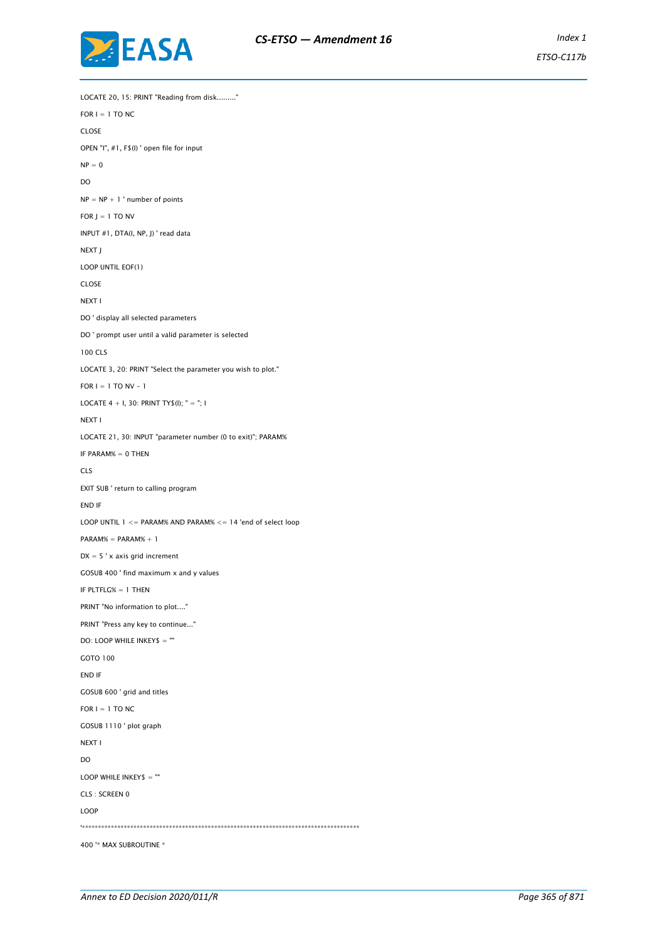

LOCATE 20, 15: PRINT "Reading from disk........."  $FOR I = 1 TO NC$ CLOSE OPEN "I", #1, F\$(I) ' open file for input  $NP = 0$ DO  $NP = NP + 1$  ' number of points FOR  $J = 1$  TO NV INPUT #1, DTA(I, NP, J) ' read data NEXT J LOOP UNTIL EOF(1) CLOSE NEXT I DO ' display all selected parameters DO ' prompt user until a valid parameter is selected 100 CLS LOCATE 3, 20: PRINT "Select the parameter you wish to plot." FOR  $I = 1$  TO NV - 1 LOCATE  $4 + 1$ , 30: PRINT TY\$(I); " = "; I NEXT I LOCATE 21, 30: INPUT "parameter number (0 to exit)"; PARAM% IF PARAM% = 0 THEN CLS EXIT SUB ' return to calling program END IF LOOP UNTIL 1 <= PARAM% AND PARAM% <= 14 'end of select loop PARAM% = PARAM% + 1  $DX = 5$  ' x axis grid increment GOSUB 400 ' find maximum x and y values IF PLTFLG% = 1 THEN PRINT "No information to plot...." PRINT "Press any key to continue..." DO: LOOP WHILE INKEY\$ = "" GOTO 100 END IF GOSUB 600 ' grid and titles FOR  $I = 1$  TO NC GOSUB 1110 ' plot graph NEXT I DO LOOP WHILE INKEY\$ = "" CLS : SCREEN 0 LOOP '\*\*\*\*\*\*\*\*\*\*\*\*\*\*\*\*\*\*\*\*\*\*\*\*\*\*\*\*\*\*\*\*\*\*\*\*\*\*\*\*\*\*\*\*\*\*\*\*\*\*\*\*\*\*\*\*\*\*\*\*\*\*\*\*\*\*\*\*\*\*\*\*\*\*\*\*\*\*\*\*\*\*\*\*\*\* 400 '\* MAX SUBROUTINE \*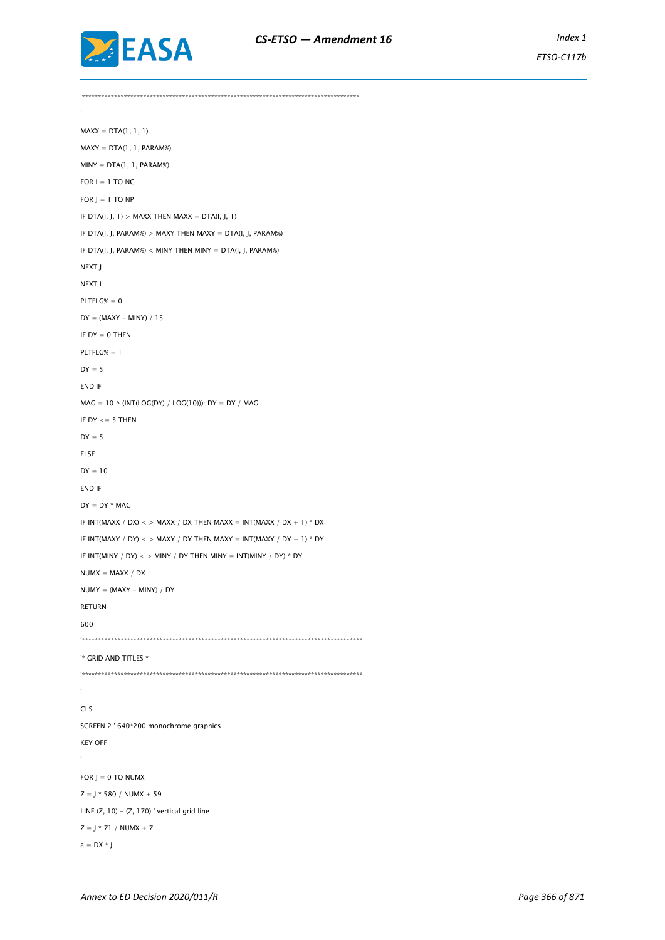

*ETSO-C117b*

'\*\*\*\*\*\*\*\*\*\*\*\*\*\*\*\*\*\*\*\*\*\*\*\*\*\*\*\*\*\*\*\*\*\*\*\*\*\*\*\*\*\*\*\*\*\*\*\*\*\*\*\*\*\*\*\*\*\*\*\*\*\*\*\*\*\*\*\*\*\*\*\*\*\*\*\*\*\*\*\*\*\*\*\*\*\*  $MAXX = DTA(1, 1, 1)$  $MAXY = DTA(1, 1, PARAM%)$  $MINY = DTA(1, 1, PARAM%)$ FOR  $I = 1$  TO NC  $FOR$  J = 1 TO NP IF DTA(I, J,  $1$ ) > MAXX THEN MAXX = DTA(I, J,  $1$ ) IF DTA(I, J, PARAM%) > MAXY THEN MAXY = DTA(I, J, PARAM%) IF DTA(I, J, PARAM%) < MINY THEN MINY = DTA(I, J, PARAM%) NEXT J NEXT I PLTFLG% = 0  $DY = (MAXY - MINY) / 15$ IF  $DY = 0$  THEN  $PLTFLG% = 1$  $DY = 5$ END IF  $MAG = 10 \wedge (INT(LOG(DY) / LOG(10)))$ : DY = DY / MAG IF  $DY \leq 5$  THEN  $DY = 5$ ELSE  $DY = 10$ END IF  $DY = DY * MAG$ IF INT(MAXX / DX)  $\lt$  > MAXX / DX THEN MAXX = INT(MAXX / DX + 1) \* DX IF INT(MAXY / DY)  $\lt$  > MAXY / DY THEN MAXY = INT(MAXY / DY + 1) \* DY IF INT(MINY / DY)  $\langle$  > MINY / DY THEN MINY = INT(MINY / DY) \* DY  $NUMX = MAXX / DX$  $NUMY = (MAXY - MINY) / DY$ RETURN 600 '\*\*\*\*\*\*\*\*\*\*\*\*\*\*\*\*\*\*\*\*\*\*\*\*\*\*\*\*\*\*\*\*\*\*\*\*\*\*\*\*\*\*\*\*\*\*\*\*\*\*\*\*\*\*\*\*\*\*\*\*\*\*\*\*\*\*\*\*\*\*\*\*\*\*\*\*\*\*\*\*\*\*\*\*\*\*\* '\* GRID AND TITLES \* '\*\*\*\*\*\*\*\*\*\*\*\*\*\*\*\*\*\*\*\*\*\*\*\*\*\*\*\*\*\*\*\*\*\*\*\*\*\*\*\*\*\*\*\*\*\*\*\*\*\*\*\*\*\*\*\*\*\*\*\*\*\*\*\*\*\*\*\*\*\*\*\*\*\*\*\*\*\*\*\*\*\*\*\*\*\*\* CLS SCREEN 2 ' 640\*200 monochrome graphics KEY OFF  $\overline{\phantom{a}}$ FOR  $J = 0$  TO NUMX  $Z = J * 580 / NUMX + 59$ LINE  $(Z, 10) - (Z, 170)$  ' vertical grid line  $Z = 1 * 71 / NUMX + 7$  $a = DX * J$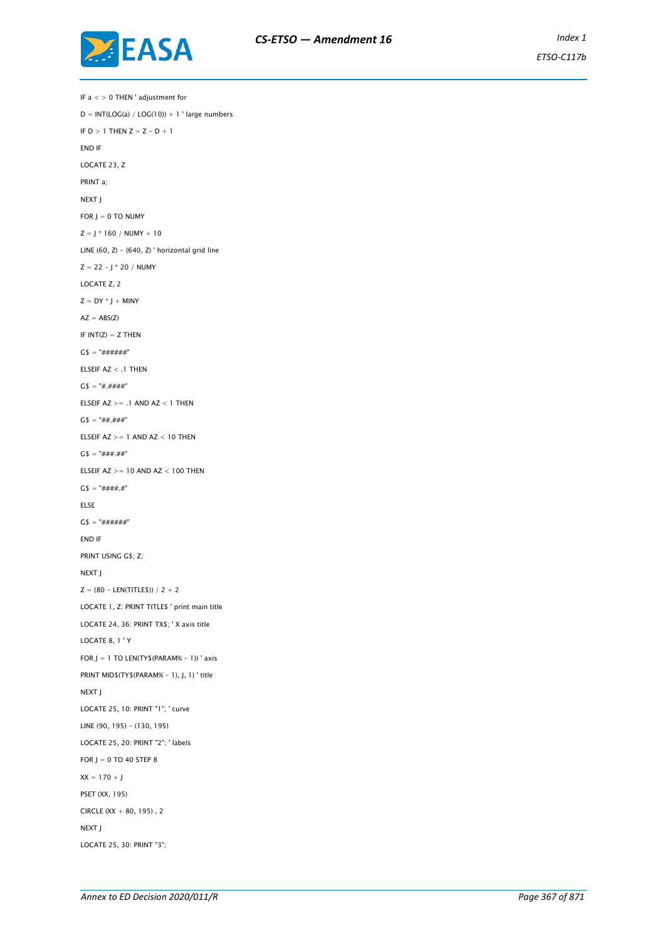

IF a < > 0 THEN ' adjustment for  $D = INT(LOG(a) / LOG(10)) + 1$  ' large numbers IF  $D > 1$  THEN  $Z = Z - D + 1$ END IF LOCATE 23, Z PRINT a; NEXT J FOR  $J = 0$  TO NUMY  $Z = J * 160 / NUMY + 10$ LINE  $(60, Z) - (640, Z)$  ' horizontal grid line  $Z = 22 - J * 20 / NUMY$ LOCATE Z, 2  $Z = DY * J + MINY$  $AZ = ABS(Z)$ IF  $INT(Z) = Z$  THEN  $GS = "# # # # ##"$ ELSEIF AZ < .1 THEN  $GS = "#, # # # #"$ ELSEIF  $AZ \geq 1$  AND  $AZ < 1$  THEN  $G$ = "######"$ ELSEIF  $AZ \geq 1$  AND  $AZ \leq 10$  THEN  $G$ = "###", ##"$ ELSEIF  $AZ \geq 10$  AND  $AZ < 100$  THEN  $GS = "# # # # "$ ELSE  $GS = "# # # # ##"$ END IF PRINT USING G\$; Z; NEXT J  $Z = (80 - LEN(TITLES)) / 2 + 2$ LOCATE 1, Z: PRINT TITLE\$ ' print main title LOCATE 24, 36: PRINT TX\$; ' X axis title LOCATE 8, 1 ' Y FOR  $J = 1$  TO LEN(TY\$ (PARAM% - 1)) ' axis PRINT MID\$(TY\$(PARAM% - 1), J, 1) ' title NEXT J LOCATE 25, 10: PRINT "1"; ' curve LINE (90, 195) - (130, 195) LOCATE 25, 20: PRINT "2"; ' labels FOR  $J = 0$  TO 40 STEP 8  $XX = 170 + J$ PSET (XX, 195) CIRCLE (XX + 80, 195) , 2 NEXT J LOCATE 25, 30: PRINT "3";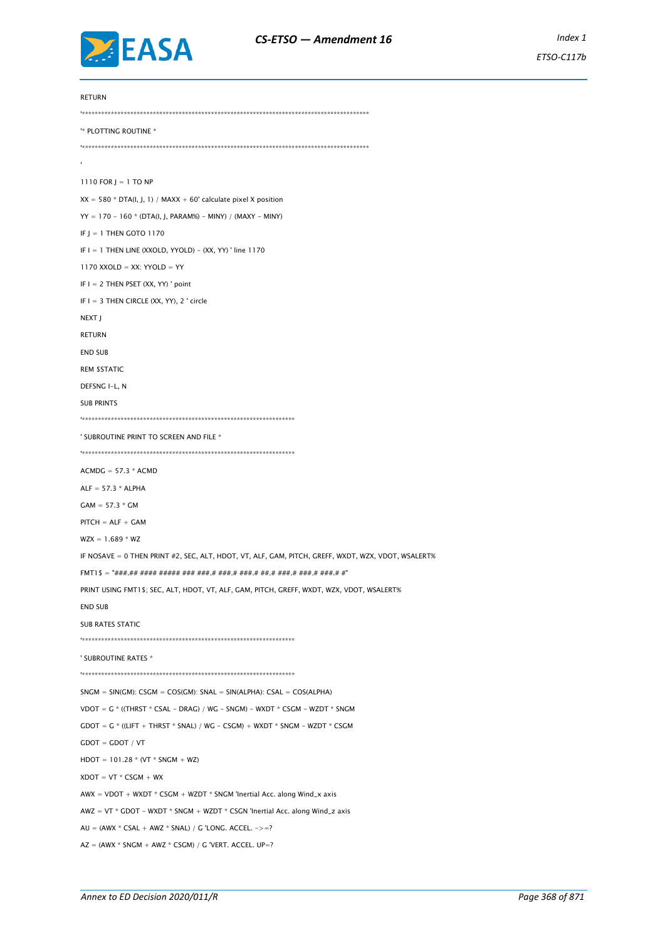

RETURN '\*\*\*\*\*\*\*\*\*\*\*\*\*\*\*\*\*\*\*\*\*\*\*\*\*\*\*\*\*\*\*\*\*\*\*\*\*\*\*\*\*\*\*\*\*\*\*\*\*\*\*\*\*\*\*\*\*\*\*\*\*\*\*\*\*\*\*\*\*\*\*\*\*\*\*\*\*\*\*\*\*\*\*\*\*\*\*\*\* '\* PLOTTING ROUTINE \* '\*\*\*\*\*\*\*\*\*\*\*\*\*\*\*\*\*\*\*\*\*\*\*\*\*\*\*\*\*\*\*\*\*\*\*\*\*\*\*\*\*\*\*\*\*\*\*\*\*\*\*\*\*\*\*\*\*\*\*\*\*\*\*\*\*\*\*\*\*\*\*\*\*\*\*\*\*\*\*\*\*\*\*\*\*\*\*\*\* 1110 FOR J = 1 TO NP  $XX = 580 * DTA(I, J, 1) / MAXX + 60' calculate pixel X position$  $YY = 170 - 160$  \* (DTA(I, J, PARAM%) - MINY) / (MAXY - MINY) IF  $I = 1$  THEN GOTO 1170 IF  $I = 1$  THEN LINE (XXOLD, YYOLD) - (XX, YY) ' line 1170  $1170$  XXOLD = XX: YYOLD = YY IF I = 2 THEN PSET (XX, YY) ' point IF  $I = 3$  THEN CIRCLE (XX, YY), 2 ' circle NEXT J RETURN END SUB REM \$STATIC DEFSNG I-L, N SUB PRINTS '\*\*\*\*\*\*\*\*\*\*\*\*\*\*\*\*\*\*\*\*\*\*\*\*\*\*\*\*\*\*\*\*\*\*\*\*\*\*\*\*\*\*\*\*\*\*\*\*\*\*\*\*\*\*\*\*\*\*\*\*\*\*\*\*\*\* ' SUBROUTINE PRINT TO SCREEN AND FILE \* '\*\*\*\*\*\*\*\*\*\*\*\*\*\*\*\*\*\*\*\*\*\*\*\*\*\*\*\*\*\*\*\*\*\*\*\*\*\*\*\*\*\*\*\*\*\*\*\*\*\*\*\*\*\*\*\*\*\*\*\*\*\*\*\*\*\*  $ACMDG = 57.3 * ACMD$  $ALF = 57.3 * ALPHA$  $GAM = 57.3 * GM$  $PITCH = ALF + GAM$  $WZX = 1.689 * WZ$ IF NOSAVE = 0 THEN PRINT #2, SEC, ALT, HDOT, VT, ALF, GAM, PITCH, GREFF, WXDT, WZX, VDOT, WSALERT% FMT1\$ = "###.## #### ##### ### ###.# ###.# ###.# ##.# ###.# ###.# ###.# #" PRINT USING FMT1\$; SEC, ALT, HDOT, VT, ALF, GAM, PITCH, GREFF, WXDT, WZX, VDOT, WSALERT% END SUB SUB RATES STATIC '\*\*\*\*\*\*\*\*\*\*\*\*\*\*\*\*\*\*\*\*\*\*\*\*\*\*\*\*\*\*\*\*\*\*\*\*\*\*\*\*\*\*\*\*\*\*\*\*\*\*\*\*\*\*\*\*\*\*\*\*\*\*\*\*\*\* ' SUBROUTINE RATES \* '\*\*\*\*\*\*\*\*\*\*\*\*\*\*\*\*\*\*\*\*\*\*\*\*\*\*\*\*\*\*\*\*\*\*\*\*\*\*\*\*\*\*\*\*\*\*\*\*\*\*\*\*\*\*\*\*\*\*\*\*\*\*\*\*\*\*  $SNGM = SIN(GM)$ : CSGM = COS(GM): SNAL = SIN(ALPHA): CSAL = COS(ALPHA) VDOT =  $G *$  ((THRST  $*$  CSAL - DRAG) / WG - SNGM) - WXDT  $*$  CSGM - WZDT  $*$  SNGM  $\textsf{GDOT} = \textsf{G} \space^*$  ((LIFT + THRST \* SNAL) / WG - CSGM) + WXDT \* SNGM - WZDT \* CSGM  $G$ DOT =  $G$ DOT / VT  $H$ DOT = 101.28 \* (VT \* SNGM + WZ)  $X$ DOT = VT \* CSGM + WX AWX = VDOT + WXDT \* CSGM + WZDT \* SNGM 'Inertial Acc. along Wind\_x axis  $AWZ = VT * GDOT - WXDT * SNGM + WZDT * CSGN 'Inertial Acc. along Wind_z axis$  $AU = (AWX * CSAL + AWZ * SNAL) / G'LONG. ACCEL. -> =?$  $AZ = (AWX * SNGM + AWZ * CSGM) / G'VERT. ACCEL. UP =?$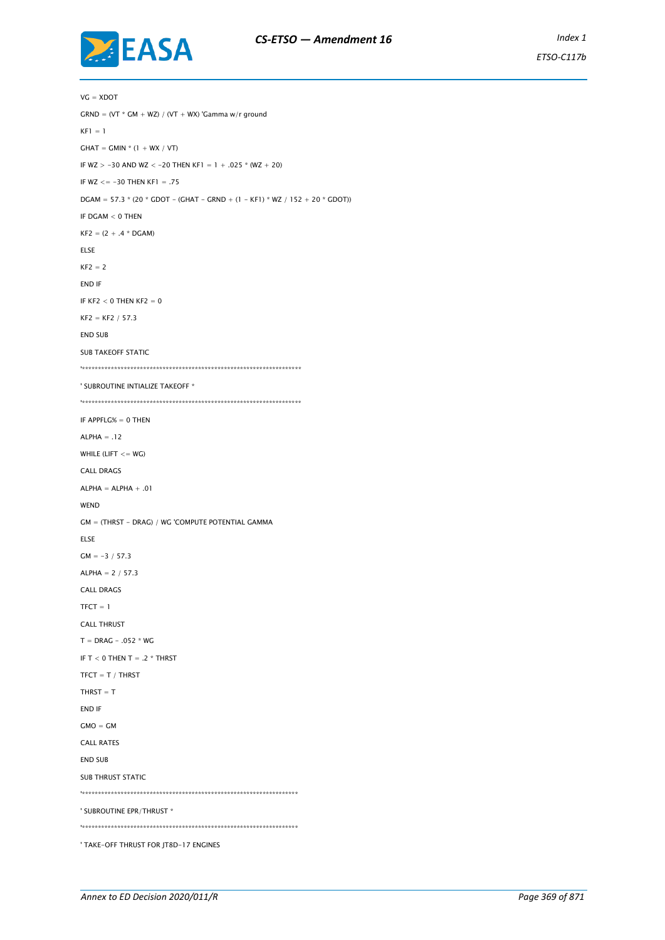



 $VG = XDOT$  $GRND = (VT * GM + WZ) / (VT + WX)$ 'Gamma w/r ground  $KF1 = 1$  $GHAT = GMIN * (1 + WX / VT)$ IF WZ > -30 AND WZ < -20 THEN KF1 = 1 + .025  $*$  (WZ + 20) IF  $WZ \le -30$  THEN KF1 = .75  $DGAM = 57.3 * (20 * GDOT - (GHAT - GRND + (1 - KFI) * WZ / 152 + 20 * GDOT))$ IF DGAM < 0 THEN  $KF2 = (2 + .4 * DGAM)$ ELSE  $KF2 = 2$ END IF IF KF2  $<$  0 THEN KF2  $=$  0  $KF2 = KF2 / 57.3$ END SUB SUB TAKEOFF STATIC '\*\*\*\*\*\*\*\*\*\*\*\*\*\*\*\*\*\*\*\*\*\*\*\*\*\*\*\*\*\*\*\*\*\*\*\*\*\*\*\*\*\*\*\*\*\*\*\*\*\*\*\*\*\*\*\*\*\*\*\*\*\*\*\*\*\*\*\* ' SUBROUTINE INTIALIZE TAKEOFF \* '\*\*\*\*\*\*\*\*\*\*\*\*\*\*\*\*\*\*\*\*\*\*\*\*\*\*\*\*\*\*\*\*\*\*\*\*\*\*\*\*\*\*\*\*\*\*\*\*\*\*\*\*\*\*\*\*\*\*\*\*\*\*\*\*\*\*\*\* IF APPFLG% = 0 THEN  $ALPHA = .12$ WHILE (LIFT  $<=$  WG) CALL DRAGS  $ALPHA = ALPHA + .01$ WEND GM = (THRST - DRAG) / WG 'COMPUTE POTENTIAL GAMMA ELSE  $GM = -3 / 57.3$ ALPHA = 2 / 57.3 CALL DRAGS  $TFCT = 1$ CALL THRUST  $T = DRAG - .052 * WG$ IF T  $<$  0 THEN T = .2  $*$  THRST  $TFCT = T / THRST$  $THRST = T$ END IF  $GMO = GM$ CALL RATES END SUB SUB THRUST STATIC '\*\*\*\*\*\*\*\*\*\*\*\*\*\*\*\*\*\*\*\*\*\*\*\*\*\*\*\*\*\*\*\*\*\*\*\*\*\*\*\*\*\*\*\*\*\*\*\*\*\*\*\*\*\*\*\*\*\*\*\*\*\*\*\*\*\*\* ' SUBROUTINE EPR/THRUST \* '\*\*\*\*\*\*\*\*\*\*\*\*\*\*\*\*\*\*\*\*\*\*\*\*\*\*\*\*\*\*\*\*\*\*\*\*\*\*\*\*\*\*\*\*\*\*\*\*\*\*\*\*\*\*\*\*\*\*\*\*\*\*\*\*\*\*\* ' TAKE-OFF THRUST FOR JT8D-17 ENGINES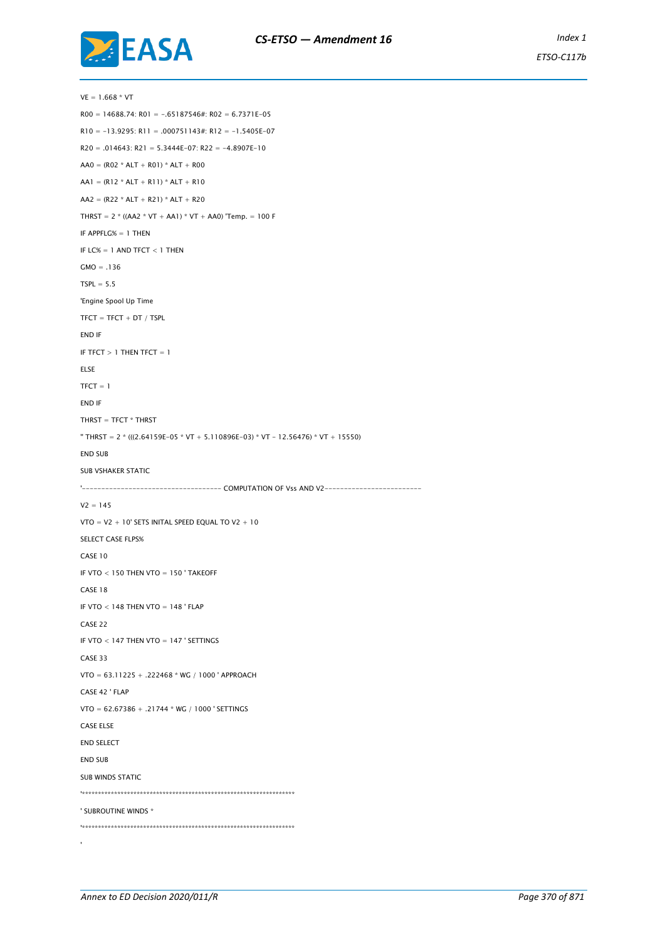

 $VE = 1.668 * VT$  $R00 = 14688.74$ :  $R01 = -.65187546$ #:  $R02 = 6.7371E-05$  $R10 = -13.9295$ :  $R11 = .000751143$ #:  $R12 = -1.5405E-07$  $R20 = .014643$ :  $R21 = 5.3444E-07$ :  $R22 = -4.8907E-10$  $AA0 = (R02 * ALT + R01) * ALT + R00$  $AA1 = (R12 * ALT + R11) * ALT + R10$  $AA2 = (R22 * ALT + R21) * ALT + R20$ THRST =  $2 * ((AA2 * VT + AAI) * VT + AAO)$  'Temp. = 100 F IF APPFLG% = 1 THEN IF LC%  $= 1$  AND TFCT  $< 1$  THEN  $GMO = .136$  $TSPL = 5.5$ 'Engine Spool Up Time  $TFCT = TFCT + DT / TSPL$ END IF IF TFCT  $> 1$  THEN TFCT  $= 1$ ELSE  $TFCT = 1$ END IF THRST = TFCT \* THRST '' THRST = 2 \* (((2.64159E-05 \* VT + 5.110896E-03) \* VT - 12.56476) \* VT + 15550) END SUB SUB VSHAKER STATIC '------------------------------------ COMPUTATION OF Vss AND V2-------------------------  $V2 = 145$ VTO =  $V2 + 10'$  SETS INITAL SPEED EQUAL TO  $V2 + 10$ SELECT CASE FLPS% CASE 10 IF VTO < 150 THEN VTO = 150 ' TAKEOFF CASE 18 IF VTO  $<$  148 THEN VTO  $=$  148 ' FLAP CASE 22 IF VTO < 147 THEN VTO = 147 ' SETTINGS CASE 33 VTO = 63.11225 + .222468 \* WG / 1000 ' APPROACH CASE 42 ' FLAP VTO = 62.67386 + .21744 \* WG / 1000 ' SETTINGS CASE ELSE END SELECT END SUB SUB WINDS STATIC '\*\*\*\*\*\*\*\*\*\*\*\*\*\*\*\*\*\*\*\*\*\*\*\*\*\*\*\*\*\*\*\*\*\*\*\*\*\*\*\*\*\*\*\*\*\*\*\*\*\*\*\*\*\*\*\*\*\*\*\*\*\*\*\*\*\* ' SUBROUTINE WINDS \* '\*\*\*\*\*\*\*\*\*\*\*\*\*\*\*\*\*\*\*\*\*\*\*\*\*\*\*\*\*\*\*\*\*\*\*\*\*\*\*\*\*\*\*\*\*\*\*\*\*\*\*\*\*\*\*\*\*\*\*\*\*\*\*\*\*\*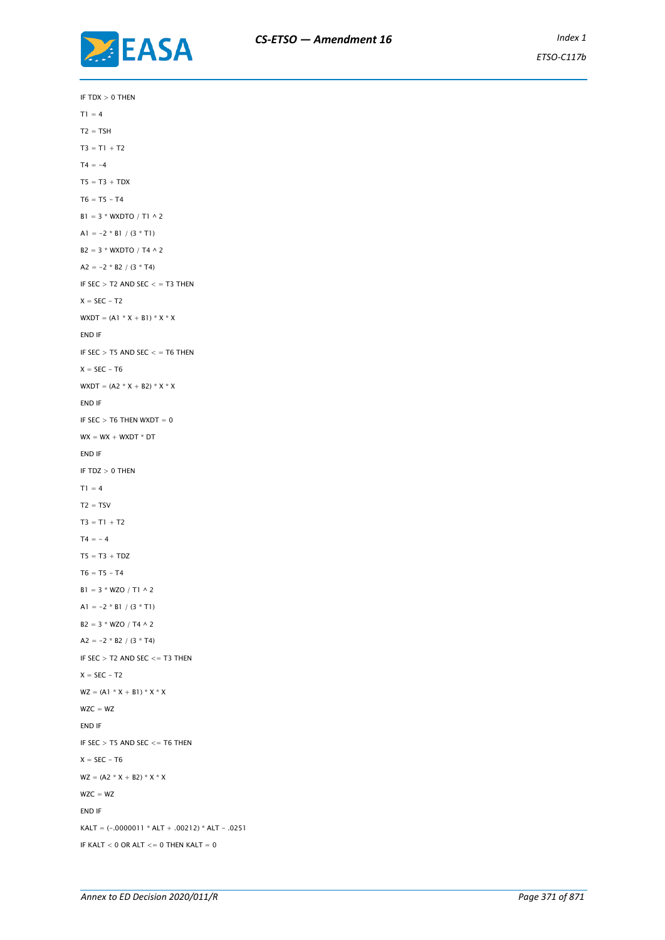

IF  $TDX > 0$  THEN  $T1 = 4$  $T2 = TSH$  $T3 = T1 + T2$  $T4 = -4$  $TS = T3 + TDX$  $T6 = T5 - T4$  $B1 = 3 * WX DTO / T1 \wedge 2$ A1 =  $-2 * B1 / (3 * T1)$  $B2 = 3 * WX DTO / T4 \wedge 2$ A2 =  $-2 * B2 / (3 * T4)$ IF  $SEC > T2$  AND  $SEC < T3$  THEN  $X = SEC - T2$  $WXDT = (A1 * X + B1) * X * X$ END IF IF SEC  $>$  T5 AND SEC  $<$  = T6 THEN  $X = SEC - T6$ WXDT =  $(A2 * X + B2) * X * X$ END IF IF SEC  $>$  T6 THEN WXDT = 0  $WX = WX + WXDT * DT$ END IF IF  $TDZ > 0$  THEN  $T1 = 4$  $T2 = TSV$  $T3 = T1 + T2$  $T4 = -4$  $TS = T3 + TDZ$  $T6 = T5 - T4$  $B1 = 3 * WZO / T1 \wedge 2$ A1 =  $-2 * B1 / (3 * T1)$  $B2 = 3 * WZO / T4 \wedge 2$ A2 =  $-2 * B2 / (3 * T4)$ IF  $SEC > T2$  AND  $SEC < T3$  THEN  $X = SEC - T2$  $WZ = (A1 * X + B1) * X * X$  $WZC = WZ$ END IF IF SEC  $>$  T5 AND SEC  $\lt$  = T6 THEN  $X = SEC - T6$  $WZ = (A2 * X + B2) * X * X$  $WZC = WZ$ END IF KALT =  $(-.0000011 * ALT + .00212) * ALT - .0251$ IF KALT  $<$  0 OR ALT  $<=$  0 THEN KALT  $=$  0